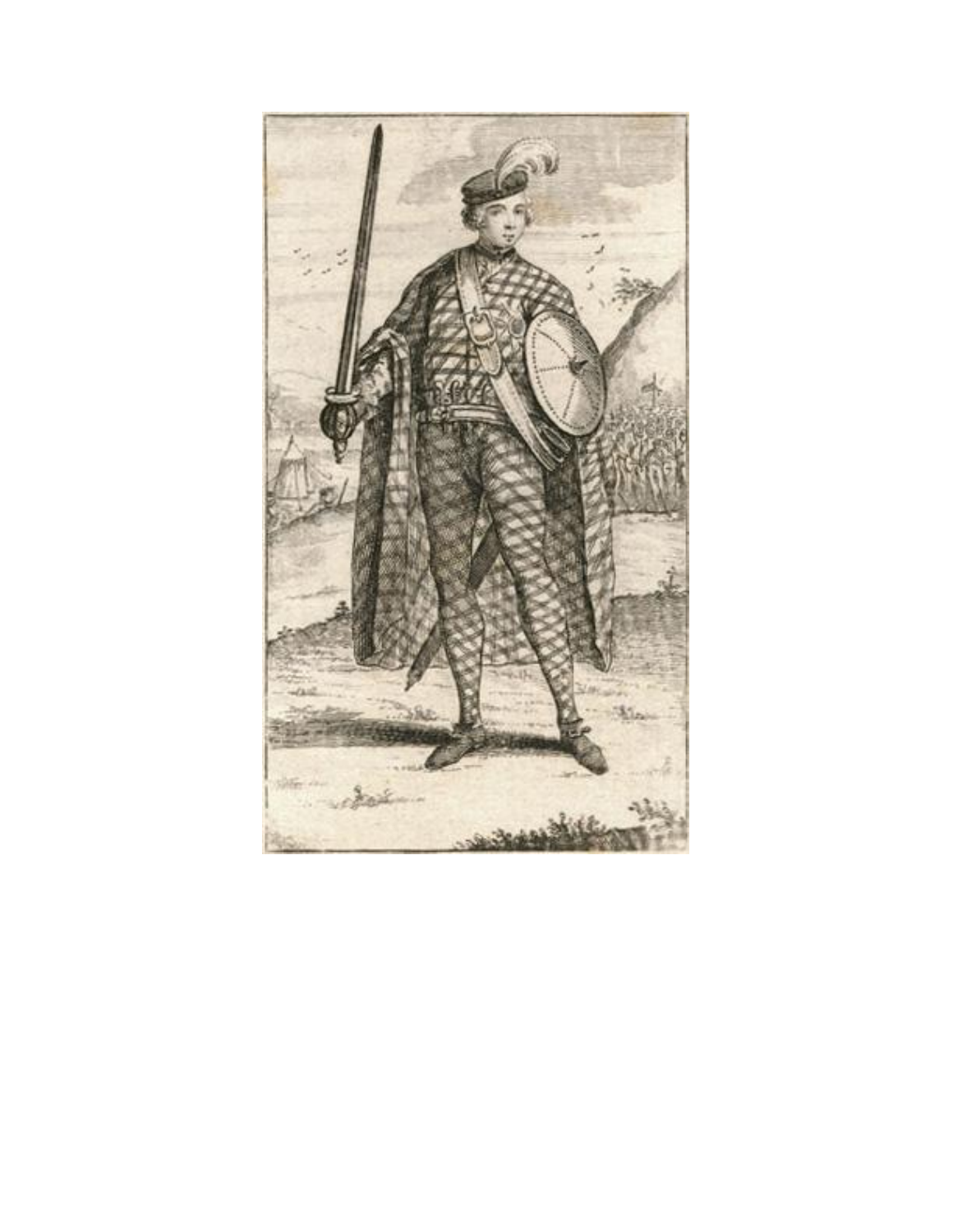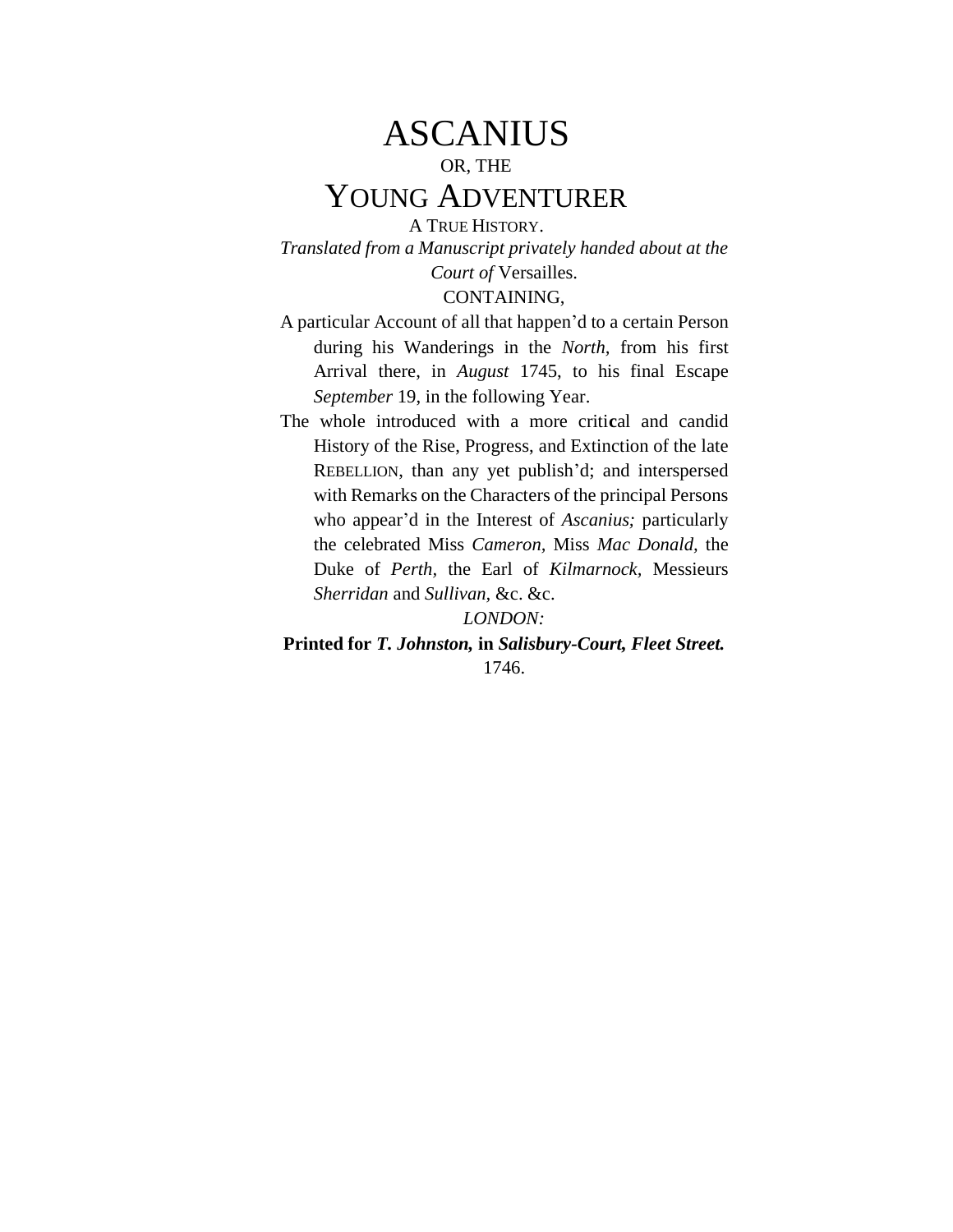## ASCANIUS OR, THE

# YOUNG ADVENTURER

A TRUE HISTORY.

*Translated from a Manuscript privately handed about at the Court of* Versailles.

## CONTAINING,

A particular Account of all that happen'd to a certain Person during his Wanderings in the *North,* from his first Arrival there, in *August* 1745, to his final Escape *September* 19, in the following Year.

The whole introduced with a more criti**c**al and candid History of the Rise, Progress, and Extinction of the late REBELLION, than any yet publish'd; and interspersed with Remarks on the Characters of the principal Persons who appear'd in the Interest of *Ascanius;* particularly the celebrated Miss *Cameron,* Miss *Mac Donald,* the Duke of *Perth,* the Earl of *Kilmarnock,* Messieurs *Sherridan* and *Sullivan,* &c. &c.

*LONDON:*

**Printed for** *T. Johnston,* **in** *Salisbury-Court, Fleet Street.*  1746.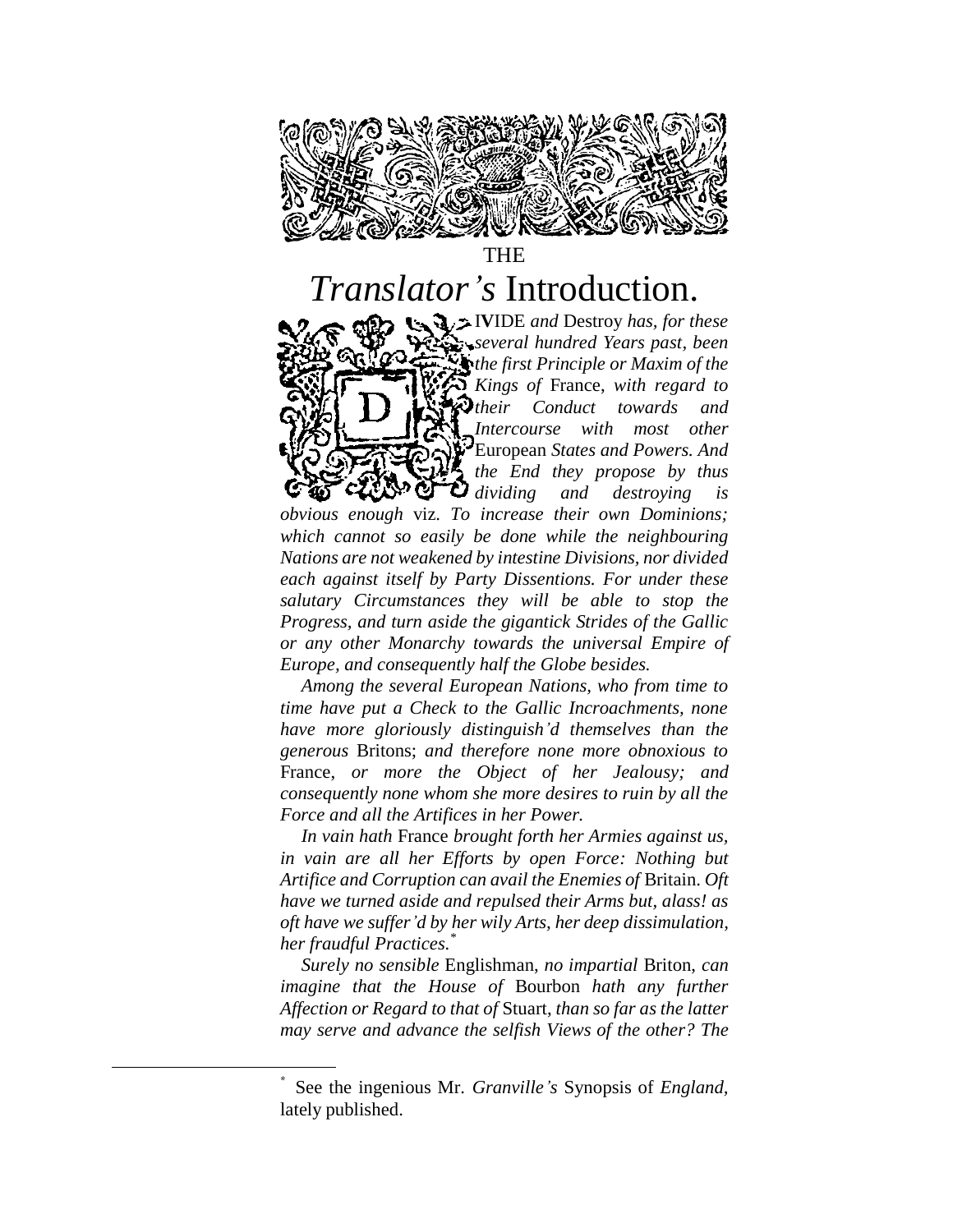

THE

# *Translator' s* Introduction.

I**V**IDE *and* Destroy *has, for these several hundred Years past, been the first Principle or Maxim of the Kings of* France, *with regard to their Conduct towards and Intercourse with most other*  European *States and Powers. And the End they propose by thus dividing and destroying is obvious enough* viz. *To increase their own Dominions; which cannot so easily be done while the neighbouring Nations are not weakened by intestine Divisions, nor divided each against itself by Party Dissentions. For under these salutary Circumstances they will be able to stop the Progress, and turn aside the gigantick Strides of the Gallic or any other Monarchy towards the universal Empire of Europe, and consequently half the Globe besides.*

*Among the several European Nations, who from time to time have put a Check to the Gallic Incroachments, none have more gloriously distinguish'd themselves than the generous* Britons; *and therefore none more obnoxious to*  France, *or more the Object of her Jealousy; and consequently none whom she more desires to ruin by all the Force and all the Artifices in her Power.*

*In vain hath* France *brought forth her Armies against us, in vain are all her Efforts by open Force: Nothing but Artifice and Corruption can avail the Enemies of* Britain. *Oft have we turned aside and repulsed their Arms but, alass! as oft have we suffer'd by her wily Arts, her deep dissimulation, her fraudful Practices. \**

*Surely no sensible* Englishman, *no impartial* Briton, *can imagine that the House of* Bourbon *hath any further Affection or Regard to that of* Stuart, *than so far as the latter may serve and advance the selfish Views of the other? The* 

<sup>\*</sup> See the ingenious Mr. *Granville's* Synopsis of *England,* lately published.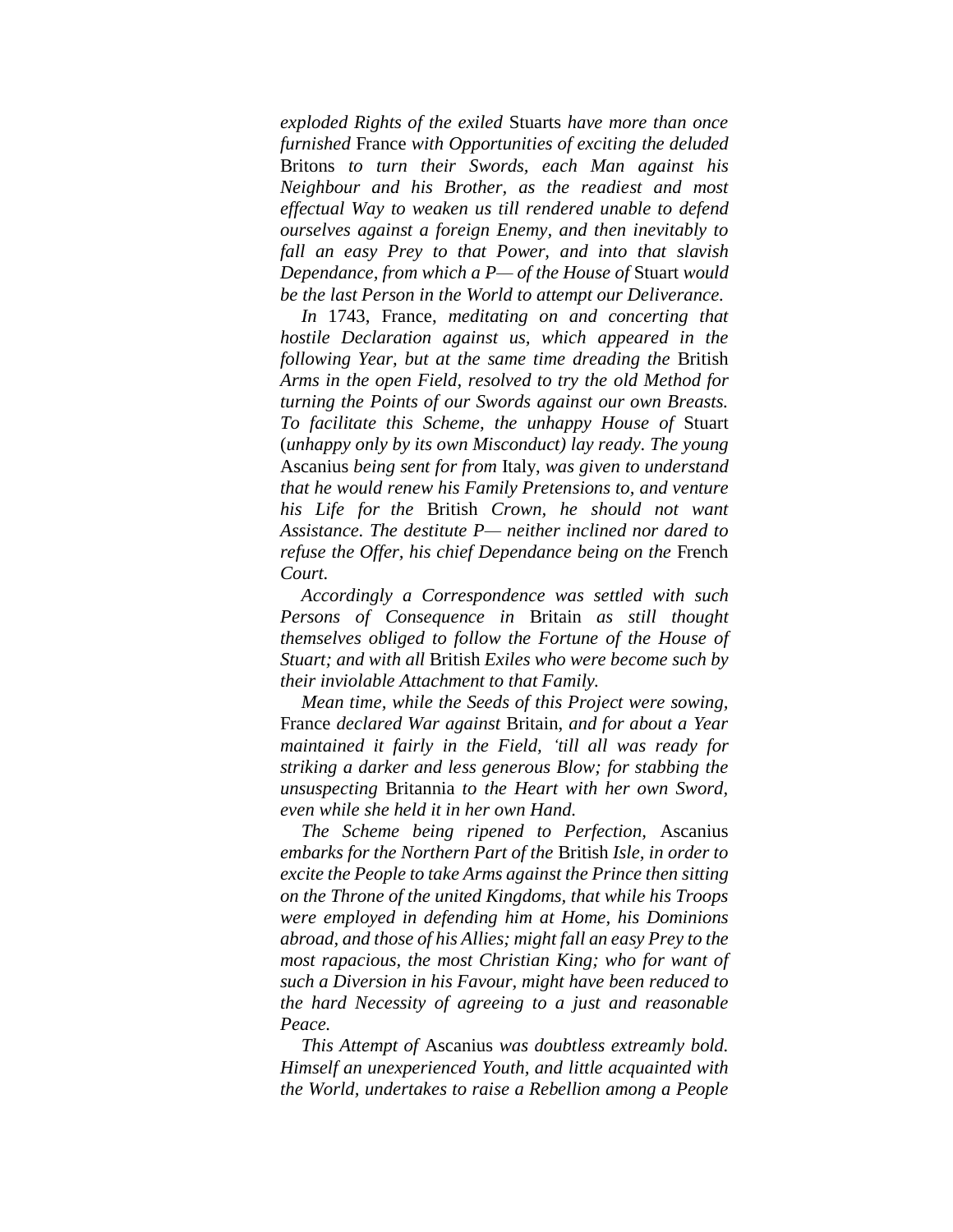*exploded Rights of the exiled* Stuarts *have more than once furnished* France *with Opportunities of exciting the deluded*  Britons *to turn their Swords, each Man against his Neighbour and his Brother, as the readiest and most effectual Way to weaken us till rendered unable to defend ourselves against a foreign Enemy, and then inevitably to fall an easy Prey to that Power, and into that slavish Dependance, from which a P— of the House of* Stuart *would be the last Person in the World to attempt our Deliverance.*

*In* 1743, France, *meditating on and concerting that hostile Declaration against us, which appeared in the following Year, but at the same time dreading the* British *Arms in the open Field, resolved to try the old Method for turning the Points of our Swords against our own Breasts. To facilitate this Scheme, the unhappy House of* Stuart (*unhappy only by its own Misconduct) lay ready. The young*  Ascanius *being sent for from* Italy, *was given to understand that he would renew his Family Pretensions to, and venture his Life for the* British *Crown, he should not want Assistance. The destitute P— neither inclined nor dared to refuse the Offer, his chief Dependance being on the French Court.*

*Accordingly a Correspondence was settled with such Persons of Consequence in* Britain *as still thought themselves obliged to follow the Fortune of the House of Stuart; and with all* British *Exiles who were become such by their inviolable Attachment to that Family.*

*Mean time, while the Seeds of this Project were sowing,*  France *declared War against* Britain, *and for about a Year maintained it fairly in the Field, 'till all was ready for striking a darker and less generous Blow; for stabbing the unsuspecting* Britannia *to the Heart with her own Sword, even while she held it in her own Hand.*

*The Scheme being ripened to Perfection,* Ascanius *embarks for the Northern Part of the* British *Isle, in order to excite the People to take Arms against the Prince then sitting on the Throne of the united Kingdoms, that while his Troops were employed in defending him at Home, his Dominions abroad, and those of his Allies; might fall an easy Prey to the most rapacious, the most Christian King; who for want of such a Diversion in his Favour, might have been reduced to the hard Necessity of agreeing to a just and reasonable Peace.*

*This Attempt of* Ascanius *was doubtless extreamly bold. Himself an unexperienced Youth, and little acquainted with the World, undertakes to raise a Rebellion among a People*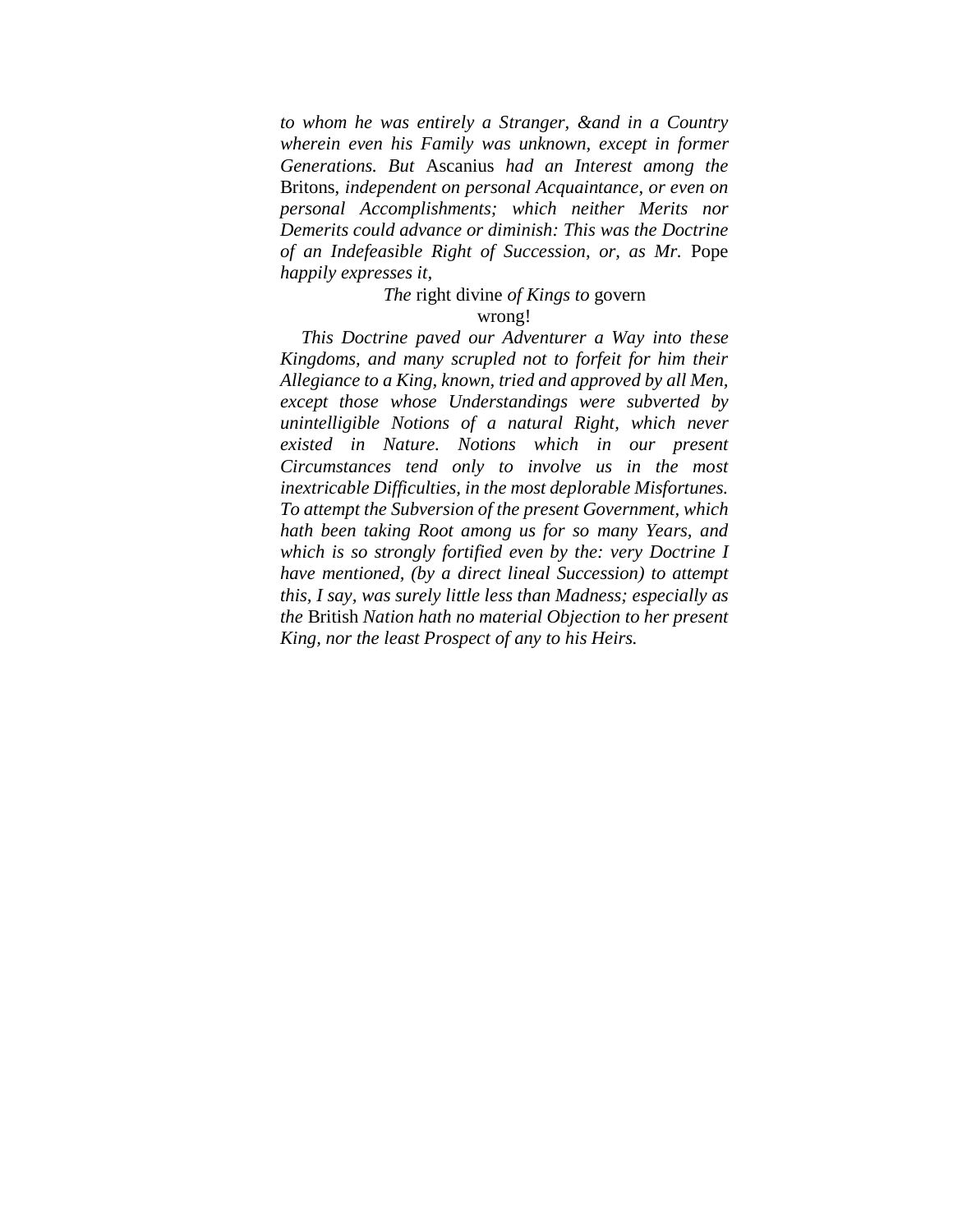*to whom he was entirely a Stranger, &and in a Country wherein even his Family was unknown, except in former Generations. But* Ascanius *had an Interest among the*  Britons, *independent on personal Acquaintance, or even on personal Accomplishments; which neither Merits nor Demerits could advance or diminish: This was the Doctrine of an Indefeasible Right of Succession, or, as Mr.* Pope *happily expresses it,*

#### *The* right divine *of Kings to* govern wrong!

*This Doctrine paved our Adventurer a Way into these Kingdoms, and many scrupled not to forfeit for him their Allegiance to a King, known, tried and approved by all Men, except those whose Understandings were subverted by unintelligible Notions of a natural Right, which never existed in Nature. Notions which in our present Circumstances tend only to involve us in the most inextricable Difficulties, in the most deplorable Misfortunes. To attempt the Subversion of the present Government, which hath been taking Root among us for so many Years, and which is so strongly fortified even by the: very Doctrine I have mentioned, (by a direct lineal Succession) to attempt this, I say, was surely little less than Madness; especially as the* British *Nation hath no material Objection to her present King, nor the least Prospect of any to his Heirs.*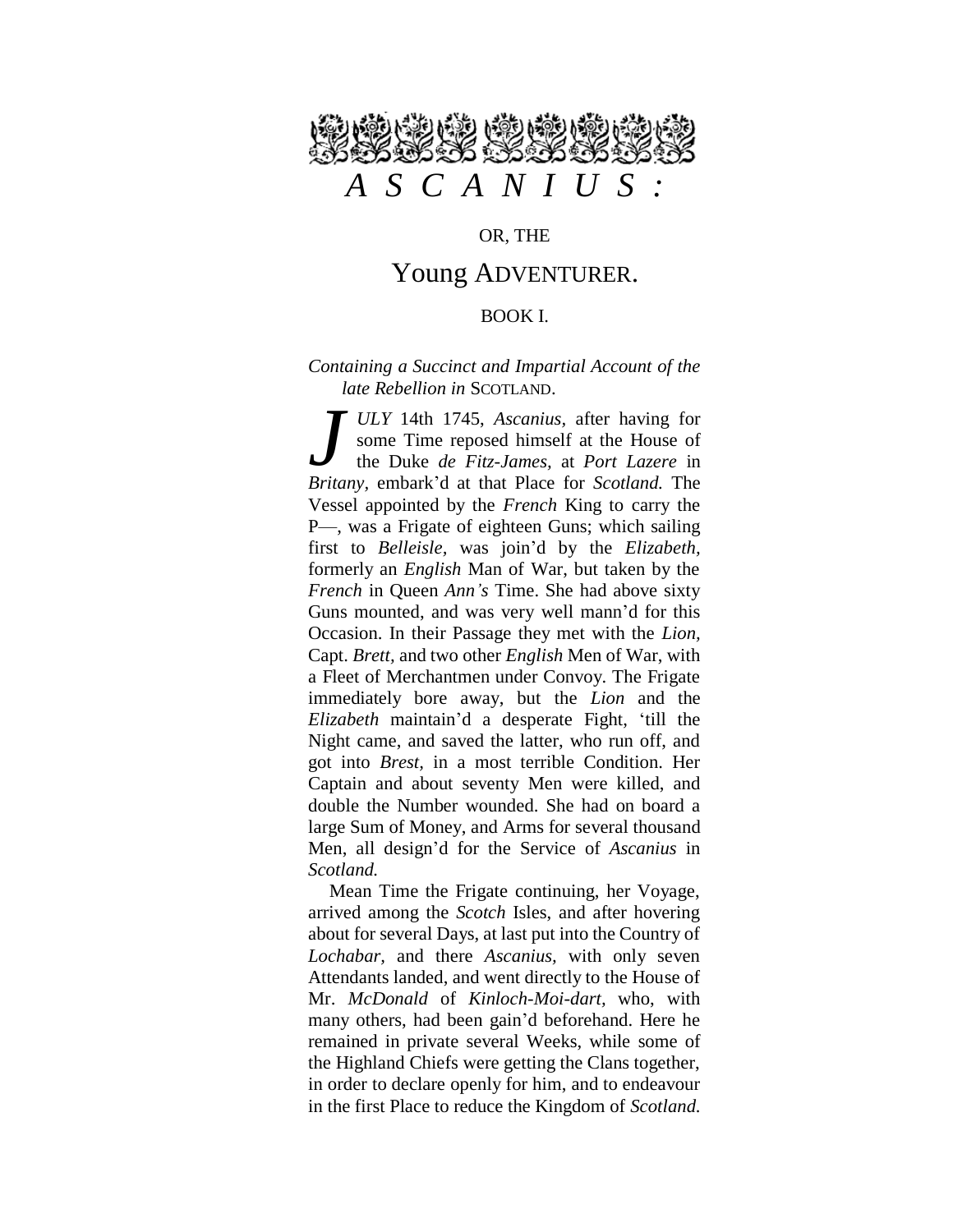

### OR, THE

## Young ADVENTURER.

### BOOK I.

#### *Containing a Succinct and Impartial Account of the late Rebellion in* SCOTLAND.

*ULY* 14th 1745, *Ascanius,* after having for some Time reposed himself at the House of the Duke *de Fitz-James,* at *Port Lazere* in *Britany*, embark'd at that Place for *Scotland.* The *Britany*, embark'd at that Place for *Scotland.* The Vessel appointed by the *French* King to carry the P—, was a Frigate of eighteen Guns; which sailing first to *Belleisle,* was join'd by the *Elizabeth,* formerly an *English* Man of War, but taken by the *French* in Queen *Ann's* Time. She had above sixty Guns mounted, and was very well mann'd for this Occasion. In their Passage they met with the *Lion,*  Capt. *Brett,* and two other *English* Men of War, with a Fleet of Merchantmen under Convoy. The Frigate immediately bore away, but the *Lion* and the *Elizabeth* maintain'd a desperate Fight, 'till the Night came, and saved the latter, who run off, and got into *Brest,* in a most terrible Condition. Her Captain and about seventy Men were killed, and double the Number wounded. She had on board a large Sum of Money, and Arms for several thousand Men, all design'd for the Service of *Ascanius* in *Scotland.*

Mean Time the Frigate continuing, her Voyage, arrived among the *Scotch* Isles, and after hovering about for several Days, at last put into the Country of *Lochabar,* and there *Ascanius,* with only seven Attendants landed, and went directly to the House of Mr. *McDonald* of *Kinloch-Moi-dart,* who, with many others, had been gain'd beforehand. Here he remained in private several Weeks, while some of the Highland Chiefs were getting the Clans together, in order to declare openly for him, and to endeavour in the first Place to reduce the Kingdom of *Scotland.*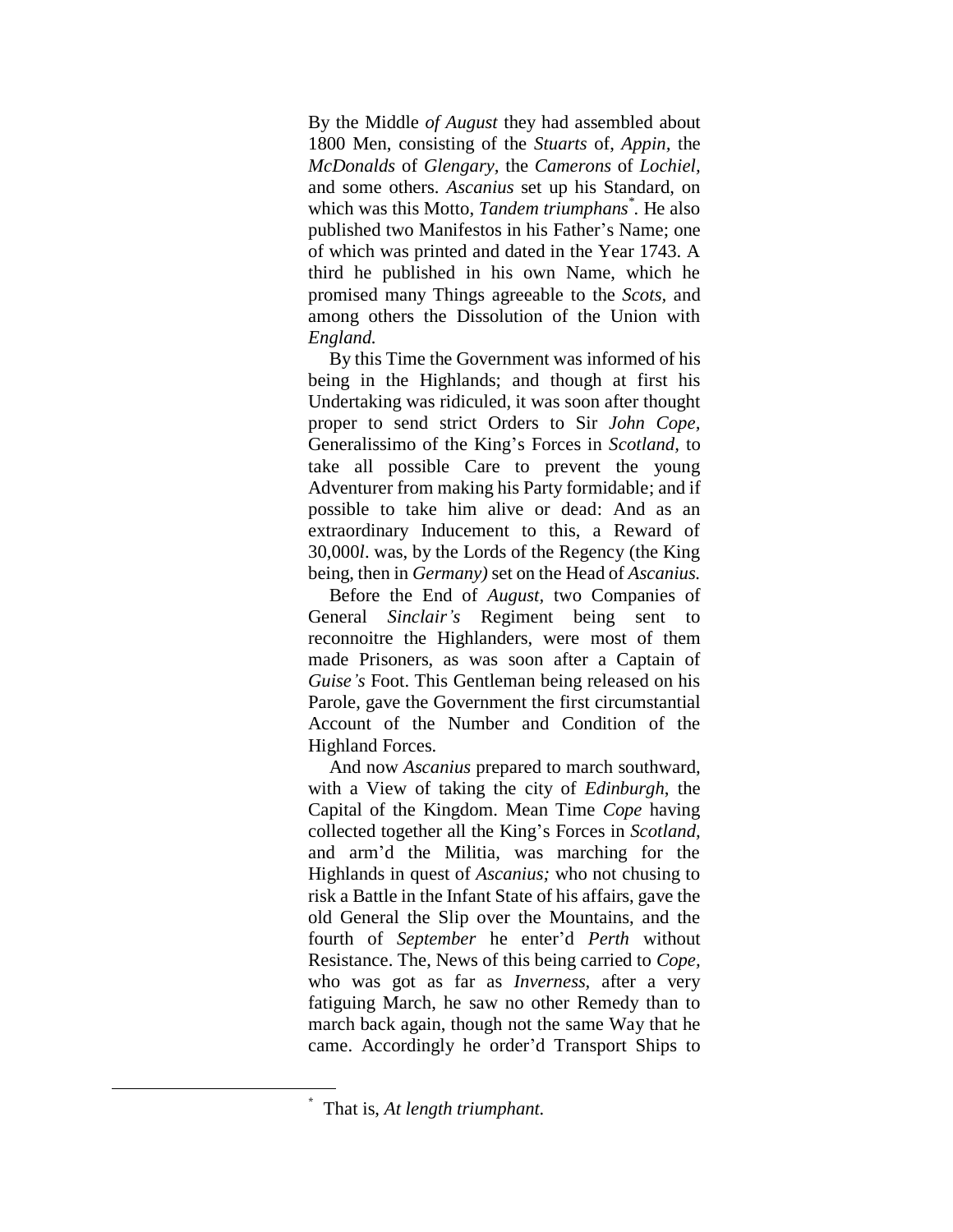By the Middle *of August* they had assembled about 1800 Men, consisting of the *Stuarts* of, *Appin,* the *McDonalds* of *Glengary,* the *Camerons* of *Lochiel,*  and some others. *Ascanius* set up his Standard, on which was this Motto, *Tandem triumphans \* .* He also published two Manifestos in his Father's Name; one of which was printed and dated in the Year 1743. A third he published in his own Name, which he promised many Things agreeable to the *Scots,* and among others the Dissolution of the Union with *England.*

By this Time the Government was informed of his being in the Highlands; and though at first his Undertaking was ridiculed, it was soon after thought proper to send strict Orders to Sir *John Cope,*  Generalissimo of the King's Forces in *Scotland,* to take all possible Care to prevent the young Adventurer from making his Party formidable; and if possible to take him alive or dead: And as an extraordinary Inducement to this, a Reward of 30,000*l*. was, by the Lords of the Regency (the King being, then in *Germany)* set on the Head of *Ascanius.*

Before the End of *August,* two Companies of General *Sinclair's* Regiment being sent to reconnoitre the Highlanders, were most of them made Prisoners, as was soon after a Captain of *Guise's* Foot. This Gentleman being released on his Parole, gave the Government the first circumstantial Account of the Number and Condition of the Highland Forces.

And now *Ascanius* prepared to march southward, with a View of taking the city of *Edinburgh*, the Capital of the Kingdom. Mean Time *Cope* having collected together all the King's Forces in *Scotland,*  and arm'd the Militia, was marching for the Highlands in quest of *Ascanius;* who not chusing to risk a Battle in the Infant State of his affairs, gave the old General the Slip over the Mountains, and the fourth of *September* he enter'd *Perth* without Resistance. The, News of this being carried to *Cope,*  who was got as far as *Inverness,* after a very fatiguing March, he saw no other Remedy than to march back again, though not the same Way that he came. Accordingly he order'd Transport Ships to

\*

That is, *At length triumphant.*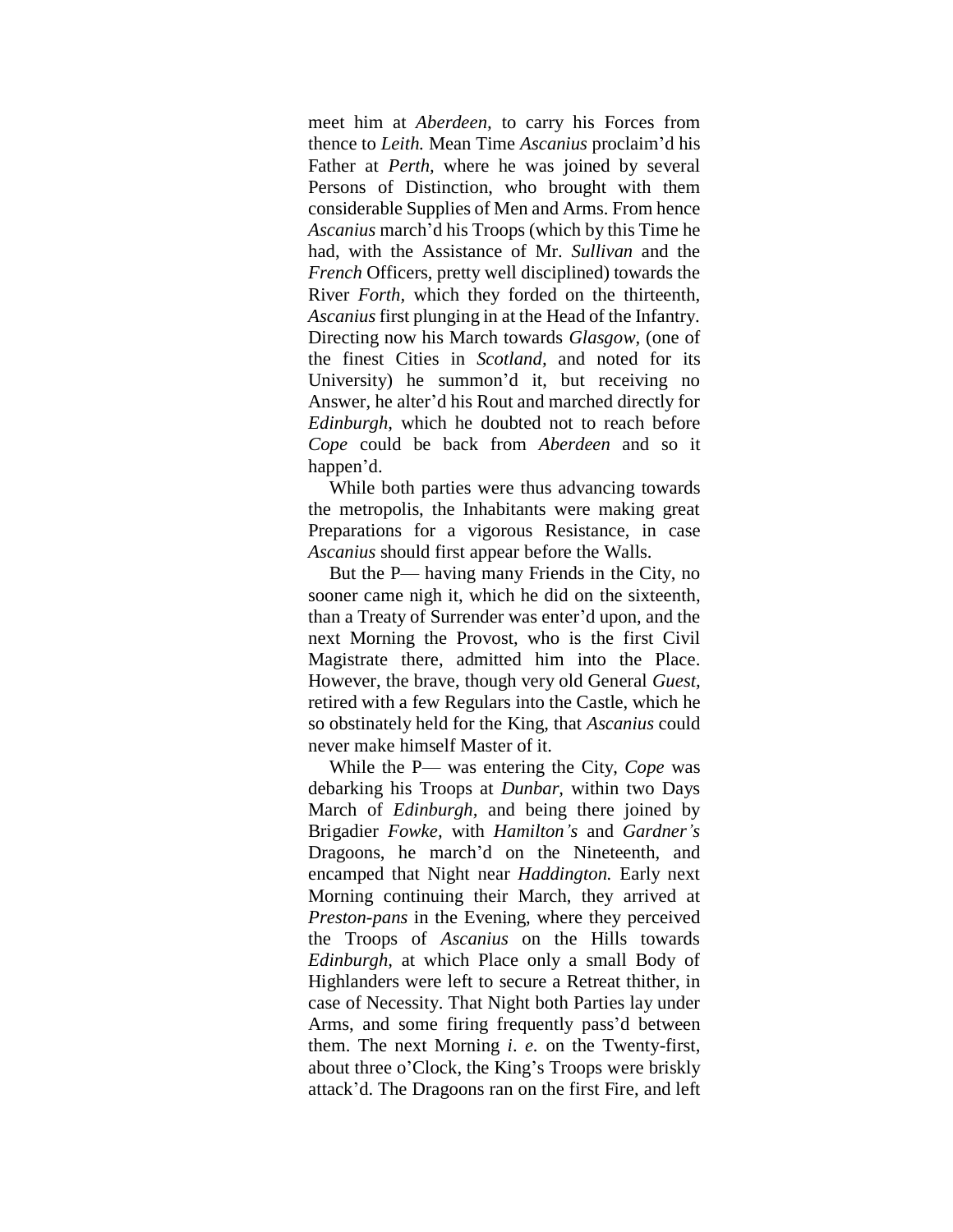meet him at *Aberdeen,* to carry his Forces from thence to *Leith.* Mean Time *Ascanius* proclaim'd his Father at *Perth,* where he was joined by several Persons of Distinction, who brought with them considerable Supplies of Men and Arms. From hence *Ascanius* march'd his Troops (which by this Time he had, with the Assistance of Mr. *Sullivan* and the *French* Officers, pretty well disciplined) towards the River *Forth,* which they forded on the thirteenth, *Ascanius* first plunging in at the Head of the Infantry. Directing now his March towards *Glasgow,* (one of the finest Cities in *Scotland,* and noted for its University) he summon'd it, but receiving no Answer, he alter'd his Rout and marched directly for *Edinburgh,* which he doubted not to reach before *Cope* could be back from *Aberdeen* and so it happen'd.

While both parties were thus advancing towards the metropolis, the Inhabitants were making great Preparations for a vigorous Resistance, in case *Ascanius* should first appear before the Walls.

But the P— having many Friends in the City, no sooner came nigh it, which he did on the sixteenth, than a Treaty of Surrender was enter'd upon, and the next Morning the Provost, who is the first Civil Magistrate there, admitted him into the Place. However, the brave, though very old General *Guest,*  retired with a few Regulars into the Castle, which he so obstinately held for the King, that *Ascanius* could never make himself Master of it.

While the P— was entering the City, *Cope* was debarking his Troops at *Dunbar,* within two Days March of *Edinburgh,* and being there joined by Brigadier *Fowke,* with *Hamilton's* and *Gardner's*  Dragoons, he march'd on the Nineteenth, and encamped that Night near *Haddington.* Early next Morning continuing their March, they arrived at *Preston-pans* in the Evening, where they perceived the Troops of *Ascanius* on the Hills towards *Edinburgh,* at which Place only a small Body of Highlanders were left to secure a Retreat thither, in case of Necessity. That Night both Parties lay under Arms, and some firing frequently pass'd between them. The next Morning *i*. *e.* on the Twenty-first, about three o'Clock, the King's Troops were briskly attack'd. The Dragoons ran on the first Fire, and left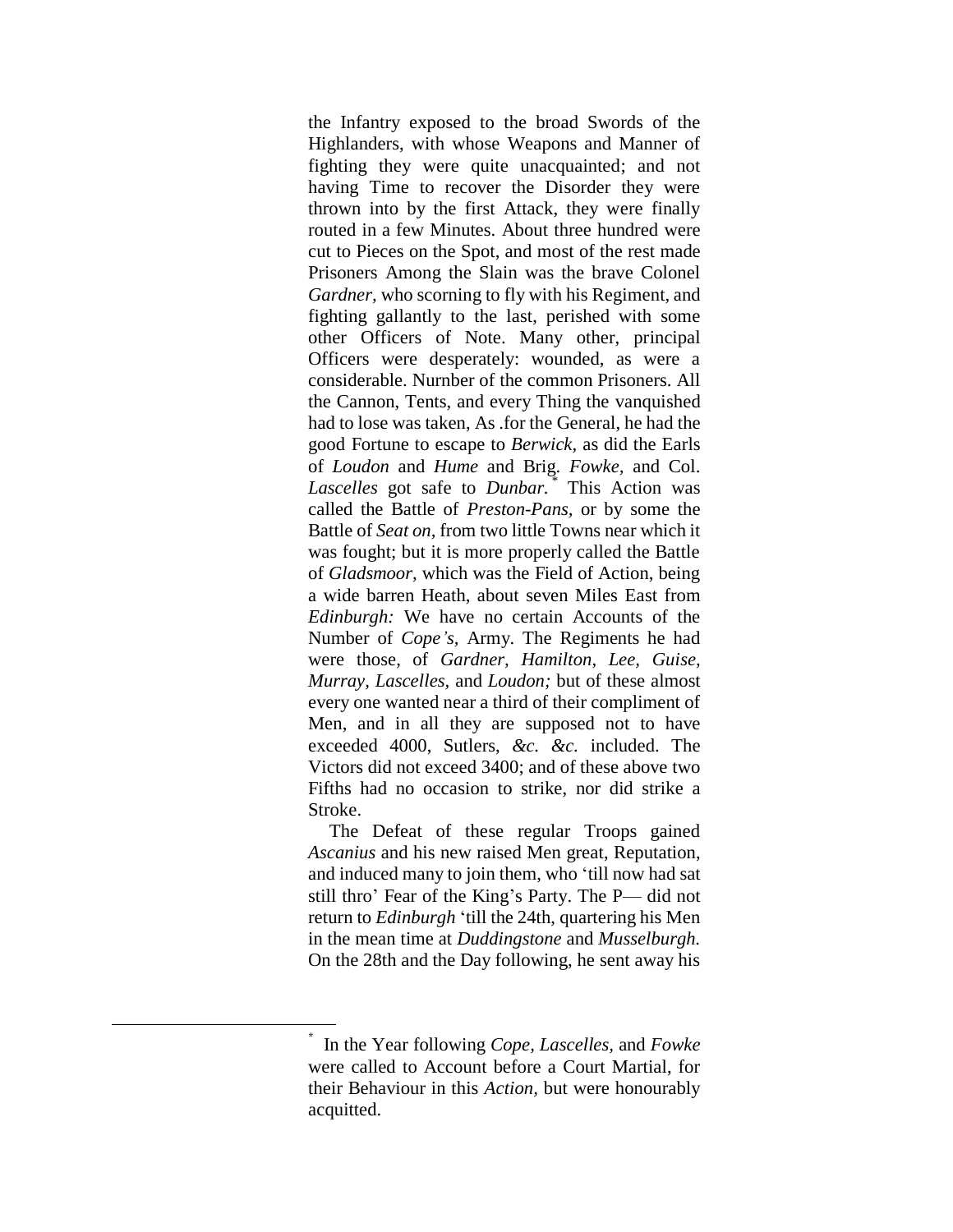the Infantry exposed to the broad Swords of the Highlanders, with whose Weapons and Manner of fighting they were quite unacquainted; and not having Time to recover the Disorder they were thrown into by the first Attack, they were finally routed in a few Minutes. About three hundred were cut to Pieces on the Spot, and most of the rest made Prisoners Among the Slain was the brave Colonel *Gardner,* who scorning to fly with his Regiment, and fighting gallantly to the last, perished with some other Officers of Note. Many other, principal Officers were desperately: wounded, as were a considerable. Nurnber of the common Prisoners. All the Cannon, Tents, and every Thing the vanquished had to lose was taken, As .for the General, he had the good Fortune to escape to *Berwick,* as did the Earls of *Loudon* and *Hume* and Brig. *Fowke,* and Col. *Lascelles* got safe to *Dunbar. \** This Action was called the Battle of *Preston-Pans,* or by some the Battle of *Seat on,* from two little Towns near which it was fought; but it is more properly called the Battle of *Gladsmoor,* which was the Field of Action, being a wide barren Heath, about seven Miles East from *Edinburgh:* We have no certain Accounts of the Number of *Cope's,* Army. The Regiments he had were those, of *Gardner, Hamilton, Lee, Guise, Murray, Lascelles,* and *Loudon;* but of these almost every one wanted near a third of their compliment of Men, and in all they are supposed not to have exceeded 4000, Sutlers, *&c. &c.* included. The Victors did not exceed 3400; and of these above two Fifths had no occasion to strike, nor did strike a Stroke.

The Defeat of these regular Troops gained *Ascanius* and his new raised Men great, Reputation, and induced many to join them, who 'till now had sat still thro' Fear of the King's Party. The P— did not return to *Edinburgh* 'till the 24th, quartering his Men in the mean time at *Duddingstone* and *Musselburgh.*  On the 28th and the Day following, he sent away his

<sup>\*</sup> In the Year following *Cope, Lascelles,* and *Fowke*  were called to Account before a Court Martial, for their Behaviour in this *Action,* but were honourably acquitted.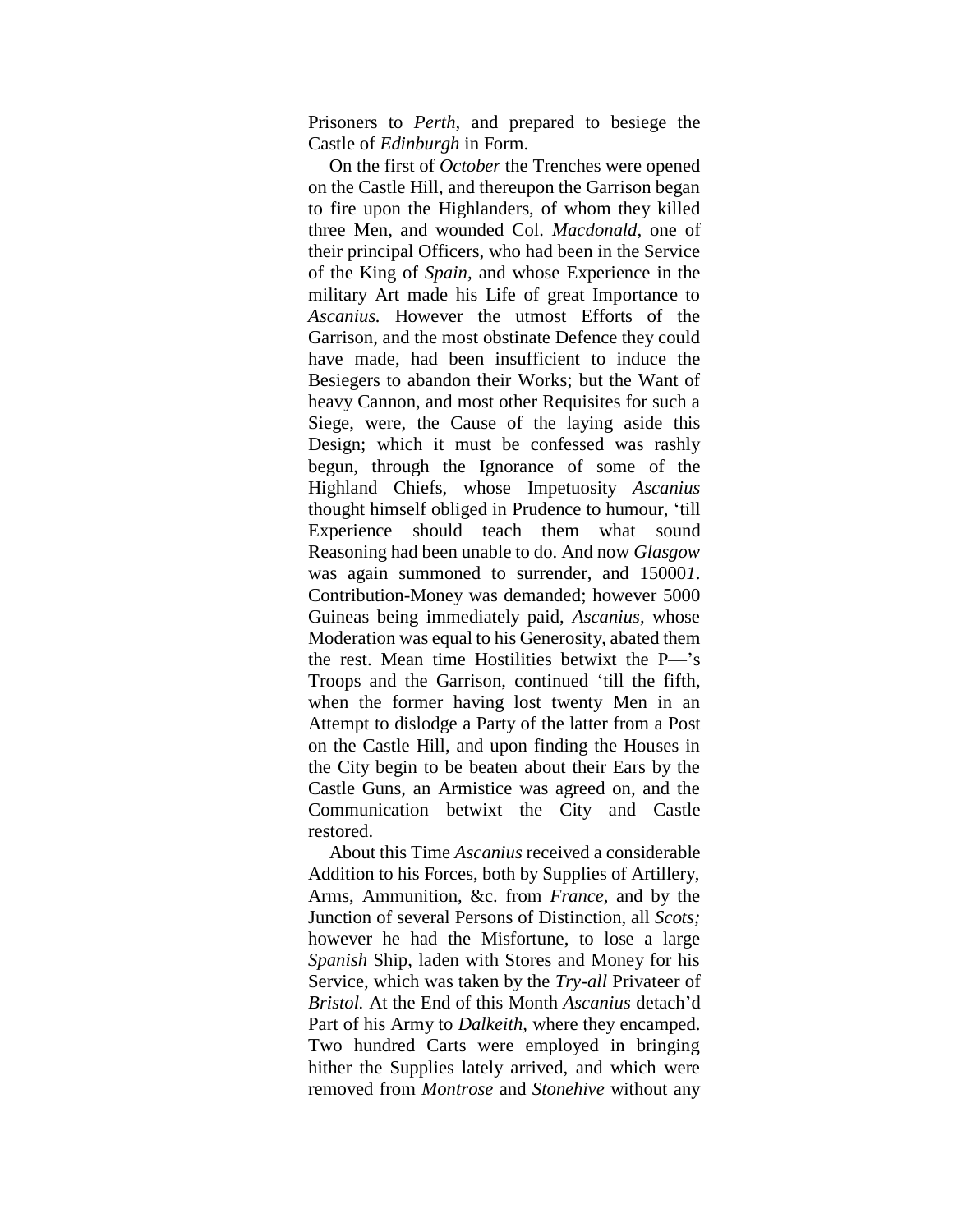Prisoners to *Perth,* and prepared to besiege the Castle of *Edinburgh* in Form.

On the first of *October* the Trenches were opened on the Castle Hill, and thereupon the Garrison began to fire upon the Highlanders, of whom they killed three Men, and wounded Col. *Macdonald,* one of their principal Officers, who had been in the Service of the King of *Spain,* and whose Experience in the military Art made his Life of great Importance to *Ascanius.* However the utmost Efforts of the Garrison, and the most obstinate Defence they could have made, had been insufficient to induce the Besiegers to abandon their Works; but the Want of heavy Cannon, and most other Requisites for such a Siege, were, the Cause of the laying aside this Design; which it must be confessed was rashly begun, through the Ignorance of some of the Highland Chiefs, whose Impetuosity *Ascanius* thought himself obliged in Prudence to humour, 'till Experience should teach them what sound Reasoning had been unable to do. And now *Glasgow*  was again summoned to surrender, and 15000*1*. Contribution-Money was demanded; however 5000 Guineas being immediately paid, *Ascanius,* whose Moderation was equal to his Generosity, abated them the rest. Mean time Hostilities betwixt the P—'s Troops and the Garrison, continued 'till the fifth, when the former having lost twenty Men in an Attempt to dislodge a Party of the latter from a Post on the Castle Hill, and upon finding the Houses in the City begin to be beaten about their Ears by the Castle Guns, an Armistice was agreed on, and the Communication betwixt the City and Castle restored.

About this Time *Ascanius* received a considerable Addition to his Forces, both by Supplies of Artillery, Arms, Ammunition, &c. from *France,* and by the Junction of several Persons of Distinction, all *Scots;* however he had the Misfortune, to lose a large *Spanish* Ship, laden with Stores and Money for his Service, which was taken by the *Try-all* Privateer of *Bristol.* At the End of this Month *Ascanius* detach'd Part of his Army to *Dalkeith,* where they encamped. Two hundred Carts were employed in bringing hither the Supplies lately arrived, and which were removed from *Montrose* and *Stonehive* without any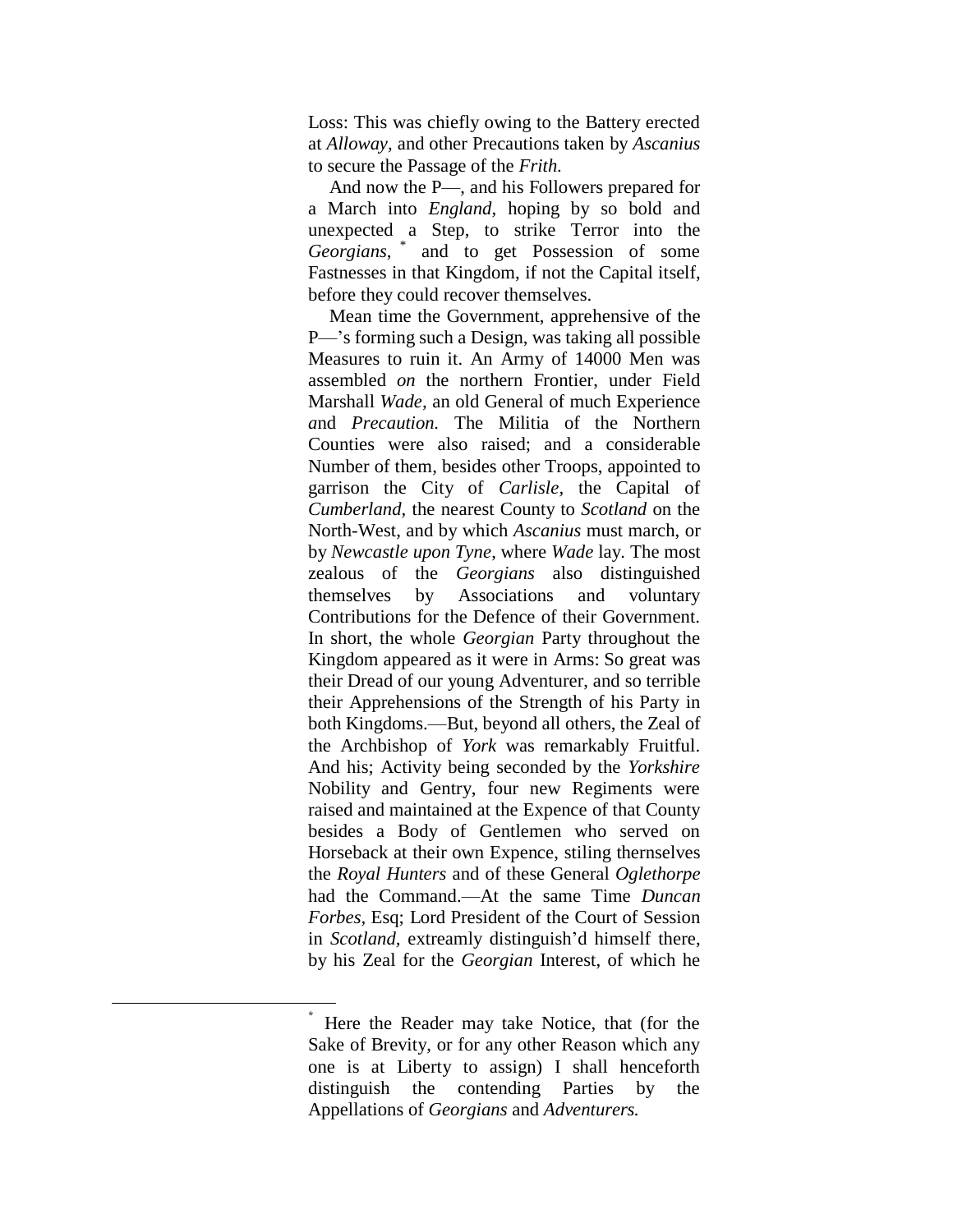Loss: This was chiefly owing to the Battery erected at *Alloway,* and other Precautions taken by *Ascanius* to secure the Passage of the *Frith.*

And now the P—, and his Followers prepared for a March into *England,* hoping by so bold and unexpected a Step, to strike Terror into the *Georgians*, \* and to get Possession of some Fastnesses in that Kingdom, if not the Capital itself, before they could recover themselves.

Mean time the Government, apprehensive of the P—'s forming such a Design, was taking all possible Measures to ruin it. An Army of 14000 Men was assembled *on* the northern Frontier, under Field Marshall *Wade,* an old General of much Experience *a*nd *Precaution.* The Militia of the Northern Counties were also raised; and a considerable Number of them, besides other Troops, appointed to garrison the City of *Carlisle,* the Capital of *Cumberland,* the nearest County to *Scotland* on the North-West, and by which *Ascanius* must march, or by *Newcastle upon Tyne*, where *Wade* lay. The most zealous of the *Georgians* also distinguished themselves by Associations and voluntary Contributions for the Defence of their Government. In short, the whole *Georgian* Party throughout the Kingdom appeared as it were in Arms: So great was their Dread of our young Adventurer, and so terrible their Apprehensions of the Strength of his Party in both Kingdoms.—But, beyond all others, the Zeal of the Archbishop of *York* was remarkably Fruitful. And his; Activity being seconded by the *Yorkshire*  Nobility and Gentry, four new Regiments were raised and maintained at the Expence of that County besides a Body of Gentlemen who served on Horseback at their own Expence, stiling thernselves the *Royal Hunters* and of these General *Oglethorpe*  had the Command.—At the same Time *Duncan Forbes,* Esq; Lord President of the Court of Session in *Scotland,* extreamly distinguish'd himself there, by his Zeal for the *Georgian* Interest, of which he

<sup>\*</sup> Here the Reader may take Notice, that (for the Sake of Brevity, or for any other Reason which any one is at Liberty to assign) I shall henceforth distinguish the contending Parties by the Appellations of *Georgians* and *Adventurers.*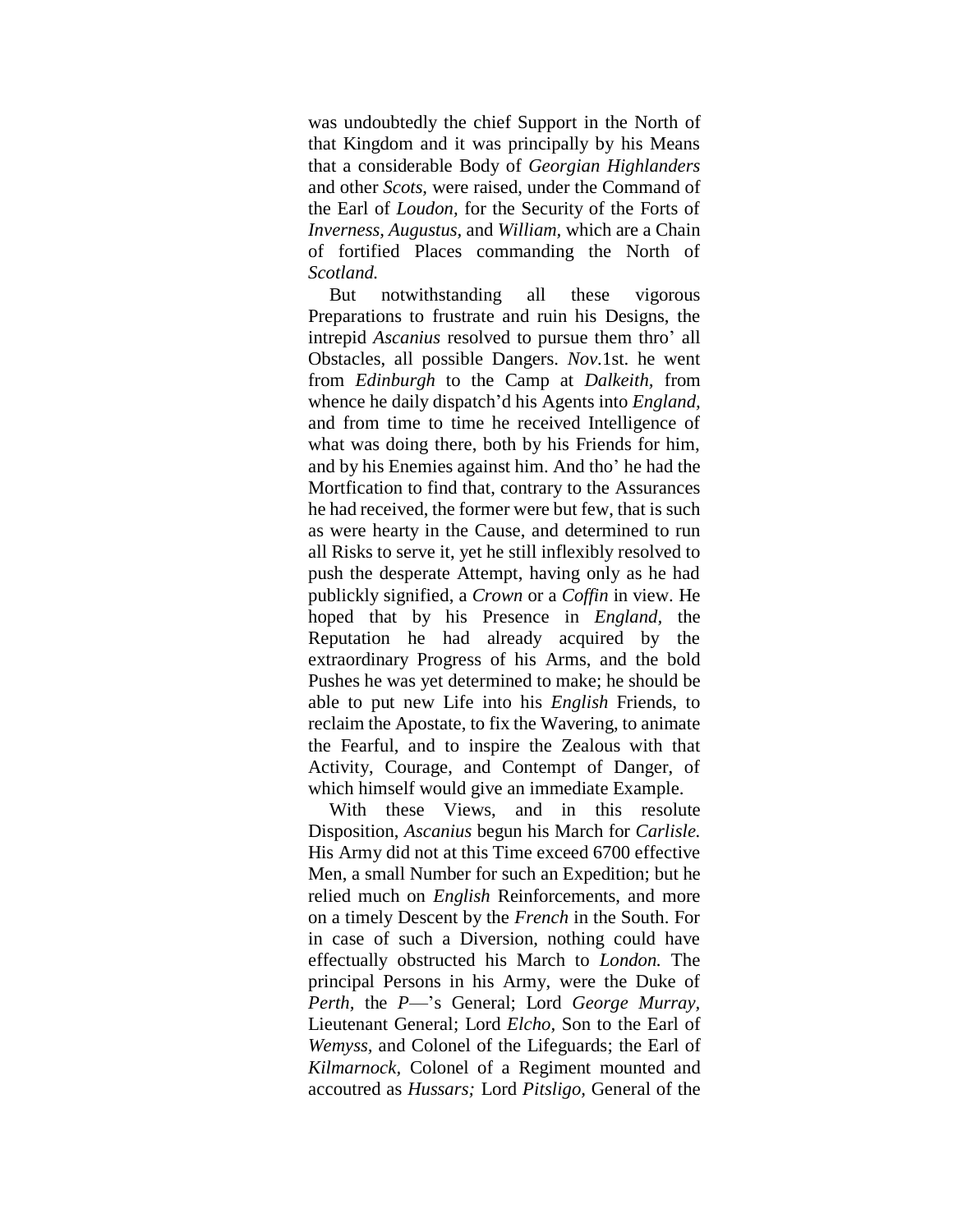was undoubtedly the chief Support in the North of that Kingdom and it was principally by his Means that a considerable Body of *Georgian Highlanders*  and other *Scots,* were raised, under the Command of the Earl of *Loudon,* for the Security of the Forts of *Inverness, Augustus,* and *William,* which are a Chain of fortified Places commanding the North of *Scotland.*

But notwithstanding all these vigorous Preparations to frustrate and ruin his Designs, the intrepid *Ascanius* resolved to pursue them thro' all Obstacles, all possible Dangers. *Nov.*1st. he went from *Edinburgh* to the Camp at *Dalkeith,* from whence he daily dispatch'd his Agents into *England,*  and from time to time he received Intelligence of what was doing there, both by his Friends for him, and by his Enemies against him. And tho' he had the Mortfication to find that, contrary to the Assurances he had received, the former were but few, that is such as were hearty in the Cause, and determined to run all Risks to serve it, yet he still inflexibly resolved to push the desperate Attempt, having only as he had publickly signified, a *Crown* or a *Coffin* in view. He hoped that by his Presence in *England,* the Reputation he had already acquired by the extraordinary Progress of his Arms, and the bold Pushes he was yet determined to make; he should be able to put new Life into his *English* Friends, to reclaim the Apostate, to fix the Wavering, to animate the Fearful, and to inspire the Zealous with that Activity, Courage, and Contempt of Danger, of which himself would give an immediate Example.

With these Views, and in this resolute Disposition, *Ascanius* begun his March for *Carlisle.* His Army did not at this Time exceed 6700 effective Men, a small Number for such an Expedition; but he relied much on *English* Reinforcements, and more on a timely Descent by the *French* in the South. For in case of such a Diversion, nothing could have effectually obstructed his March to *London.* The principal Persons in his Army, were the Duke of *Perth,* the *P*—'s General; Lord *George Murray,*  Lieutenant General; Lord *Elcho,* Son to the Earl of *Wemyss,* and Colonel of the Lifeguards; the Earl of *Kilmarnock,* Colonel of a Regiment mounted and accoutred as *Hussars;* Lord *Pitsligo,* General of the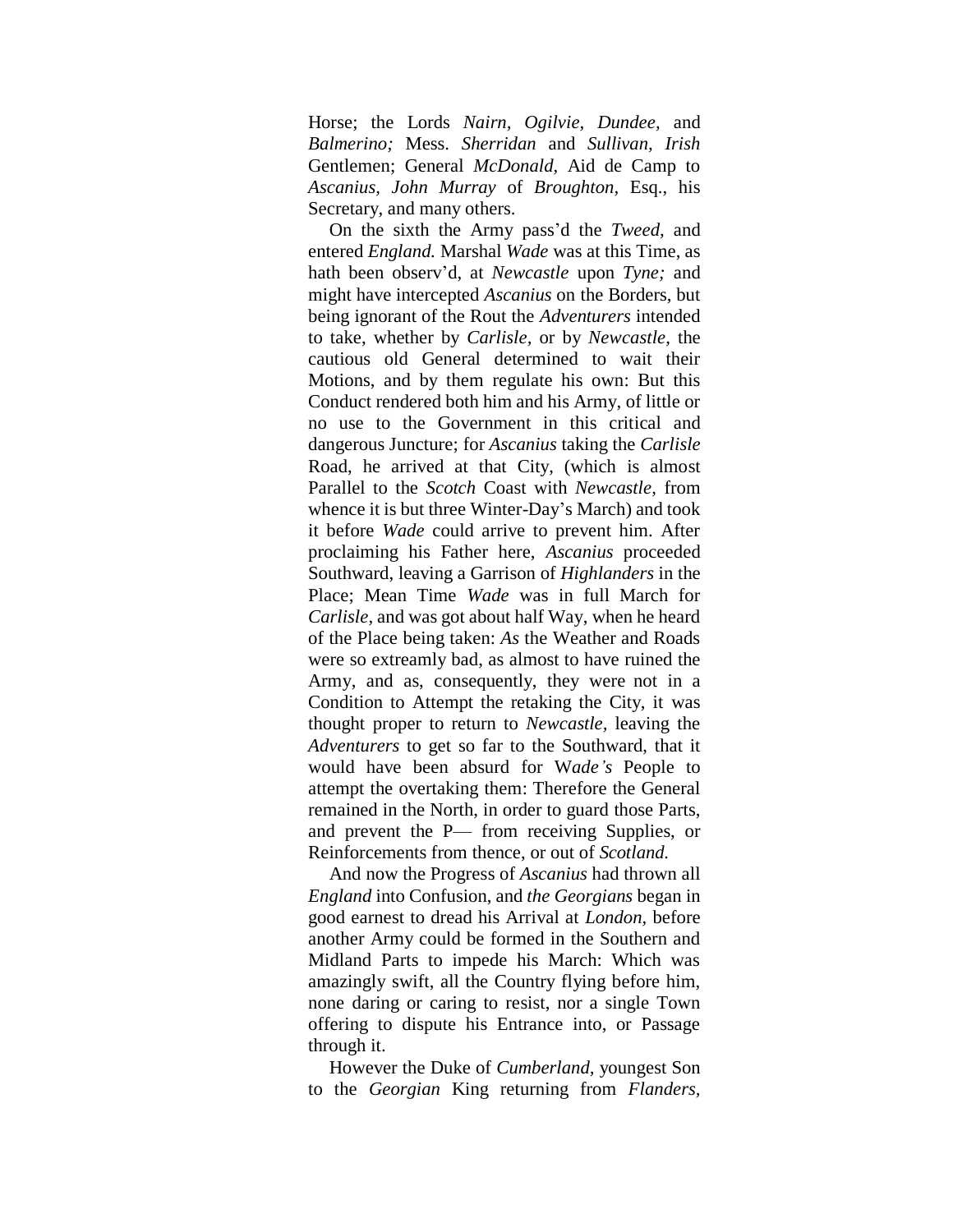Horse; the Lords *Nairn, Ogilvie, Dundee,* and *Balmerino;* Mess. *Sherridan* and *Sullivan, Irish*  Gentlemen; General *McDonald,* Aid de Camp to *Ascanius, John Murray* of *Broughton,* Esq., his Secretary, and many others.

On the sixth the Army pass'd the *Tweed,* and entered *England.* Marshal *Wade* was at this Time, as hath been observ'd, at *Newcastle* upon *Tyne;* and might have intercepted *Ascanius* on the Borders, but being ignorant of the Rout the *Adventurers* intended to take, whether by *Carlisle,* or by *Newcastle,* the cautious old General determined to wait their Motions, and by them regulate his own: But this Conduct rendered both him and his Army, of little or no use to the Government in this critical and dangerous Juncture; for *Ascanius* taking the *Carlisle*  Road, he arrived at that City, (which is almost Parallel to the *Scotch* Coast with *Newcastle,* from whence it is but three Winter-Day's March) and took it before *Wade* could arrive to prevent him. After proclaiming his Father here, *Ascanius* proceeded Southward, leaving a Garrison of *Highlanders* in the Place; Mean Time *Wade* was in full March for *Carlisle,* and was got about half Way, when he heard of the Place being taken: *As* the Weather and Roads were so extreamly bad, as almost to have ruined the Army, and as, consequently, they were not in a Condition to Attempt the retaking the City, it was thought proper to return to *Newcastle,* leaving the *Adventurers* to get so far to the Southward, that it would have been absurd for W*ade's* People to attempt the overtaking them: Therefore the General remained in the North, in order to guard those Parts, and prevent the P— from receiving Supplies, or Reinforcements from thence, or out of *Scotland.*

And now the Progress of *Ascanius* had thrown all *England* into Confusion, and *the Georgians* began in good earnest to dread his Arrival at *London,* before another Army could be formed in the Southern and Midland Parts to impede his March: Which was amazingly swift, all the Country flying before him, none daring or caring to resist, nor a single Town offering to dispute his Entrance into, or Passage through it.

However the Duke of *Cumberland,* youngest Son to the *Georgian* King returning from *Flanders,*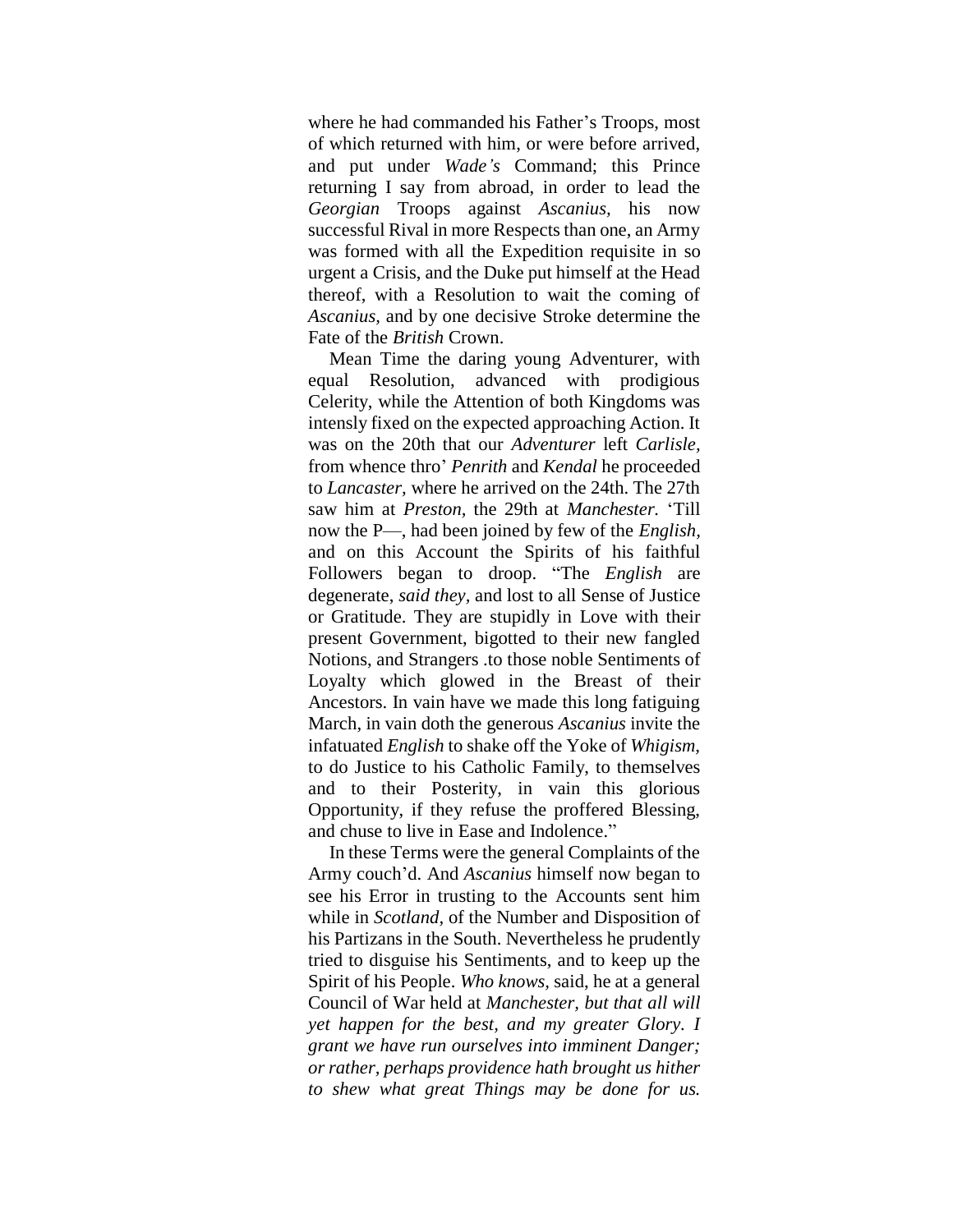where he had commanded his Father's Troops, most of which returned with him, or were before arrived, and put under *Wade's* Command; this Prince returning I say from abroad, in order to lead the *Georgian* Troops against *Ascanius,* his now successful Rival in more Respects than one, an Army was formed with all the Expedition requisite in so urgent a Crisis, and the Duke put himself at the Head thereof, with a Resolution to wait the coming of *Ascanius,* and by one decisive Stroke determine the Fate of the *British* Crown.

Mean Time the daring young Adventurer, with equal Resolution, advanced with prodigious Celerity, while the Attention of both Kingdoms was intensly fixed on the expected approaching Action. It was on the 20th that our *Adventurer* left *Carlisle,*  from whence thro' *Penrith* and *Kendal* he proceeded to *Lancaster,* where he arrived on the 24th. The 27th saw him at *Preston,* the 29th at *Manchester.* 'Till now the P—, had been joined by few of the *English,*  and on this Account the Spirits of his faithful Followers began to droop. "The *English* are degenerate, *said they,* and lost to all Sense of Justice or Gratitude. They are stupidly in Love with their present Government, bigotted to their new fangled Notions, and Strangers .to those noble Sentiments of Loyalty which glowed in the Breast of their Ancestors. In vain have we made this long fatiguing March, in vain doth the generous *Ascanius* invite the infatuated *English* to shake off the Yoke of *Whigism,* to do Justice to his Catholic Family, to themselves and to their Posterity, in vain this glorious Opportunity, if they refuse the proffered Blessing, and chuse to live in Ease and Indolence."

In these Terms were the general Complaints of the Army couch'd. And *Ascanius* himself now began to see his Error in trusting to the Accounts sent him while in *Scotland,* of the Number and Disposition of his Partizans in the South. Nevertheless he prudently tried to disguise his Sentiments, and to keep up the Spirit of his People. *Who knows,* said, he at a general Council of War held at *Manchester, but that all will yet happen for the best, and my greater Glory. I grant we have run ourselves into imminent Danger; or rather, perhaps providence hath brought us hither to shew what great Things may be done for us.*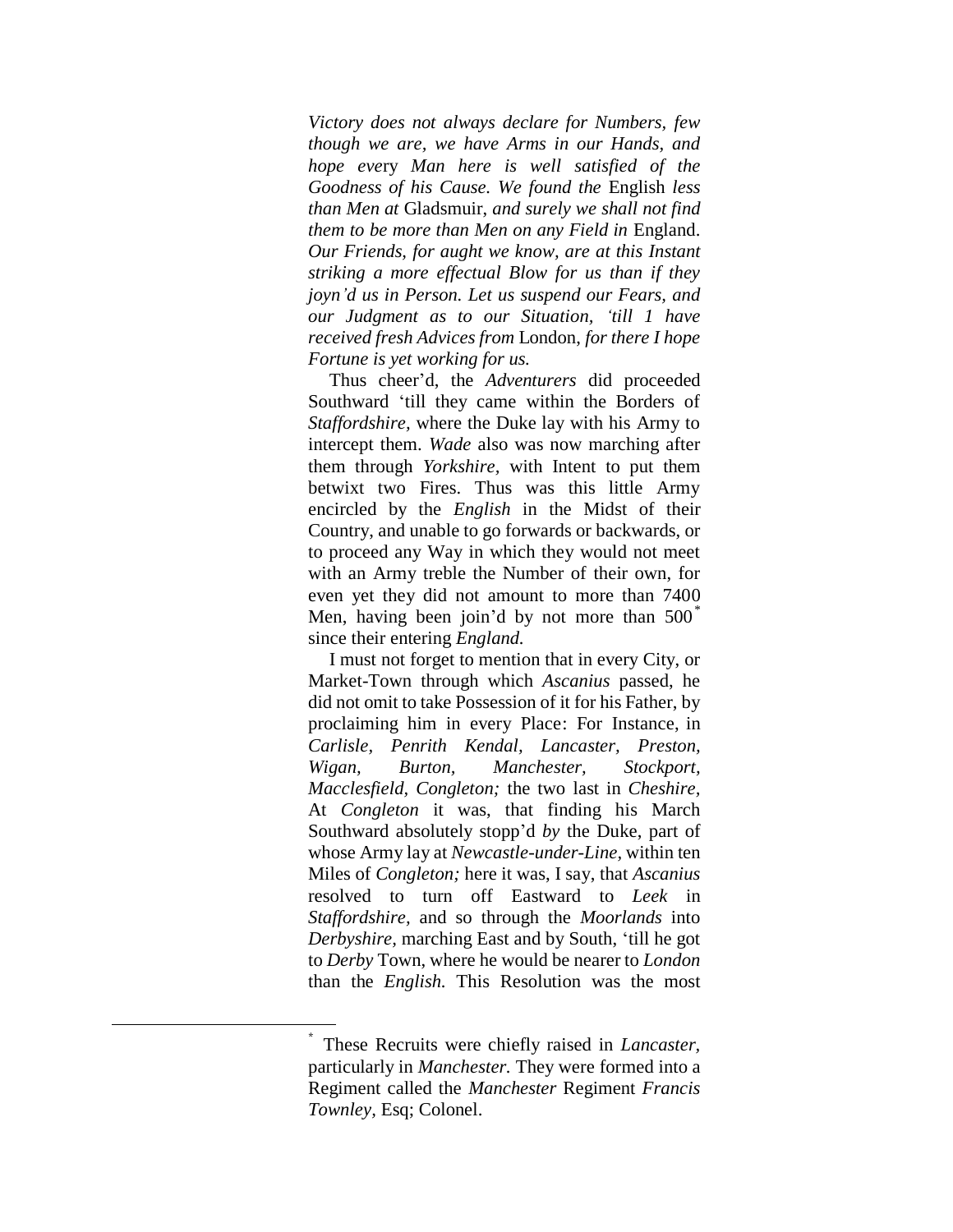*Victory does not always declare for Numbers, few though we are, we have Arms in our Hands, and hope eve*ry *Man here is well satisfied of the Goodness of his Cause. We found the* English *less than Men at* Gladsmuir, *and surely we shall not find them to be more than Men on any Field in* England. *Our Friends, for aught we know, are at this Instant striking a more effectual Blow for us than if they joyn'd us in Person. Let us suspend our Fears, and our Judgment as to our Situation, 'till 1 have received fresh Advices from* London, *for there I hope Fortune is yet working for us.*

Thus cheer'd, the *Adventurers* did proceeded Southward 'till they came within the Borders of *Staffordshire,* where the Duke lay with his Army to intercept them. *Wade* also was now marching after them through *Yorkshire,* with Intent to put them betwixt two Fires. Thus was this little Army encircled by the *English* in the Midst of their Country, and unable to go forwards or backwards, or to proceed any Way in which they would not meet with an Army treble the Number of their own, for even yet they did not amount to more than 7400 Men, having been join'd by not more than  $500^{\degree}$ since their entering *England.*

I must not forget to mention that in every City, or Market-Town through which *Ascanius* passed, he did not omit to take Possession of it for his Father, by proclaiming him in every Place: For Instance, in *Carlisle, Penrith Kendal, Lancaster, Preston, Wigan, Burton, Manchester, Stockport, Macclesfield, Congleton;* the two last in *Cheshire,* At *Congleton* it was, that finding his March Southward absolutely stopp'd *by* the Duke, part of whose Army lay at *Newcastle-under-Line,* within ten Miles of *Congleton;* here it was, I say, that *Ascanius* resolved to turn off Eastward to *Leek* in *Staffordshire,* and so through the *Moorlands* into *Derbyshire,* marching East and by South, 'till he got to *Derby* Town, where he would be nearer to *London*  than the *English.* This Resolution was the most

<sup>\*</sup> These Recruits were chiefly raised in *Lancaster,*  particularly in *Manchester.* They were formed into a Regiment called the *Manchester* Regiment *Francis Townley,* Esq; Colonel.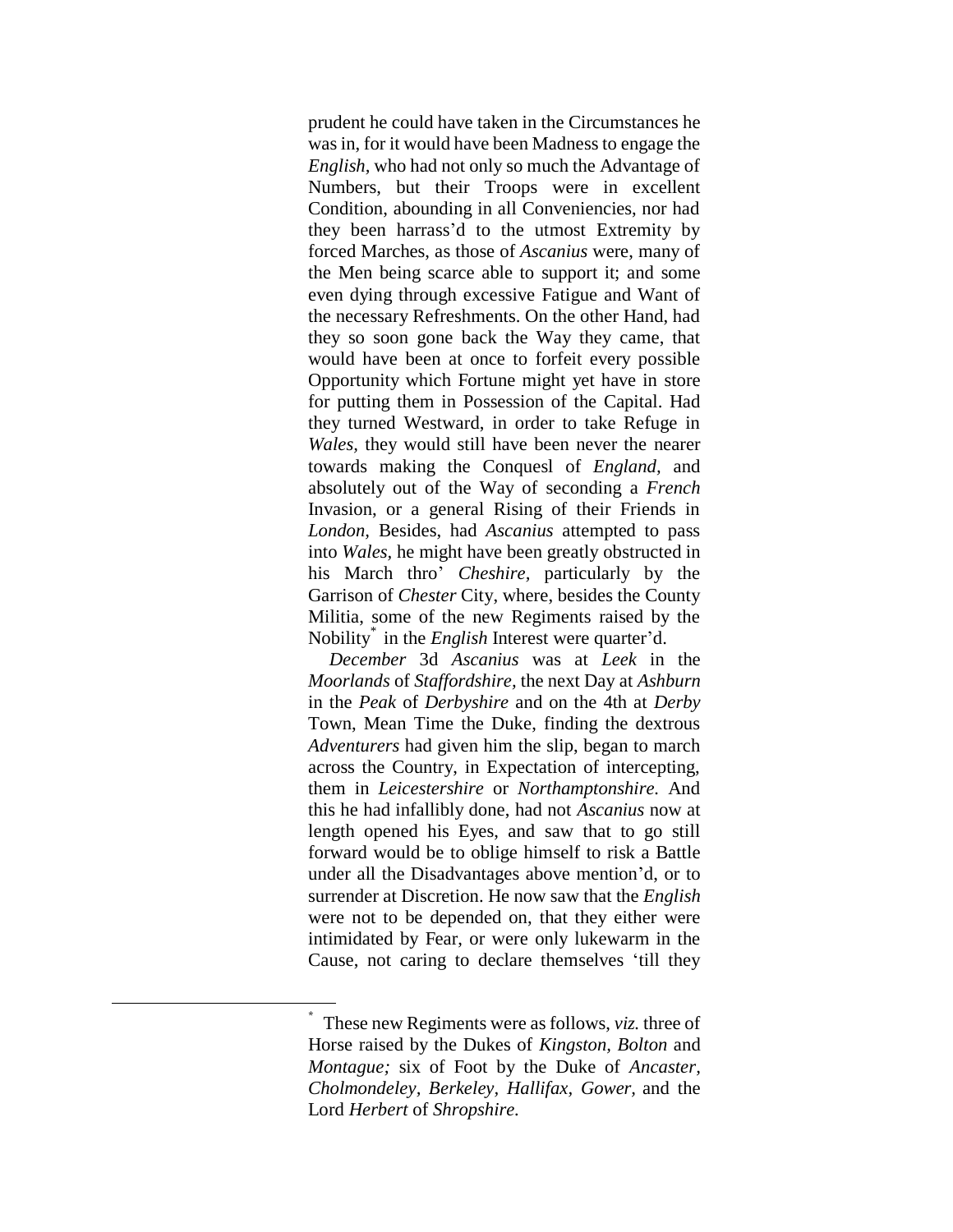prudent he could have taken in the Circumstances he was in, for it would have been Madness to engage the *English,* who had not only so much the Advantage of Numbers, but their Troops were in excellent Condition, abounding in all Conveniencies, nor had they been harrass'd to the utmost Extremity by forced Marches, as those of *Ascanius* were, many of the Men being scarce able to support it; and some even dying through excessive Fatigue and Want of the necessary Refreshments. On the other Hand, had they so soon gone back the Way they came, that would have been at once to forfeit every possible Opportunity which Fortune might yet have in store for putting them in Possession of the Capital. Had they turned Westward, in order to take Refuge in *Wales,* they would still have been never the nearer towards making the Conquesl of *England,* and absolutely out of the Way of seconding a *French*  Invasion, or a general Rising of their Friends in *London,* Besides, had *Ascanius* attempted to pass into *Wales,* he might have been greatly obstructed in his March thro' *Cheshire,* particularly by the Garrison of *Chester* City, where, besides the County Militia, some of the new Regiments raised by the Nobility\* in the *English* Interest were quarter'd.

*December* 3d *Ascanius* was at *Leek* in the *Moorlands* of *Staffordshire,* the next Day at *Ashburn*  in the *Peak* of *Derbyshire* and on the 4th at *Derby*  Town, Mean Time the Duke, finding the dextrous *Adventurers* had given him the slip, began to march across the Country, in Expectation of intercepting, them in *Leicestershire* or *Northamptonshire.* And this he had infallibly done, had not *Ascanius* now at length opened his Eyes, and saw that to go still forward would be to oblige himself to risk a Battle under all the Disadvantages above mention'd, or to surrender at Discretion. He now saw that the *English*  were not to be depended on, that they either were intimidated by Fear, or were only lukewarm in the Cause, not caring to declare themselves 'till they

<sup>\*</sup> These new Regiments were as follows, *viz.* three of Horse raised by the Dukes of *Kingston, Bolton* and *Montague;* six of Foot by the Duke of *Ancaster, Cholmondeley, Berkeley, Hallifax, Gower,* and the Lord *Herbert* of *Shropshire.*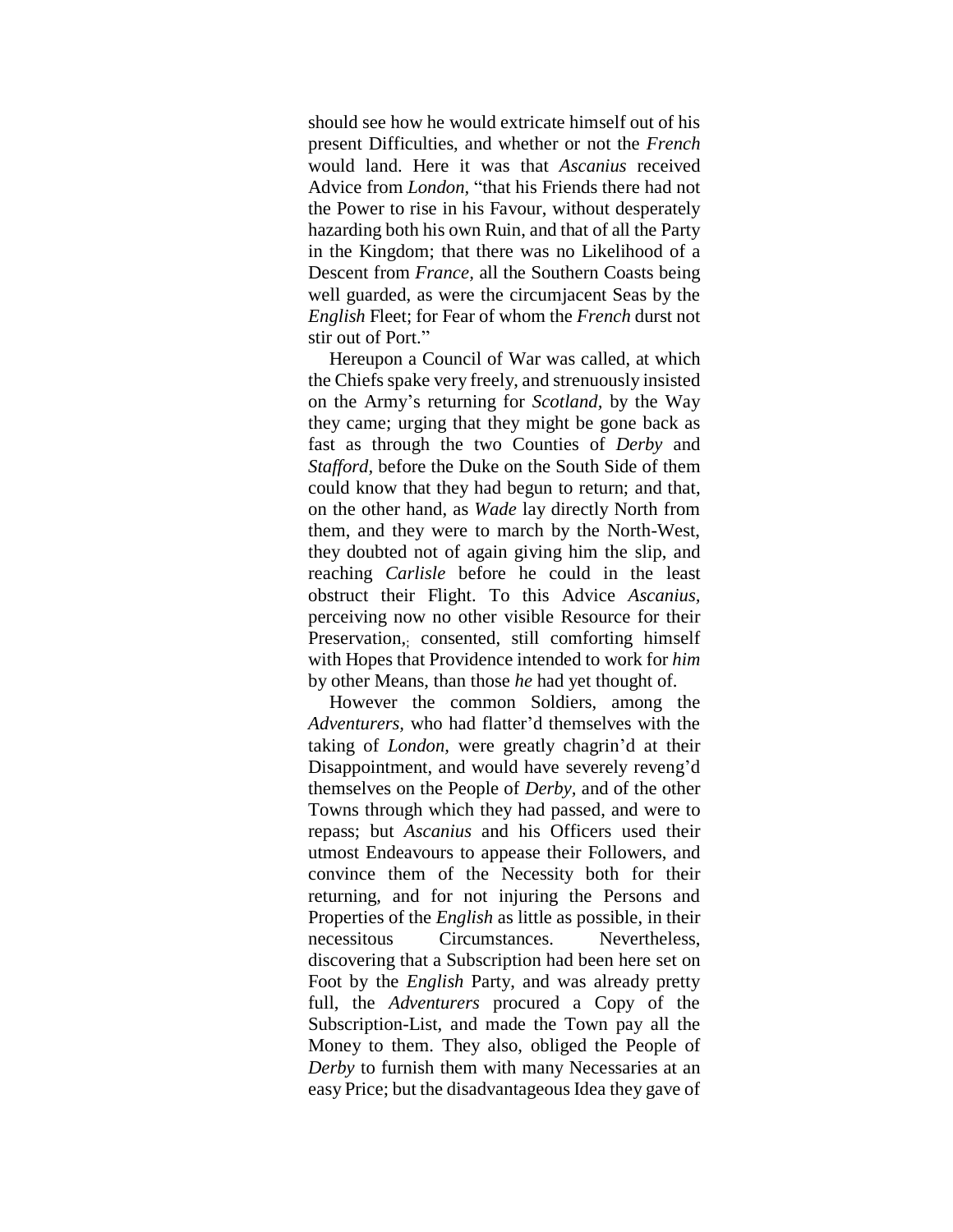should see how he would extricate himself out of his present Difficulties, and whether or not the *French*  would land. Here it was that *Ascanius* received Advice from *London,* "that his Friends there had not the Power to rise in his Favour, without desperately hazarding both his own Ruin, and that of all the Party in the Kingdom; that there was no Likelihood of a Descent from *France,* all the Southern Coasts being well guarded, as were the circumjacent Seas by the *English* Fleet; for Fear of whom the *French* durst not stir out of Port."

Hereupon a Council of War was called, at which the Chiefs spake very freely, and strenuously insisted on the Army's returning for *Scotland,* by the Way they came; urging that they might be gone back as fast as through the two Counties of *Derby* and *Stafford,* before the Duke on the South Side of them could know that they had begun to return; and that, on the other hand, as *Wade* lay directly North from them, and they were to march by the North-West, they doubted not of again giving him the slip, and reaching *Carlisle* before he could in the least obstruct their Flight. To this Advice *Ascanius,*  perceiving now no other visible Resource for their Preservation, consented, still comforting himself with Hopes that Providence intended to work for *him*  by other Means, than those *he* had yet thought of.

However the common Soldiers, among the *Adventurers,* who had flatter'd themselves with the taking of *London,* were greatly chagrin'd at their Disappointment, and would have severely reveng'd themselves on the People of *Derby,* and of the other Towns through which they had passed, and were to repass; but *Ascanius* and his Officers used their utmost Endeavours to appease their Followers, and convince them of the Necessity both for their returning, and for not injuring the Persons and Properties of the *English* as little as possible, in their necessitous Circumstances. Nevertheless, discovering that a Subscription had been here set on Foot by the *English* Party, and was already pretty full, the *Adventurers* procured a Copy of the Subscription-List, and made the Town pay all the Money to them. They also, obliged the People of *Derby* to furnish them with many Necessaries at an easy Price; but the disadvantageous Idea they gave of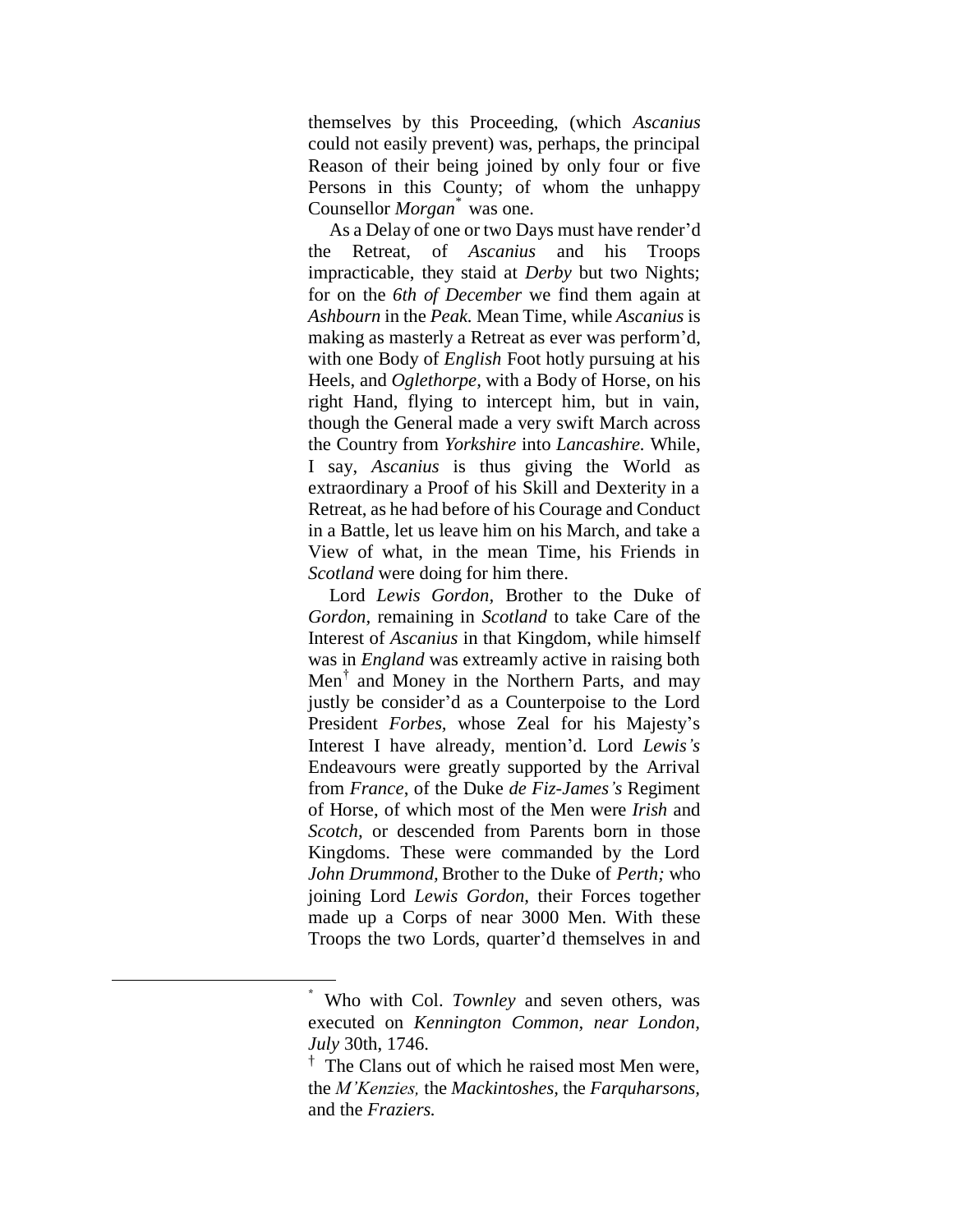themselves by this Proceeding, (which *Ascanius* could not easily prevent) was, perhaps, the principal Reason of their being joined by only four or five Persons in this County; of whom the unhappy Counsellor *Morgan \** was one.

As a Delay of one or two Days must have render'd the Retreat, of *Ascanius* and his Troops impracticable, they staid at *Derby* but two Nights; for on the *6th of December* we find them again at *Ashbourn* in the *Peak.* Mean Time, while *Ascanius* is making as masterly a Retreat as ever was perform'd, with one Body of *English* Foot hotly pursuing at his Heels, and *Oglethorpe,* with a Body of Horse, on his right Hand, flying to intercept him, but in vain, though the General made a very swift March across the Country from *Yorkshire* into *Lancashire.* While, I say, *Ascanius* is thus giving the World as extraordinary a Proof of his Skill and Dexterity in a Retreat, as he had before of his Courage and Conduct in a Battle, let us leave him on his March, and take a View of what, in the mean Time, his Friends in *Scotland* were doing for him there.

Lord *Lewis Gordon,* Brother to the Duke of *Gordon,* remaining in *Scotland* to take Care of the Interest of *Ascanius* in that Kingdom, while himself was in *England* was extreamly active in raising both Men† and Money in the Northern Parts, and may justly be consider'd as a Counterpoise to the Lord President *Forbes,* whose Zeal for his Majesty's Interest I have already, mention'd. Lord *Lewis's*  Endeavours were greatly supported by the Arrival from *France*, of the Duke *de Fiz-James's* Regiment of Horse, of which most of the Men were *Irish* and *Scotch,* or descended from Parents born in those Kingdoms. These were commanded by the Lord *John Drummond,* Brother to the Duke of *Perth;* who joining Lord *Lewis Gordon,* their Forces together made up a Corps of near 3000 Men. With these Troops the two Lords, quarter'd themselves in and

<sup>\*</sup> Who with Col. *Townley* and seven others, was executed on *Kennington Common, near London, July* 30th, 1746.

<sup>&</sup>lt;sup>†</sup> The Clans out of which he raised most Men were, the *M'Kenzies,* the *Mackintoshes,* the *Farquharsons,*  and the *Fraziers.*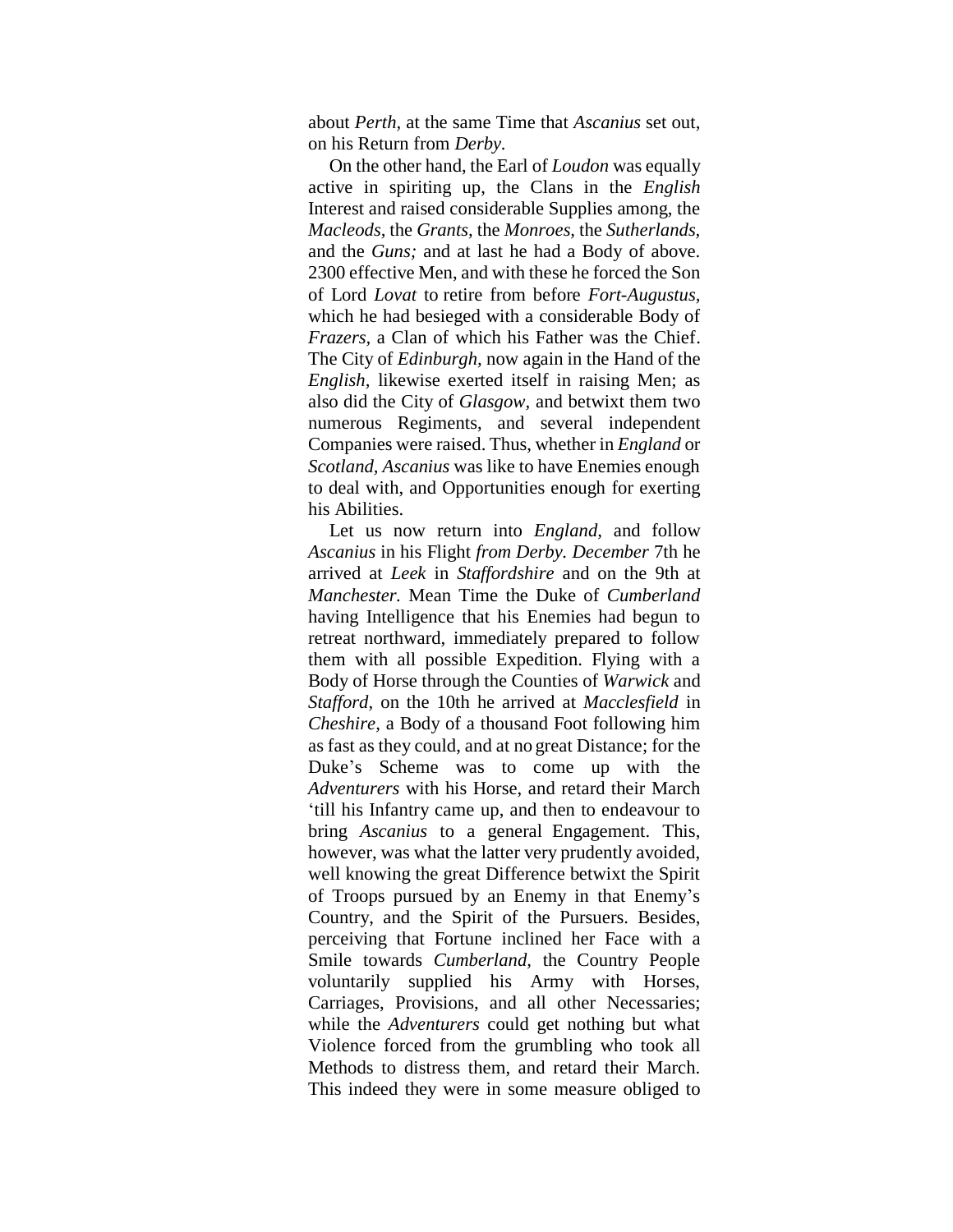about *Perth,* at the same Time that *Ascanius* set out, on his Return from *Derby.*

On the other hand, the Earl of *Loudon* was equally active in spiriting up, the Clans in the *English* Interest and raised considerable Supplies among, the *Macleods,* the *Grants,* the *Monroes,* the *Sutherlands,*  and the *Guns;* and at last he had a Body of above. 2300 effective Men, and with these he forced the Son of Lord *Lovat* to retire from before *Fort-Augustus,*  which he had besieged with a considerable Body of *Frazers,* a Clan of which his Father was the Chief. The City of *Edinburgh,* now again in the Hand of the *English,* likewise exerted itself in raising Men; as also did the City of *Glasgow,* and betwixt them two numerous Regiments, and several independent Companies were raised. Thus, whether in *England* or *Scotland, Ascanius* was like to have Enemies enough to deal with, and Opportunities enough for exerting his Abilities.

Let us now return into *England*, and follow *Ascanius* in his Flight *from Derby. December* 7th he arrived at *Leek* in *Staffordshire* and on the 9th at *Manchester.* Mean Time the Duke of *Cumberland*  having Intelligence that his Enemies had begun to retreat northward, immediately prepared to follow them with all possible Expedition. Flying with a Body of Horse through the Counties of *Warwick* and *Stafford,* on the 10th he arrived at *Macclesfield* in *Cheshire,* a Body of a thousand Foot following him as fast as they could, and at no great Distance; for the Duke's Scheme was to come up with the *Adventurers* with his Horse, and retard their March 'till his Infantry came up, and then to endeavour to bring *Ascanius* to a general Engagement. This, however, was what the latter very prudently avoided, well knowing the great Difference betwixt the Spirit of Troops pursued by an Enemy in that Enemy's Country, and the Spirit of the Pursuers. Besides, perceiving that Fortune inclined her Face with a Smile towards *Cumberland,* the Country People voluntarily supplied his Army with Horses, Carriages, Provisions, and all other Necessaries; while the *Adventurers* could get nothing but what Violence forced from the grumbling who took all Methods to distress them, and retard their March. This indeed they were in some measure obliged to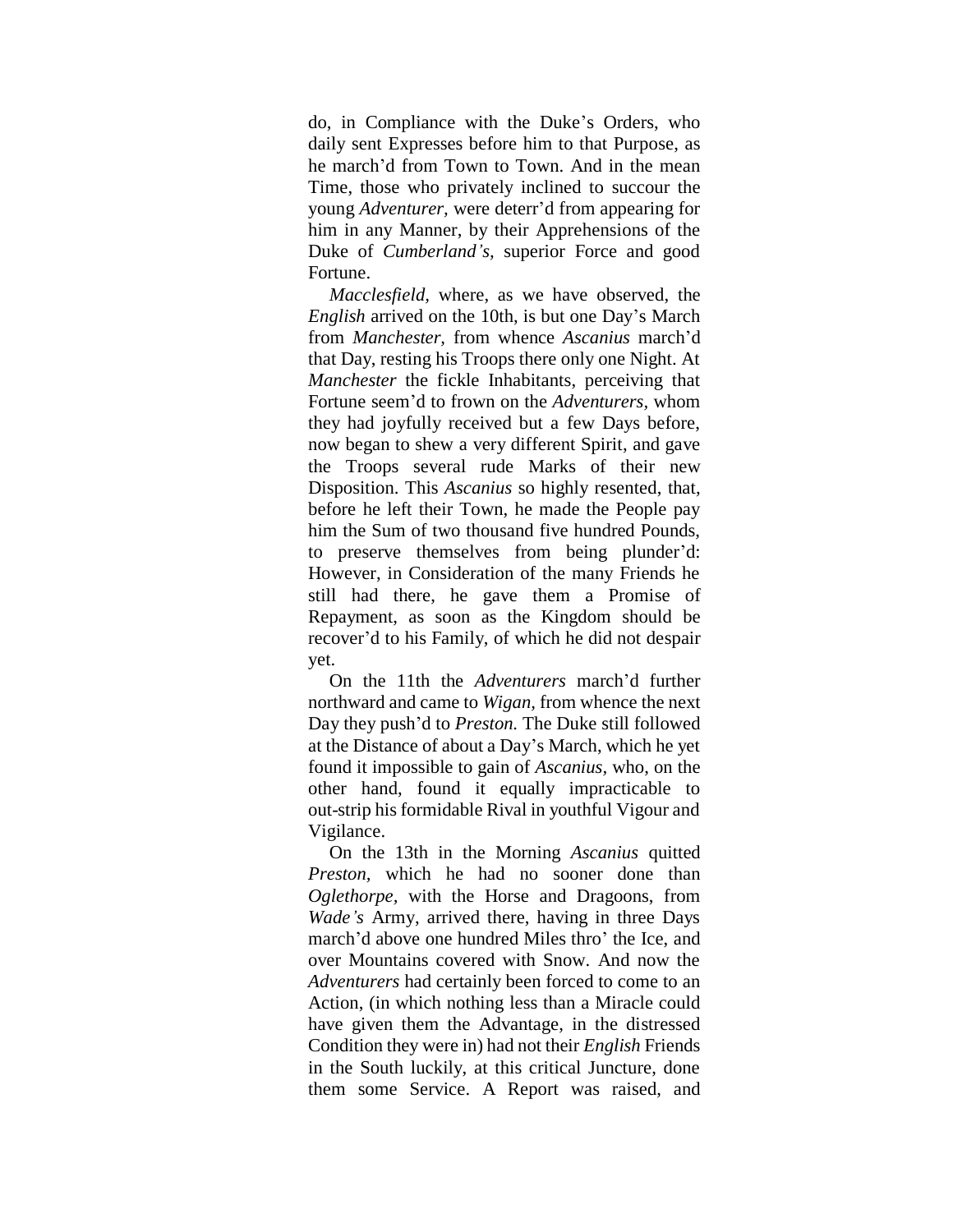do, in Compliance with the Duke's Orders, who daily sent Expresses before him to that Purpose, as he march'd from Town to Town. And in the mean Time, those who privately inclined to succour the young *Adventurer,* were deterr'd from appearing for him in any Manner, by their Apprehensions of the Duke of *Cumberland's,* superior Force and good Fortune.

*Macclesfield,* where, as we have observed, the *English* arrived on the 10th, is but one Day's March from *Manchester,* from whence *Ascanius* march'd that Day, resting his Troops there only one Night. At *Manchester* the fickle Inhabitants, perceiving that Fortune seem'd to frown on the *Adventurers,* whom they had joyfully received but a few Days before, now began to shew a very different Spirit, and gave the Troops several rude Marks of their new Disposition. This *Ascanius* so highly resented, that, before he left their Town, he made the People pay him the Sum of two thousand five hundred Pounds, to preserve themselves from being plunder'd: However, in Consideration of the many Friends he still had there, he gave them a Promise of Repayment, as soon as the Kingdom should be recover'd to his Family, of which he did not despair yet.

On the 11th the *Adventurers* march'd further northward and came to *Wigan,* from whence the next Day they push'd to *Preston.* The Duke still followed at the Distance of about a Day's March, which he yet found it impossible to gain of *Ascanius,* who, on the other hand, found it equally impracticable to out-strip his formidable Rival in youthful Vigour and Vigilance.

On the 13th in the Morning *Ascanius* quitted *Preston,* which he had no sooner done than *Oglethorpe,* with the Horse and Dragoons, from *Wade's* Army, arrived there, having in three Days march'd above one hundred Miles thro' the Ice, and over Mountains covered with Snow. And now the *Adventurers* had certainly been forced to come to an Action, (in which nothing less than a Miracle could have given them the Advantage, in the distressed Condition they were in) had not their *English* Friends in the South luckily, at this critical Juncture, done them some Service. A Report was raised, and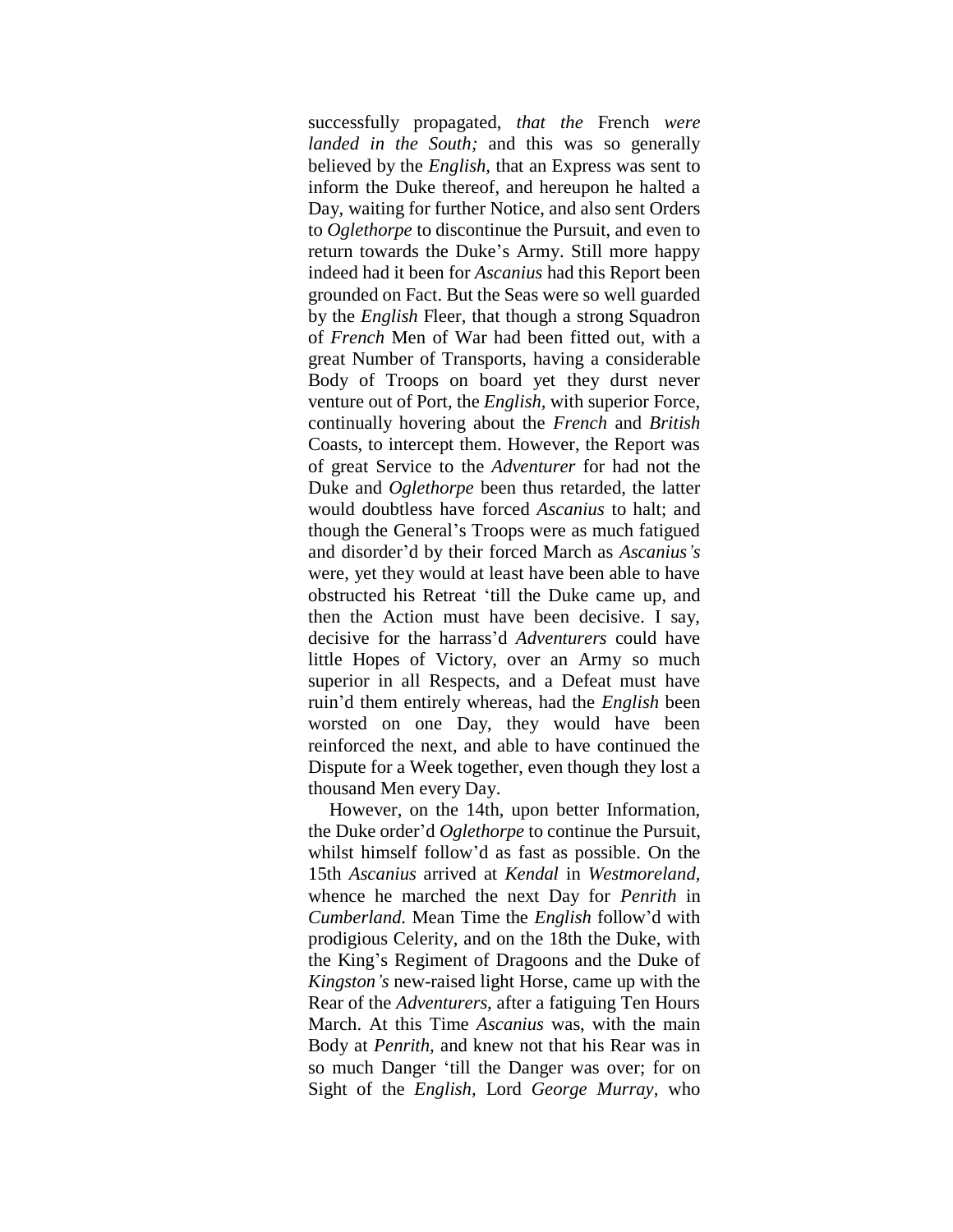successfully propagated, *that the* French *were landed in the South;* and this was so generally believed by the *English,* that an Express was sent to inform the Duke thereof, and hereupon he halted a Day, waiting for further Notice, and also sent Orders to *Oglethorpe* to discontinue the Pursuit, and even to return towards the Duke's Army. Still more happy indeed had it been for *Ascanius* had this Report been grounded on Fact. But the Seas were so well guarded by the *English* Fleer, that though a strong Squadron of *French* Men of War had been fitted out, with a great Number of Transports, having a considerable Body of Troops on board yet they durst never venture out of Port, the *English,* with superior Force, continually hovering about the *French* and *British*  Coasts, to intercept them. However, the Report was of great Service to the *Adventurer* for had not the Duke and *Oglethorpe* been thus retarded, the latter would doubtless have forced *Ascanius* to halt; and though the General's Troops were as much fatigued and disorder'd by their forced March as *Ascanius's* were, yet they would at least have been able to have obstructed his Retreat 'till the Duke came up, and then the Action must have been decisive. I say, decisive for the harrass'd *Adventurers* could have little Hopes of Victory, over an Army so much superior in all Respects, and a Defeat must have ruin'd them entirely whereas, had the *English* been worsted on one Day, they would have been reinforced the next, and able to have continued the Dispute for a Week together, even though they lost a thousand Men every Day.

However, on the 14th, upon better Information, the Duke order'd *Oglethorpe* to continue the Pursuit, whilst himself follow'd as fast as possible. On the 15th *Ascanius* arrived at *Kendal* in *Westmoreland,* whence he marched the next Day for *Penrith* in *Cumberland.* Mean Time the *English* follow'd with prodigious Celerity, and on the 18th the Duke, with the King's Regiment of Dragoons and the Duke of *Kingston's* new-raised light Horse, came up with the Rear of the *Adventurers,* after a fatiguing Ten Hours March. At this Time *Ascanius* was, with the main Body at *Penrith,* and knew not that his Rear was in so much Danger 'till the Danger was over; for on Sight of the *English,* Lord *George Murray,* who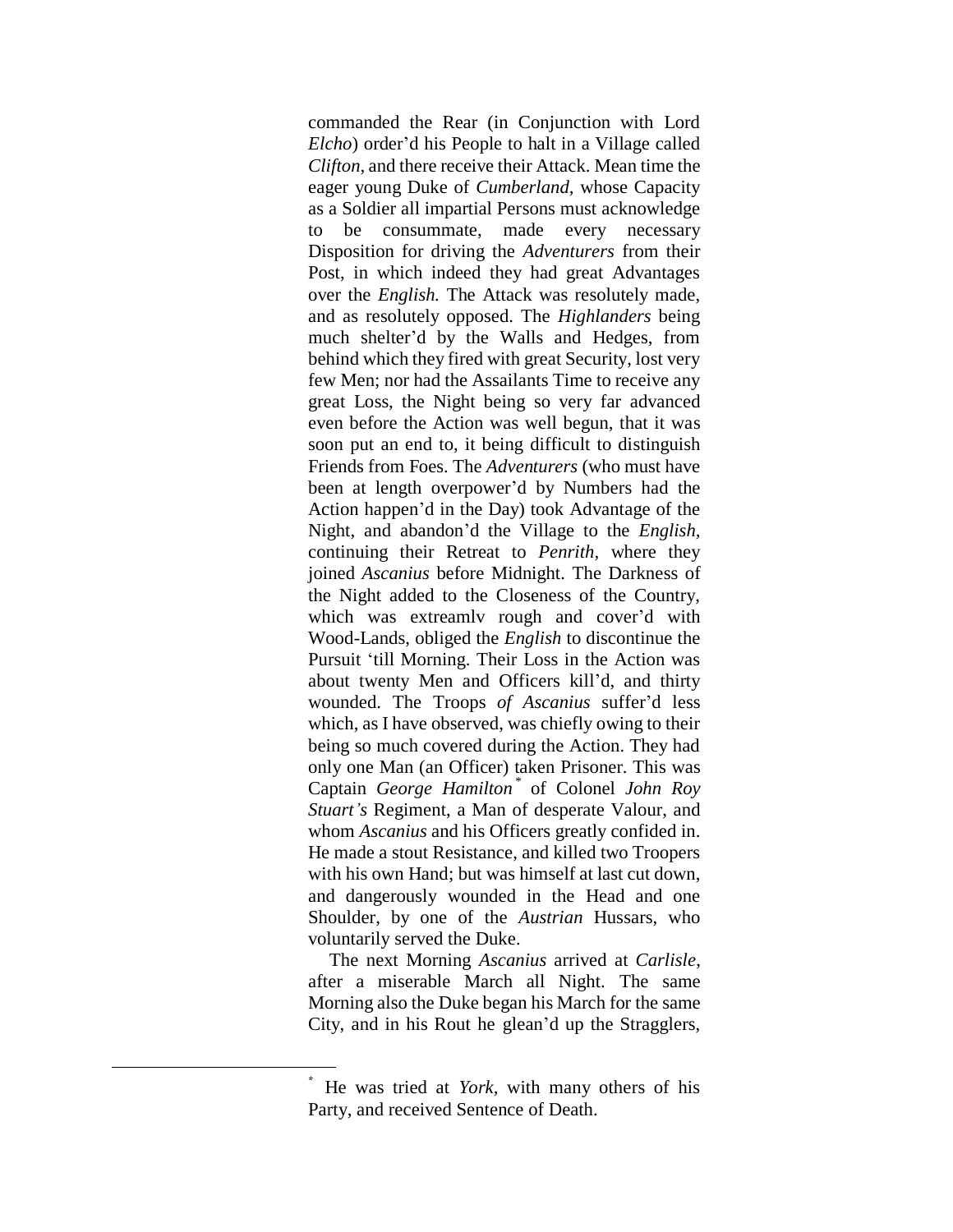commanded the Rear (in Conjunction with Lord *Elcho*) order'd his People to halt in a Village called *Clifton,* and there receive their Attack. Mean time the eager young Duke of *Cumberland,* whose Capacity as a Soldier all impartial Persons must acknowledge to be consummate, made every necessary Disposition for driving the *Adventurers* from their Post, in which indeed they had great Advantages over the *English.* The Attack was resolutely made, and as resolutely opposed. The *Highlanders* being much shelter'd by the Walls and Hedges, from behind which they fired with great Security, lost very few Men; nor had the Assailants Time to receive any great Loss, the Night being so very far advanced even before the Action was well begun, that it was soon put an end to, it being difficult to distinguish Friends from Foes. The *Adventurers* (who must have been at length overpower'd by Numbers had the Action happen'd in the Day) took Advantage of the Night, and abandon'd the Village to the *English,* continuing their Retreat to *Penrith,* where they joined *Ascanius* before Midnight. The Darkness of the Night added to the Closeness of the Country, which was extreamlv rough and cover'd with Wood-Lands, obliged the *English* to discontinue the Pursuit 'till Morning. Their Loss in the Action was about twenty Men and Officers kill'd, and thirty wounded. The Troops *of Ascanius* suffer'd less which, as I have observed, was chiefly owing to their being so much covered during the Action. They had only one Man (an Officer) taken Prisoner. This was Captain *George Hamilton\** of Colonel *John Roy Stuart's* Regiment, a Man of desperate Valour, and whom *Ascanius* and his Officers greatly confided in. He made a stout Resistance, and killed two Troopers with his own Hand; but was himself at last cut down, and dangerously wounded in the Head and one Shoulder, by one of the *Austrian* Hussars, who voluntarily served the Duke.

The next Morning *Ascanius* arrived at *Carlisle*, after a miserable March all Night. The same Morning also the Duke began his March for the same City, and in his Rout he glean'd up the Stragglers,

He was tried at *York*, with many others of his Party, and received Sentence of Death.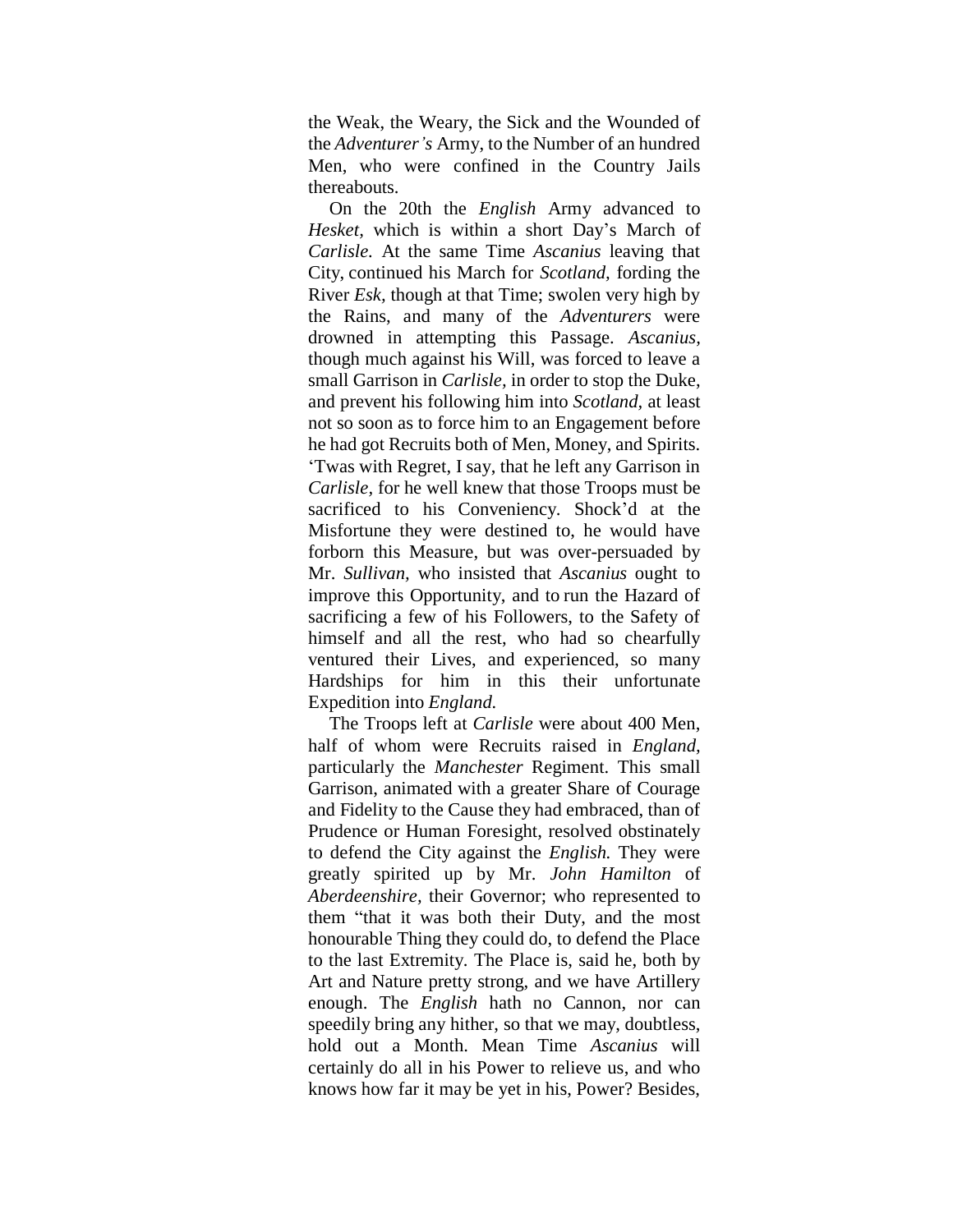the Weak, the Weary, the Sick and the Wounded of the *Adventurer's* Army, to the Number of an hundred Men, who were confined in the Country Jails thereabouts.

On the 20th the *English* Army advanced to *Hesket,* which is within a short Day's March of *Carlisle.* At the same Time *Ascanius* leaving that City, continued his March for *Scotland,* fording the River *Esk,* though at that Time; swolen very high by the Rains, and many of the *Adventurers* were drowned in attempting this Passage. *Ascanius,* though much against his Will, was forced to leave a small Garrison in *Carlisle,* in order to stop the Duke, and prevent his following him into *Scotland,* at least not so soon as to force him to an Engagement before he had got Recruits both of Men, Money, and Spirits. 'Twas with Regret, I say, that he left any Garrison in *Carlisle,* for he well knew that those Troops must be sacrificed to his Conveniency. Shock'd at the Misfortune they were destined to, he would have forborn this Measure, but was over-persuaded by Mr. *Sullivan,* who insisted that *Ascanius* ought to improve this Opportunity, and to run the Hazard of sacrificing a few of his Followers, to the Safety of himself and all the rest, who had so chearfully ventured their Lives, and experienced, so many Hardships for him in this their unfortunate Expedition into *England.*

The Troops left at *Carlisle* were about 400 Men, half of whom were Recruits raised in *England,*  particularly the *Manchester* Regiment. This small Garrison, animated with a greater Share of Courage and Fidelity to the Cause they had embraced, than of Prudence or Human Foresight, resolved obstinately to defend the City against the *English.* They were greatly spirited up by Mr. *John Hamilton* of *Aberdeenshire,* their Governor; who represented to them "that it was both their Duty, and the most honourable Thing they could do, to defend the Place to the last Extremity. The Place is, said he, both by Art and Nature pretty strong, and we have Artillery enough. The *English* hath no Cannon, nor can speedily bring any hither, so that we may, doubtless, hold out a Month. Mean Time *Ascanius* will certainly do all in his Power to relieve us, and who knows how far it may be yet in his, Power? Besides,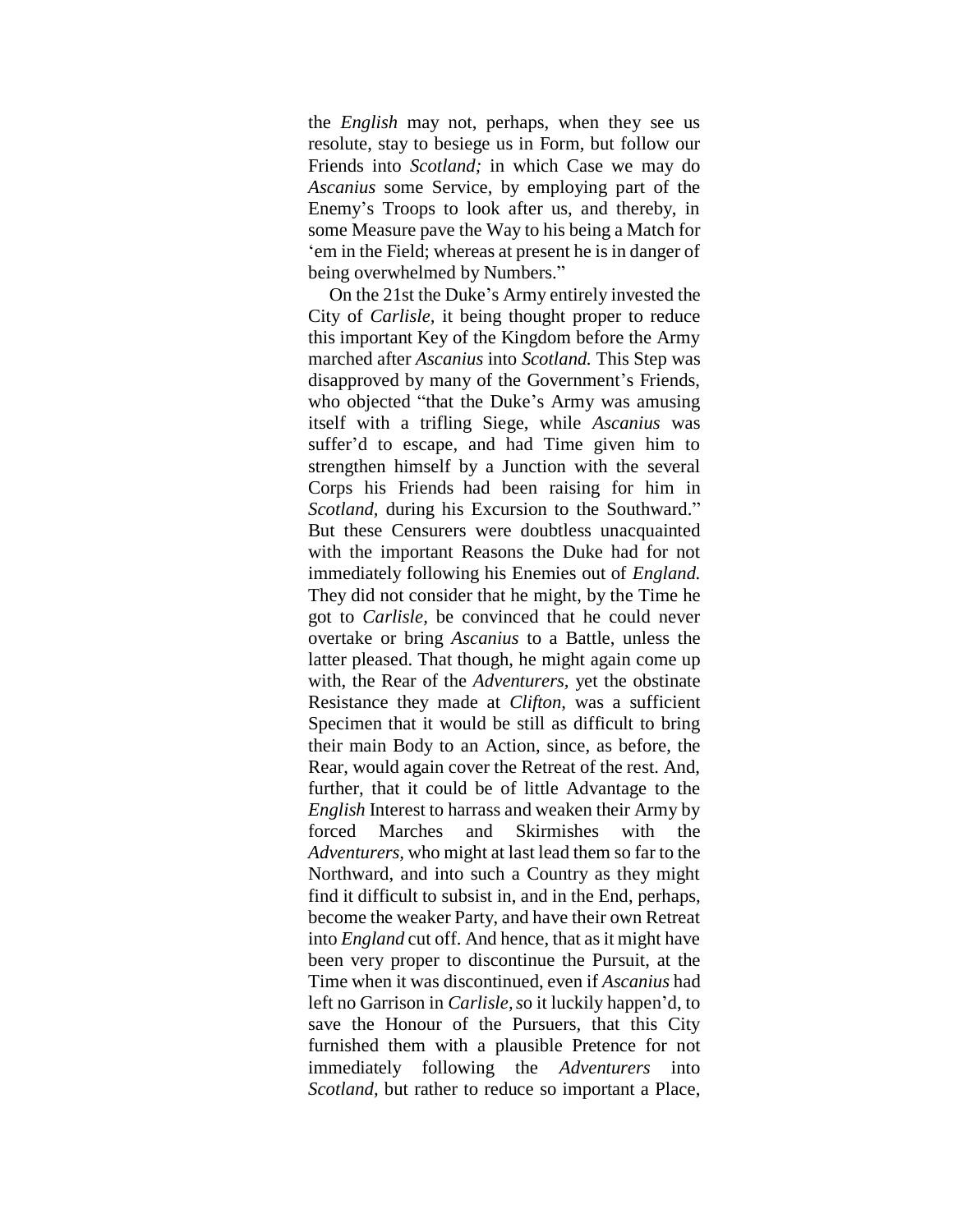the *English* may not, perhaps, when they see us resolute, stay to besiege us in Form, but follow our Friends into *Scotland;* in which Case we may do *Ascanius* some Service, by employing part of the Enemy's Troops to look after us, and thereby, in some Measure pave the Way to his being a Match for 'em in the Field; whereas at present he is in danger of being overwhelmed by Numbers."

On the 21st the Duke's Army entirely invested the City of *Carlisle,* it being thought proper to reduce this important Key of the Kingdom before the Army marched after *Ascanius* into *Scotland.* This Step was disapproved by many of the Government's Friends, who objected "that the Duke's Army was amusing itself with a trifling Siege, while *Ascanius* was suffer'd to escape, and had Time given him to strengthen himself by a Junction with the several Corps his Friends had been raising for him in *Scotland,* during his Excursion to the Southward." But these Censurers were doubtless unacquainted with the important Reasons the Duke had for not immediately following his Enemies out of *England.* They did not consider that he might, by the Time he got to *Carlisle,* be convinced that he could never overtake or bring *Ascanius* to a Battle, unless the latter pleased. That though, he might again come up with, the Rear of the *Adventurers,* yet the obstinate Resistance they made at *Clifton,* was a sufficient Specimen that it would be still as difficult to bring their main Body to an Action, since, as before, the Rear, would again cover the Retreat of the rest. And, further, that it could be of little Advantage to the *English* Interest to harrass and weaken their Army by forced Marches and Skirmishes with the *Adventurers,* who might at last lead them so far to the Northward, and into such a Country as they might find it difficult to subsist in, and in the End, perhaps, become the weaker Party, and have their own Retreat into *England* cut off. And hence, that as it might have been very proper to discontinue the Pursuit, at the Time when it was discontinued, even if *Ascanius* had left no Garrison in *Carlisle*, so it luckily happen'd, to save the Honour of the Pursuers, that this City furnished them with a plausible Pretence for not immediately following the *Adventurers* into *Scotland,* but rather to reduce so important a Place,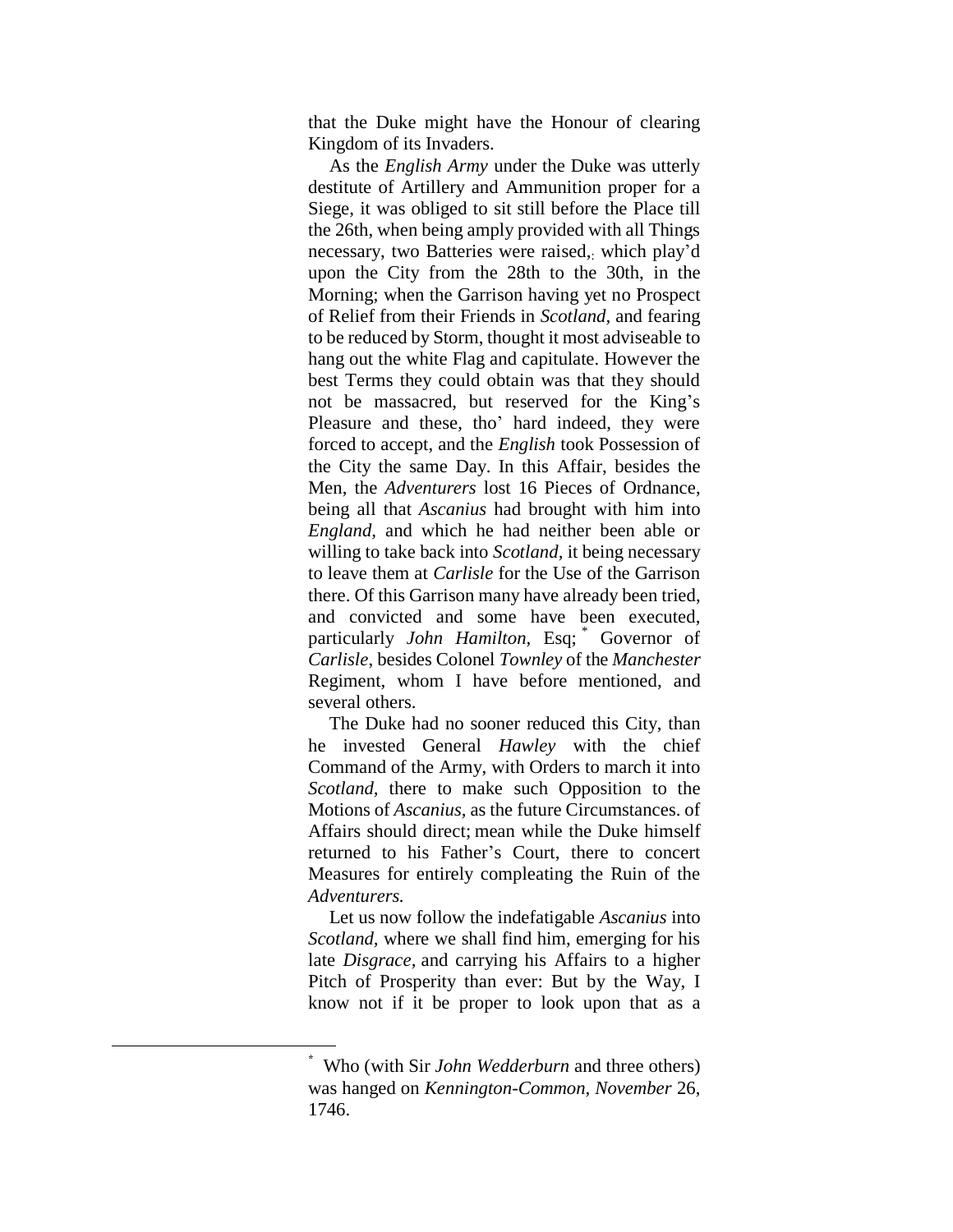that the Duke might have the Honour of clearing Kingdom of its Invaders.

As the *English Army* under the Duke was utterly destitute of Artillery and Ammunition proper for a Siege, it was obliged to sit still before the Place till the 26th, when being amply provided with all Things necessary, two Batteries were raised, which play'd upon the City from the 28th to the 30th, in the Morning; when the Garrison having yet no Prospect of Relief from their Friends in *Scotland,* and fearing to be reduced by Storm, thought it most adviseable to hang out the white Flag and capitulate. However the best Terms they could obtain was that they should not be massacred, but reserved for the King's Pleasure and these, tho' hard indeed, they were forced to accept, and the *English* took Possession of the City the same Day. In this Affair, besides the Men, the *Adventurers* lost 16 Pieces of Ordnance, being all that *Ascanius* had brought with him into *England,* and which he had neither been able or willing to take back into *Scotland,* it being necessary to leave them at *Carlisle* for the Use of the Garrison there. Of this Garrison many have already been tried, and convicted and some have been executed, particularly *John Hamilton,* Esq; \* Governor of *Carlisle*, besides Colonel *Townley* of the *Manchester*  Regiment, whom I have before mentioned, and several others.

The Duke had no sooner reduced this City, than he invested General *Hawley* with the chief Command of the Army, with Orders to march it into *Scotland,* there to make such Opposition to the Motions of *Ascanius,* as the future Circumstances. of Affairs should direct; mean while the Duke himself returned to his Father's Court, there to concert Measures for entirely compleating the Ruin of the *Adventurers.*

Let us now follow the indefatigable *Ascanius* into *Scotland,* where we shall find him, emerging for his late *Disgrace,* and carrying his Affairs to a higher Pitch of Prosperity than ever: But by the Way, I know not if it be proper to look upon that as a

<sup>\*</sup> Who (with Sir *John Wedderburn* and three others) was hanged on *Kennington-Common, November* 26, 1746.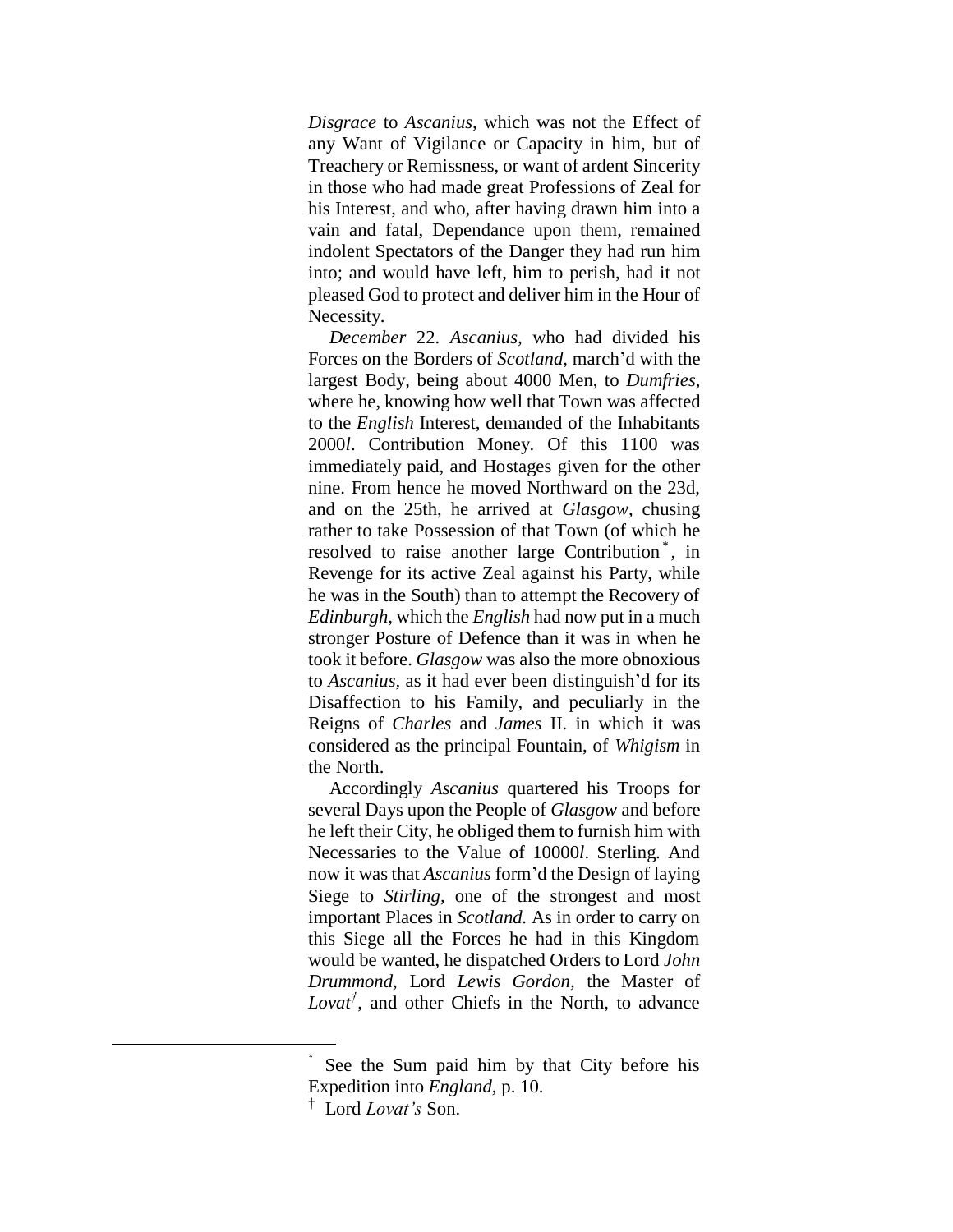*Disgrace* to *Ascanius,* which was not the Effect of any Want of Vigilance or Capacity in him, but of Treachery or Remissness, or want of ardent Sincerity in those who had made great Professions of Zeal for his Interest, and who, after having drawn him into a vain and fatal, Dependance upon them, remained indolent Spectators of the Danger they had run him into; and would have left, him to perish, had it not pleased God to protect and deliver him in the Hour of Necessity.

*December* 22. *Ascanius,* who had divided his Forces on the Borders of *Scotland,* march'd with the largest Body, being about 4000 Men, to *Dumfries,* where he, knowing how well that Town was affected to the *English* Interest, demanded of the Inhabitants 2000*l*. Contribution Money. Of this 1100 was immediately paid, and Hostages given for the other nine. From hence he moved Northward on the 23d, and on the 25th, he arrived at *Glasgow,* chusing rather to take Possession of that Town (of which he resolved to raise another large Contribution \* *,* in Revenge for its active Zeal against his Party, while he was in the South) than to attempt the Recovery of *Edinburgh,* which the *English* had now put in a much stronger Posture of Defence than it was in when he took it before. *Glasgow* was also the more obnoxious to *Ascanius,* as it had ever been distinguish'd for its Disaffection to his Family, and peculiarly in the Reigns of *Charles* and *James* II. in which it was considered as the principal Fountain, of *Whigism* in the North.

Accordingly *Ascanius* quartered his Troops for several Days upon the People of *Glasgow* and before he left their City, he obliged them to furnish him with Necessaries to the Value of 10000*l*. Sterling. And now it was that *Ascanius* form'd the Design of laying Siege to *Stirling,* one of the strongest and most important Places in *Scotland.* As in order to carry on this Siege all the Forces he had in this Kingdom would be wanted, he dispatched Orders to Lord *John Drummond,* Lord *Lewis Gordon,* the Master of *Lovat†* , and other Chiefs in the North, to advance

<sup>\*</sup> See the Sum paid him by that City before his Expedition into *England,* p. 10.

<sup>†</sup> Lord *Lovat's* Son.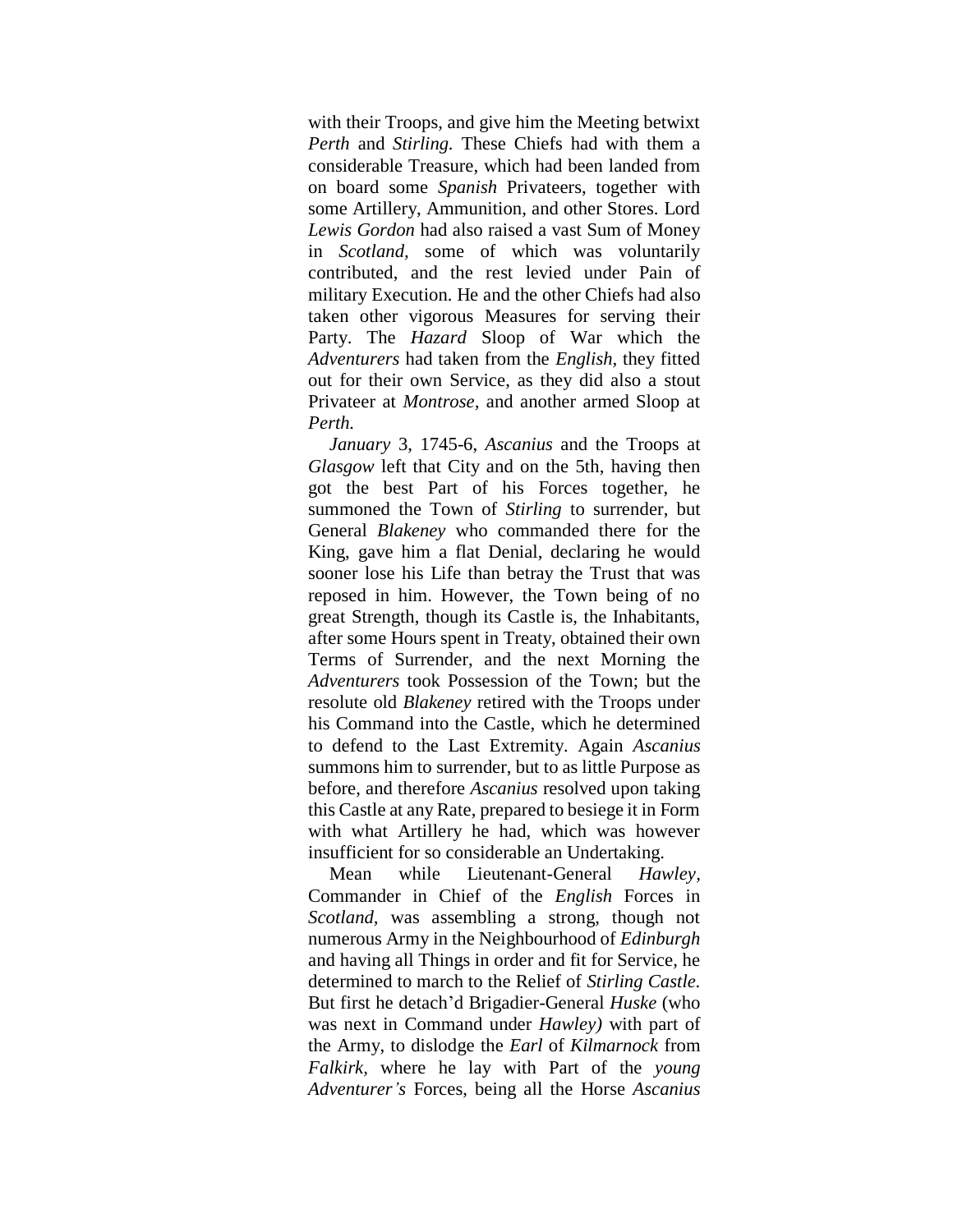with their Troops, and give him the Meeting betwixt *Perth* and *Stirling.* These Chiefs had with them a considerable Treasure, which had been landed from on board some *Spanish* Privateers, together with some Artillery, Ammunition, and other Stores. Lord *Lewis Gordon* had also raised a vast Sum of Money in *Scotland,* some of which was voluntarily contributed, and the rest levied under Pain of military Execution. He and the other Chiefs had also taken other vigorous Measures for serving their Party. The *Hazard* Sloop of War which the *Adventurers* had taken from the *English,* they fitted out for their own Service, as they did also a stout Privateer at *Montrose,* and another armed Sloop at *Perth.*

*January* 3, 1745-6, *Ascanius* and the Troops at *Glasgow* left that City and on the 5th, having then got the best Part of his Forces together, he summoned the Town of *Stirling* to surrender, but General *Blakeney* who commanded there for the King, gave him a flat Denial, declaring he would sooner lose his Life than betray the Trust that was reposed in him. However, the Town being of no great Strength, though its Castle is, the Inhabitants, after some Hours spent in Treaty, obtained their own Terms of Surrender, and the next Morning the *Adventurers* took Possession of the Town; but the resolute old *Blakeney* retired with the Troops under his Command into the Castle, which he determined to defend to the Last Extremity. Again *Ascanius*  summons him to surrender, but to as little Purpose as before, and therefore *Ascanius* resolved upon taking this Castle at any Rate, prepared to besiege it in Form with what Artillery he had, which was however insufficient for so considerable an Undertaking.

Mean while Lieutenant-General *Hawley,* Commander in Chief of the *English* Forces in *Scotland,* was assembling a strong, though not numerous Army in the Neighbourhood of *Edinburgh* and having all Things in order and fit for Service, he determined to march to the Relief of *Stirling Castle.*  But first he detach'd Brigadier-General *Huske* (who was next in Command under *Hawley)* with part of the Army, to dislodge the *Earl* of *Kilmarnock* from *Falkirk,* where he lay with Part of the *young Adventurer's* Forces, being all the Horse *Ascanius*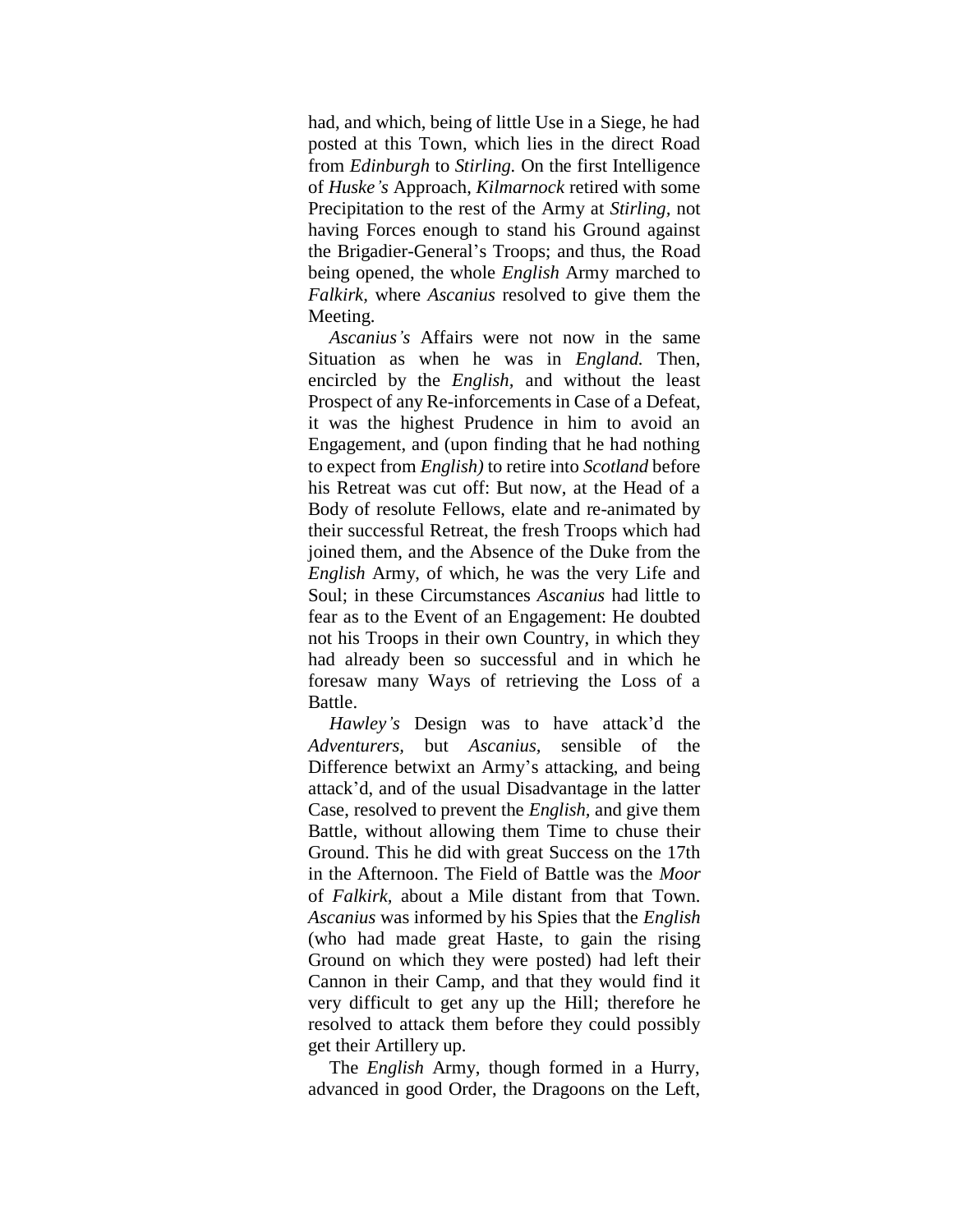had, and which, being of little Use in a Siege, he had posted at this Town, which lies in the direct Road from *Edinburgh* to *Stirling.* On the first Intelligence of *Huske's* Approach, *Kilmarnock* retired with some Precipitation to the rest of the Army at *Stirling,* not having Forces enough to stand his Ground against the Brigadier-General's Troops; and thus, the Road being opened, the whole *English* Army marched to *Falkirk,* where *Ascanius* resolved to give them the Meeting.

*Ascanius's* Affairs were not now in the same Situation as when he was in *England.* Then, encircled by the *English,* and without the least Prospect of any Re-inforcements in Case of a Defeat, it was the highest Prudence in him to avoid an Engagement, and (upon finding that he had nothing to expect from *English)* to retire into *Scotland* before his Retreat was cut off: But now, at the Head of a Body of resolute Fellows, elate and re-animated by their successful Retreat, the fresh Troops which had joined them, and the Absence of the Duke from the *English* Army, of which, he was the very Life and Soul; in these Circumstances *Ascanius* had little to fear as to the Event of an Engagement: He doubted not his Troops in their own Country, in which they had already been so successful and in which he foresaw many Ways of retrieving the Loss of a Battle.

*Hawley's* Design was to have attack'd the *Adventurers,* but *Ascanius,* sensible of the Difference betwixt an Army's attacking, and being attack'd, and of the usual Disadvantage in the latter Case, resolved to prevent the *English,* and give them Battle, without allowing them Time to chuse their Ground. This he did with great Success on the 17th in the Afternoon. The Field of Battle was the *Moor*  of *Falkirk,* about a Mile distant from that Town. *Ascanius* was informed by his Spies that the *English*  (who had made great Haste, to gain the rising Ground on which they were posted) had left their Cannon in their Camp, and that they would find it very difficult to get any up the Hill; therefore he resolved to attack them before they could possibly get their Artillery up.

The *English* Army, though formed in a Hurry, advanced in good Order, the Dragoons on the Left,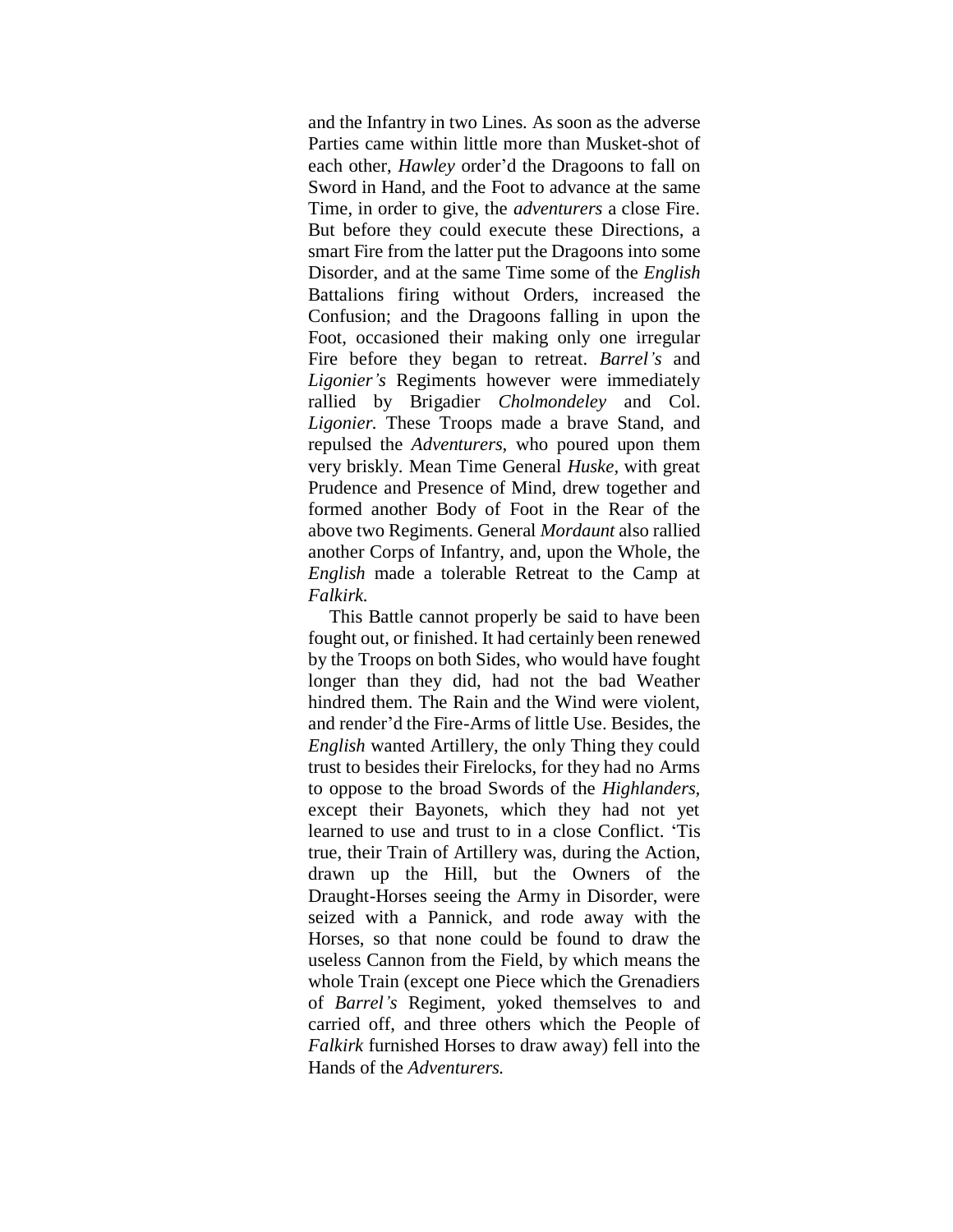and the Infantry in two Lines. As soon as the adverse Parties came within little more than Musket-shot of each other, *Hawley* order'd the Dragoons to fall on Sword in Hand, and the Foot to advance at the same Time, in order to give, the *adventurers* a close Fire. But before they could execute these Directions, a smart Fire from the latter put the Dragoons into some Disorder, and at the same Time some of the *English*  Battalions firing without Orders, increased the Confusion; and the Dragoons falling in upon the Foot, occasioned their making only one irregular Fire before they began to retreat. *Barrel's* and *Ligonier's* Regiments however were immediately rallied by Brigadier *Cholmondeley* and Col. *Ligonier.* These Troops made a brave Stand, and repulsed the *Adventurers,* who poured upon them very briskly. Mean Time General *Huske,* with great Prudence and Presence of Mind, drew together and formed another Body of Foot in the Rear of the above two Regiments. General *Mordaunt* also rallied another Corps of Infantry, and, upon the Whole, the *English* made a tolerable Retreat to the Camp at *Falkirk.*

This Battle cannot properly be said to have been fought out, or finished. It had certainly been renewed by the Troops on both Sides, who would have fought longer than they did, had not the bad Weather hindred them. The Rain and the Wind were violent, and render'd the Fire-Arms of little Use. Besides, the *English* wanted Artillery, the only Thing they could trust to besides their Firelocks, for they had no Arms to oppose to the broad Swords of the *Highlanders,*  except their Bayonets, which they had not yet learned to use and trust to in a close Conflict. 'Tis true, their Train of Artillery was, during the Action, drawn up the Hill, but the Owners of the Draught-Horses seeing the Army in Disorder, were seized with a Pannick, and rode away with the Horses, so that none could be found to draw the useless Cannon from the Field, by which means the whole Train (except one Piece which the Grenadiers of *Barrel's* Regiment, yoked themselves to and carried off, and three others which the People of *Falkirk* furnished Horses to draw away) fell into the Hands of the *Adventurers.*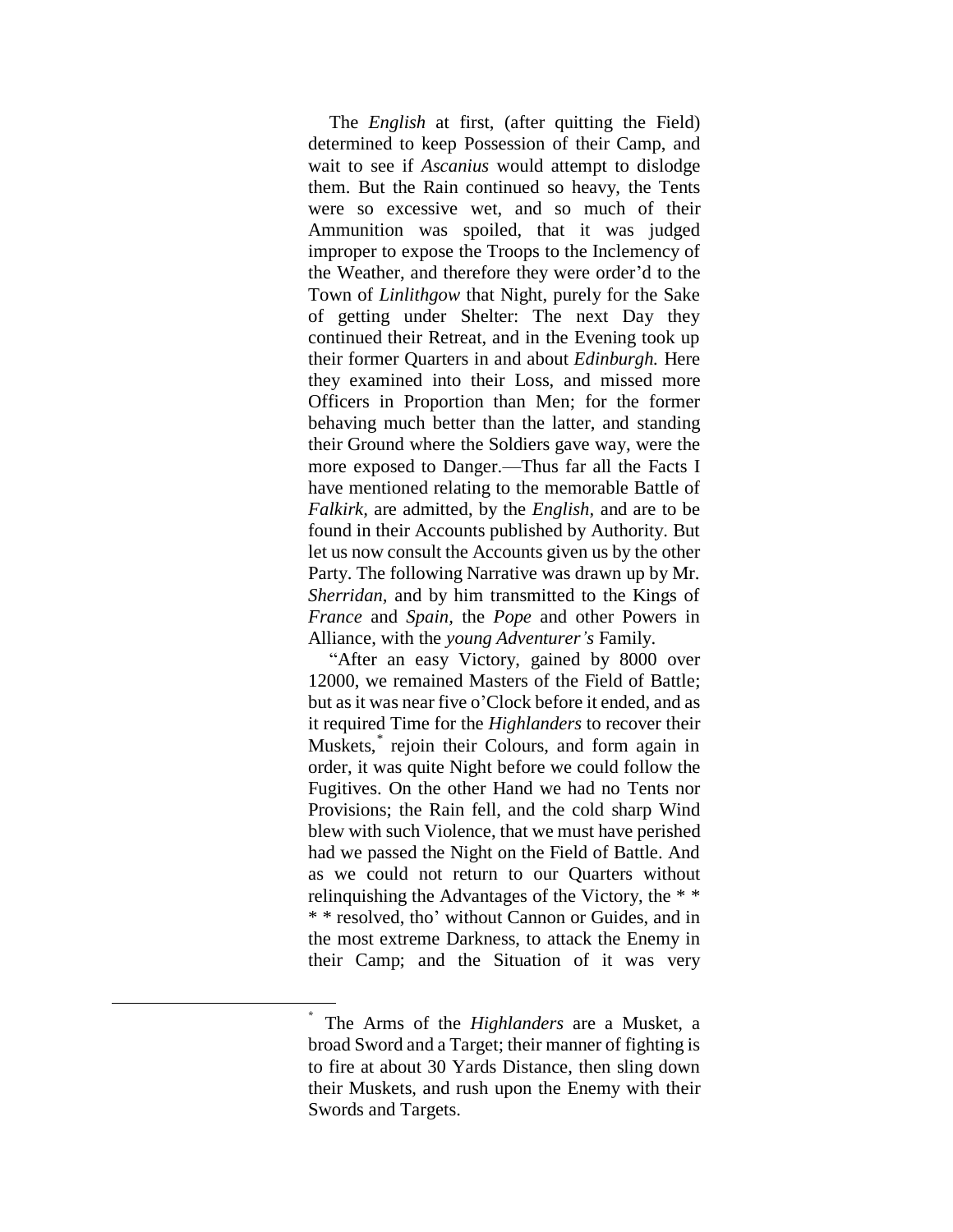The *English* at first, (after quitting the Field) determined to keep Possession of their Camp, and wait to see if *Ascanius* would attempt to dislodge them. But the Rain continued so heavy, the Tents were so excessive wet, and so much of their Ammunition was spoiled, that it was judged improper to expose the Troops to the Inclemency of the Weather, and therefore they were order'd to the Town of *Linlithgow* that Night, purely for the Sake of getting under Shelter: The next Day they continued their Retreat, and in the Evening took up their former Quarters in and about *Edinburgh.* Here they examined into their Loss, and missed more Officers in Proportion than Men; for the former behaving much better than the latter, and standing their Ground where the Soldiers gave way, were the more exposed to Danger.—Thus far all the Facts I have mentioned relating to the memorable Battle of *Falkirk,* are admitted, by the *English,* and are to be found in their Accounts published by Authority. But let us now consult the Accounts given us by the other Party. The following Narrative was drawn up by Mr. *Sherridan,* and by him transmitted to the Kings of *France* and *Spain,* the *Pope* and other Powers in Alliance, with the *young Adventurer's* Family.

"After an easy Victory, gained by 8000 over 12000, we remained Masters of the Field of Battle; but as it was near five o'Clock before it ended, and as it required Time for the *Highlanders* to recover their Muskets,\* rejoin their Colours, and form again in order, it was quite Night before we could follow the Fugitives. On the other Hand we had no Tents nor Provisions; the Rain fell, and the cold sharp Wind blew with such Violence, that we must have perished had we passed the Night on the Field of Battle. And as we could not return to our Quarters without relinquishing the Advantages of the Victory, the \* \* \* \* resolved, tho' without Cannon or Guides, and in the most extreme Darkness, to attack the Enemy in their Camp; and the Situation of it was very

<sup>\*</sup> The Arms of the *Highlanders* are a Musket, a broad Sword and a Target; their manner of fighting is to fire at about 30 Yards Distance, then sling down their Muskets, and rush upon the Enemy with their Swords and Targets.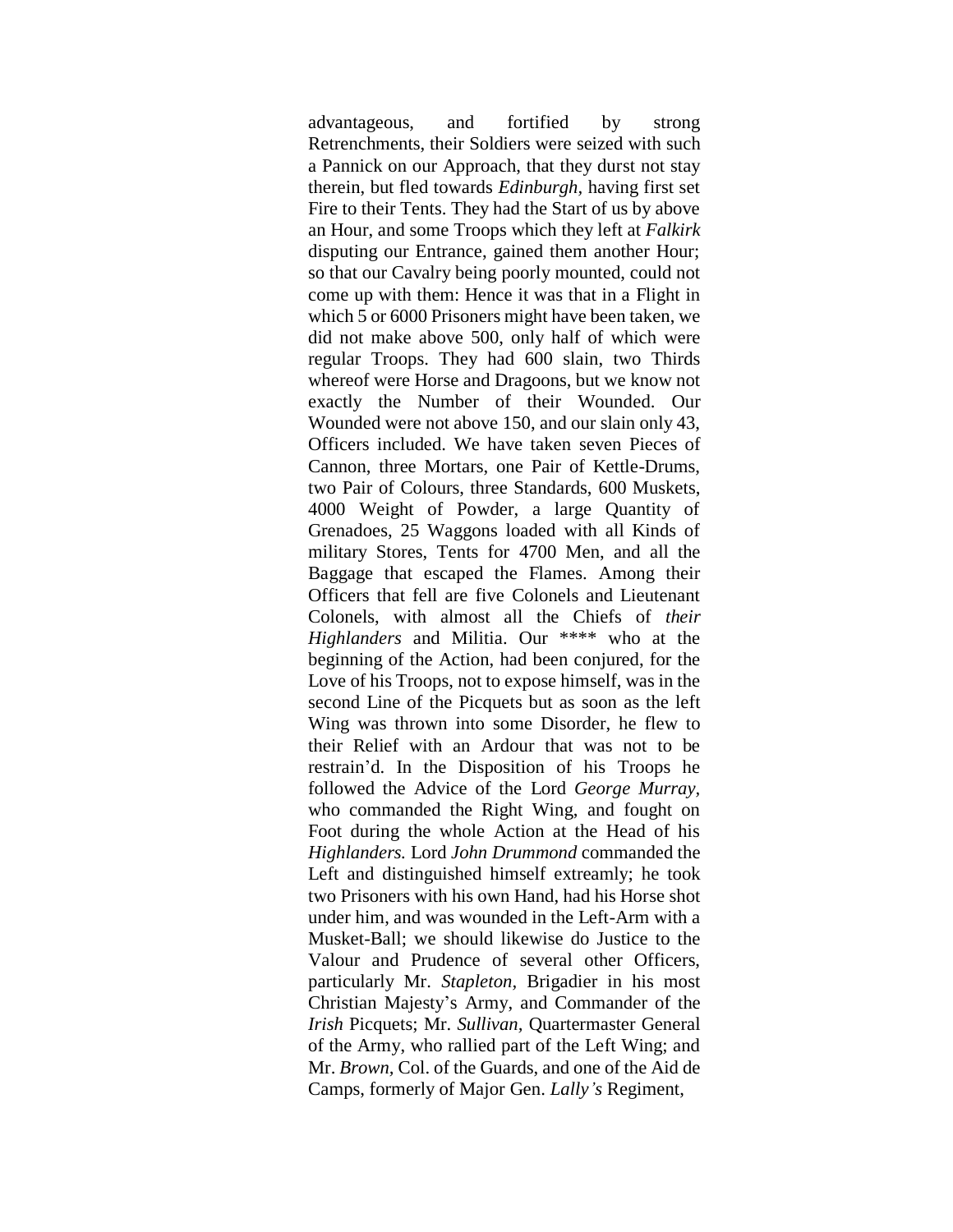advantageous, and fortified by strong Retrenchments, their Soldiers were seized with such a Pannick on our Approach, that they durst not stay therein, but fled towards *Edinburgh,* having first set Fire to their Tents. They had the Start of us by above an Hour, and some Troops which they left at *Falkirk*  disputing our Entrance, gained them another Hour; so that our Cavalry being poorly mounted, could not come up with them: Hence it was that in a Flight in which 5 or 6000 Prisoners might have been taken, we did not make above 500, only half of which were regular Troops. They had 600 slain, two Thirds whereof were Horse and Dragoons, but we know not exactly the Number of their Wounded. Our Wounded were not above 150, and our slain only 43, Officers included. We have taken seven Pieces of Cannon, three Mortars, one Pair of Kettle-Drums, two Pair of Colours, three Standards, 600 Muskets, 4000 Weight of Powder, a large Quantity of Grenadoes, 25 Waggons loaded with all Kinds of military Stores, Tents for 4700 Men, and all the Baggage that escaped the Flames. Among their Officers that fell are five Colonels and Lieutenant Colonels, with almost all the Chiefs of *their Highlanders* and Militia. Our \*\*\*\* who at the beginning of the Action, had been conjured, for the Love of his Troops, not to expose himself, was in the second Line of the Picquets but as soon as the left Wing was thrown into some Disorder, he flew to their Relief with an Ardour that was not to be restrain'd. In the Disposition of his Troops he followed the Advice of the Lord *George Murray,*  who commanded the Right Wing, and fought on Foot during the whole Action at the Head of his *Highlanders.* Lord *John Drummond* commanded the Left and distinguished himself extreamly; he took two Prisoners with his own Hand, had his Horse shot under him, and was wounded in the Left-Arm with a Musket-Ball; we should likewise do Justice to the Valour and Prudence of several other Officers, particularly Mr. *Stapleton,* Brigadier in his most Christian Majesty's Army, and Commander of the *Irish* Picquets; Mr. *Sullivan,* Quartermaster General of the Army, who rallied part of the Left Wing; and Mr. *Brown,* Col. of the Guards, and one of the Aid de Camps, formerly of Major Gen. *Lally's* Regiment,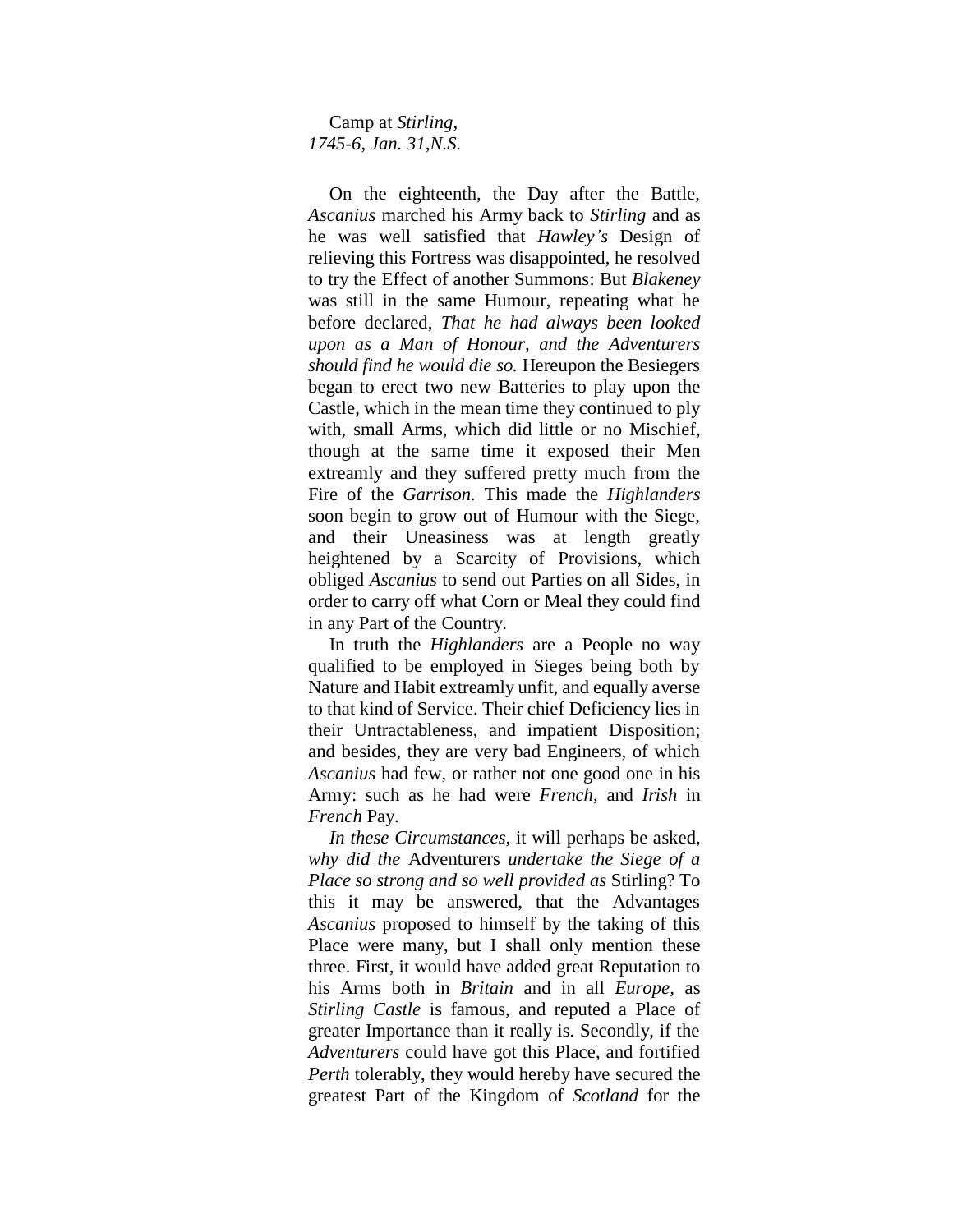## Camp at *Stirling, 1745-6*, *Jan. 31,N.S.*

On the eighteenth, the Day after the Battle, *Ascanius* marched his Army back to *Stirling* and as he was well satisfied that *Hawley's* Design of relieving this Fortress was disappointed, he resolved to try the Effect of another Summons: But *Blakeney*  was still in the same Humour, repeating what he before declared, *That he had always been looked upon as a Man of Honour, and the Adventurers should find he would die so.* Hereupon the Besiegers began to erect two new Batteries to play upon the Castle, which in the mean time they continued to ply with, small Arms, which did little or no Mischief, though at the same time it exposed their Men extreamly and they suffered pretty much from the Fire of the *Garrison.* This made the *Highlanders*  soon begin to grow out of Humour with the Siege, and their Uneasiness was at length greatly heightened by a Scarcity of Provisions, which obliged *Ascanius* to send out Parties on all Sides, in order to carry off what Corn or Meal they could find in any Part of the Country.

In truth the *Highlanders* are a People no way qualified to be employed in Sieges being both by Nature and Habit extreamly unfit, and equally averse to that kind of Service. Their chief Deficiency lies in their Untractableness, and impatient Disposition; and besides, they are very bad Engineers, of which *Ascanius* had few, or rather not one good one in his Army: such as he had were *French,* and *Irish* in *French* Pay.

*In these Circumstances,* it will perhaps be asked, *why did the* Adventurers *undertake the Siege of a Place so strong and so well provided as* Stirling? To this it may be answered, that the Advantages *Ascanius* proposed to himself by the taking of this Place were many, but I shall only mention these three. First, it would have added great Reputation to his Arms both in *Britain* and in all *Europe,* as *Stirling Castle* is famous, and reputed a Place of greater Importance than it really is. Secondly, if the *Adventurers* could have got this Place, and fortified *Perth* tolerably, they would hereby have secured the greatest Part of the Kingdom of *Scotland* for the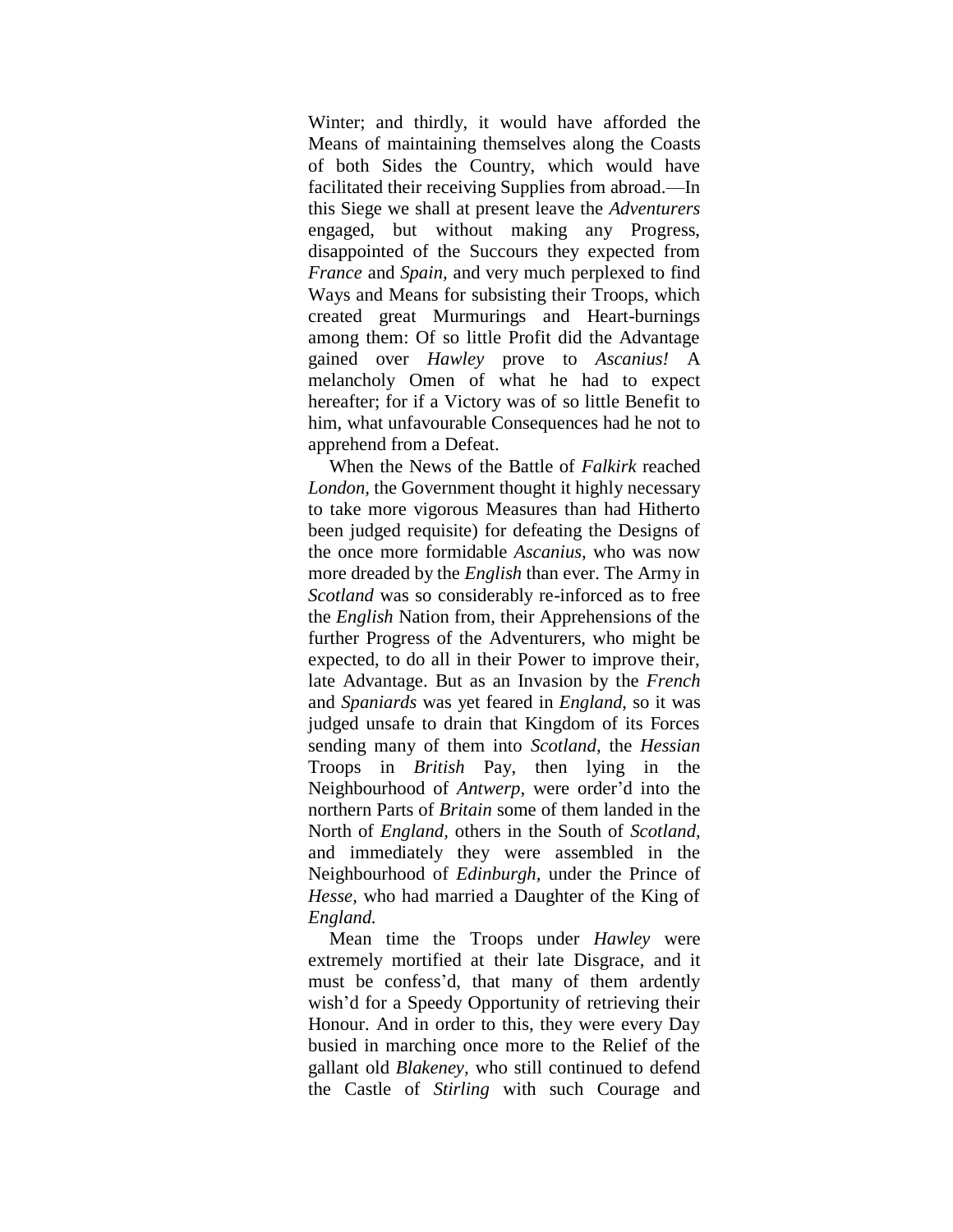Winter; and thirdly, it would have afforded the Means of maintaining themselves along the Coasts of both Sides the Country, which would have facilitated their receiving Supplies from abroad.—In this Siege we shall at present leave the *Adventurers*  engaged, but without making any Progress, disappointed of the Succours they expected from *France* and *Spain,* and very much perplexed to find Ways and Means for subsisting their Troops, which created great Murmurings and Heart-burnings among them: Of so little Profit did the Advantage gained over *Hawley* prove to *Ascanius!* A melancholy Omen of what he had to expect hereafter; for if a Victory was of so little Benefit to him, what unfavourable Consequences had he not to apprehend from a Defeat.

When the News of the Battle of *Falkirk* reached *London,* the Government thought it highly necessary to take more vigorous Measures than had Hitherto been judged requisite) for defeating the Designs of the once more formidable *Ascanius,* who was now more dreaded by the *English* than ever. The Army in *Scotland* was so considerably re-inforced as to free the *English* Nation from, their Apprehensions of the further Progress of the Adventurers, who might be expected, to do all in their Power to improve their, late Advantage. But as an Invasion by the *French*  and *Spaniards* was yet feared in *England*, so it was judged unsafe to drain that Kingdom of its Forces sending many of them into *Scotland*, the *Hessian*  Troops in *British* Pay, then lying in the Neighbourhood of *Antwerp,* were order'd into the northern Parts of *Britain* some of them landed in the North of *England,* others in the South of *Scotland,*  and immediately they were assembled in the Neighbourhood of *Edinburgh,* under the Prince of *Hesse,* who had married a Daughter of the King of *England.*

Mean time the Troops under *Hawley* were extremely mortified at their late Disgrace, and it must be confess'd, that many of them ardently wish'd for a Speedy Opportunity of retrieving their Honour. And in order to this, they were every Day busied in marching once more to the Relief of the gallant old *Blakeney,* who still continued to defend the Castle of *Stirling* with such Courage and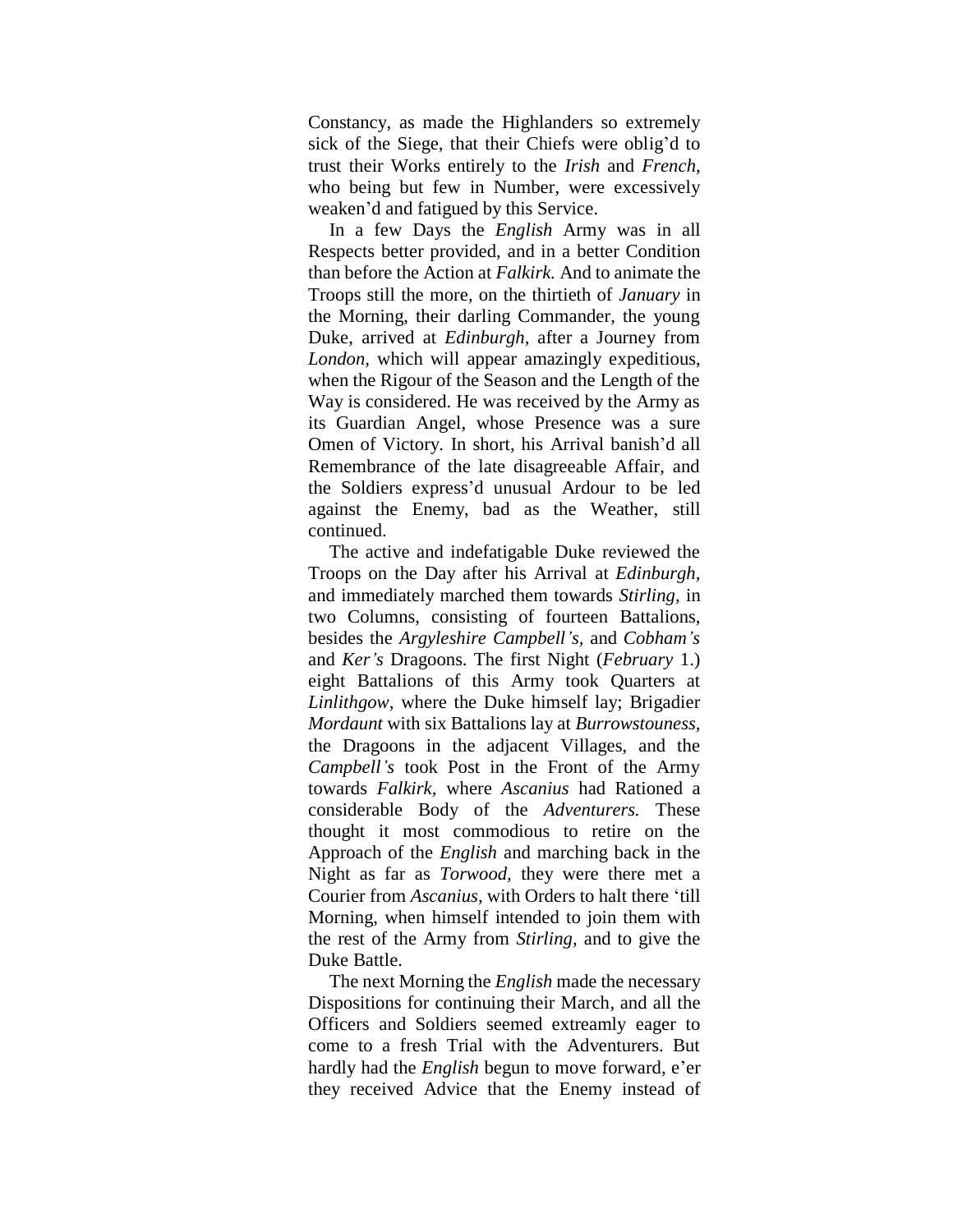Constancy, as made the Highlanders so extremely sick of the Siege, that their Chiefs were oblig'd to trust their Works entirely to the *Irish* and *French,*  who being but few in Number, were excessively weaken'd and fatigued by this Service.

In a few Days the *English* Army was in all Respects better provided, and in a better Condition than before the Action at *Falkirk.* And to animate the Troops still the more, on the thirtieth of *January* in the Morning, their darling Commander, the young Duke, arrived at *Edinburgh,* after a Journey from *London,* which will appear amazingly expeditious, when the Rigour of the Season and the Length of the Way is considered. He was received by the Army as its Guardian Angel, whose Presence was a sure Omen of Victory. In short, his Arrival banish'd all Remembrance of the late disagreeable Affair, and the Soldiers express'd unusual Ardour to be led against the Enemy, bad as the Weather, still continued.

The active and indefatigable Duke reviewed the Troops on the Day after his Arrival at *Edinburgh,*  and immediately marched them towards *Stirling,* in two Columns, consisting of fourteen Battalions, besides the *Argyleshire Campbell's,* and *Cobham's*  and *Ker's* Dragoons. The first Night (*February* 1.) eight Battalions of this Army took Quarters at *Linlithgow,* where the Duke himself lay; Brigadier *Mordaunt* with six Battalions lay at *Burrowstouness,*  the Dragoons in the adjacent Villages, and the *Campbell's* took Post in the Front of the Army towards *Falkirk,* where *Ascanius* had Rationed a considerable Body of the *Adventurers.* These thought it most commodious to retire on the Approach of the *English* and marching back in the Night as far as *Torwood,* they were there met a Courier from *Ascanius,* with Orders to halt there 'till Morning, when himself intended to join them with the rest of the Army from *Stirling,* and to give the Duke Battle.

The next Morning the *English* made the necessary Dispositions for continuing their March, and all the Officers and Soldiers seemed extreamly eager to come to a fresh Trial with the Adventurers. But hardly had the *English* begun to move forward, e'er they received Advice that the Enemy instead of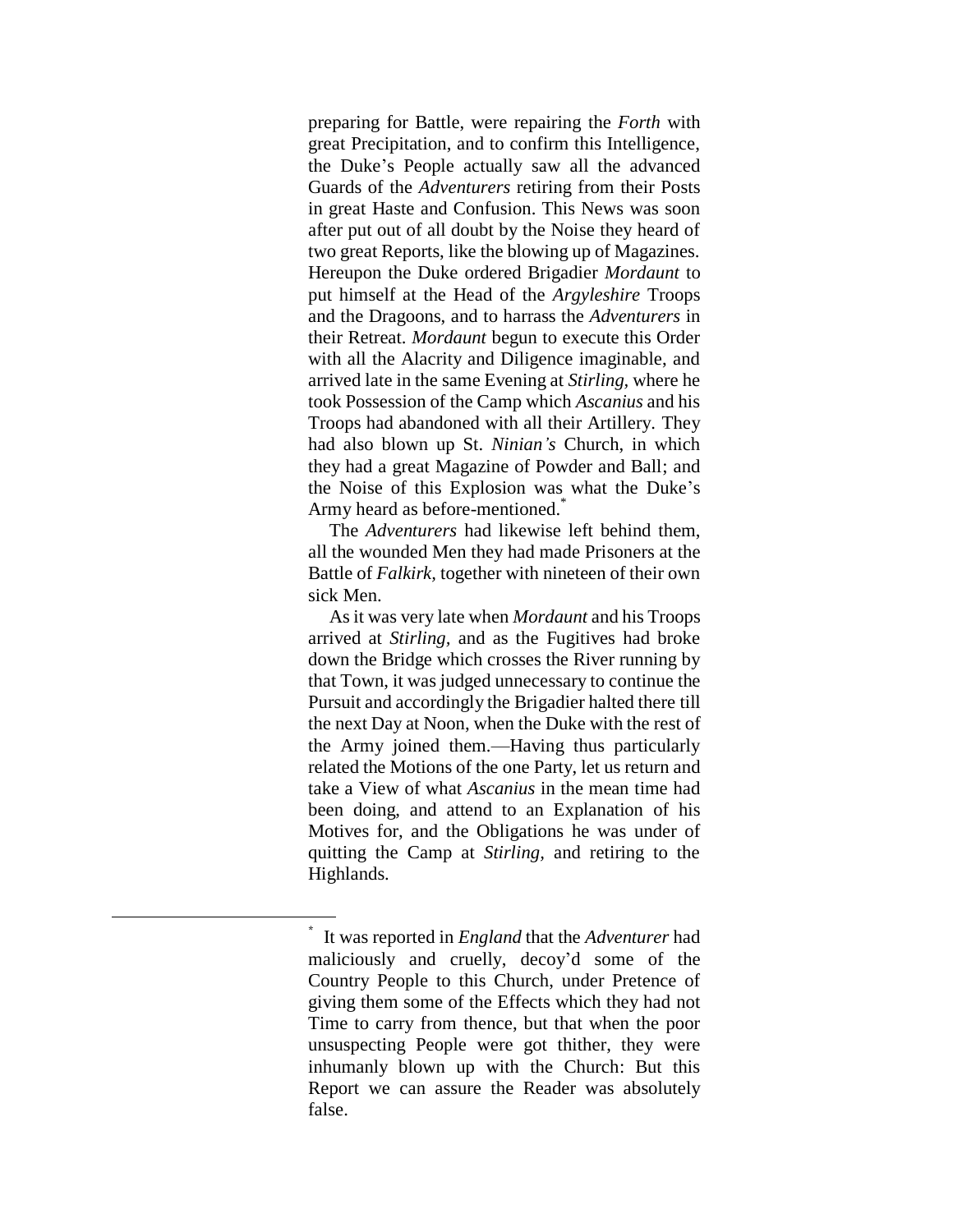preparing for Battle, were repairing the *Forth* with great Precipitation, and to confirm this Intelligence, the Duke's People actually saw all the advanced Guards of the *Adventurers* retiring from their Posts in great Haste and Confusion. This News was soon after put out of all doubt by the Noise they heard of two great Reports, like the blowing up of Magazines. Hereupon the Duke ordered Brigadier *Mordaunt* to put himself at the Head of the *Argyleshire* Troops and the Dragoons, and to harrass the *Adventurers* in their Retreat. *Mordaunt* begun to execute this Order with all the Alacrity and Diligence imaginable, and arrived late in the same Evening at *Stirling,* where he took Possession of the Camp which *Ascanius* and his Troops had abandoned with all their Artillery. They had also blown up St. *Ninian's* Church, in which they had a great Magazine of Powder and Ball; and the Noise of this Explosion was what the Duke's Army heard as before-mentioned.<sup>\*</sup>

The *Adventurers* had likewise left behind them, all the wounded Men they had made Prisoners at the Battle of *Falkirk,* together with nineteen of their own sick Men.

As it was very late when *Mordaunt* and his Troops arrived at *Stirling,* and as the Fugitives had broke down the Bridge which crosses the River running by that Town, it was judged unnecessary to continue the Pursuit and accordingly the Brigadier halted there till the next Day at Noon, when the Duke with the rest of the Army joined them.—Having thus particularly related the Motions of the one Party, let us return and take a View of what *Ascanius* in the mean time had been doing, and attend to an Explanation of his Motives for, and the Obligations he was under of quitting the Camp at *Stirling,* and retiring to the Highlands.

<sup>\*</sup> It was reported in *England* that the *Adventurer* had maliciously and cruelly, decoy'd some of the Country People to this Church, under Pretence of giving them some of the Effects which they had not Time to carry from thence, but that when the poor unsuspecting People were got thither, they were inhumanly blown up with the Church: But this Report we can assure the Reader was absolutely false.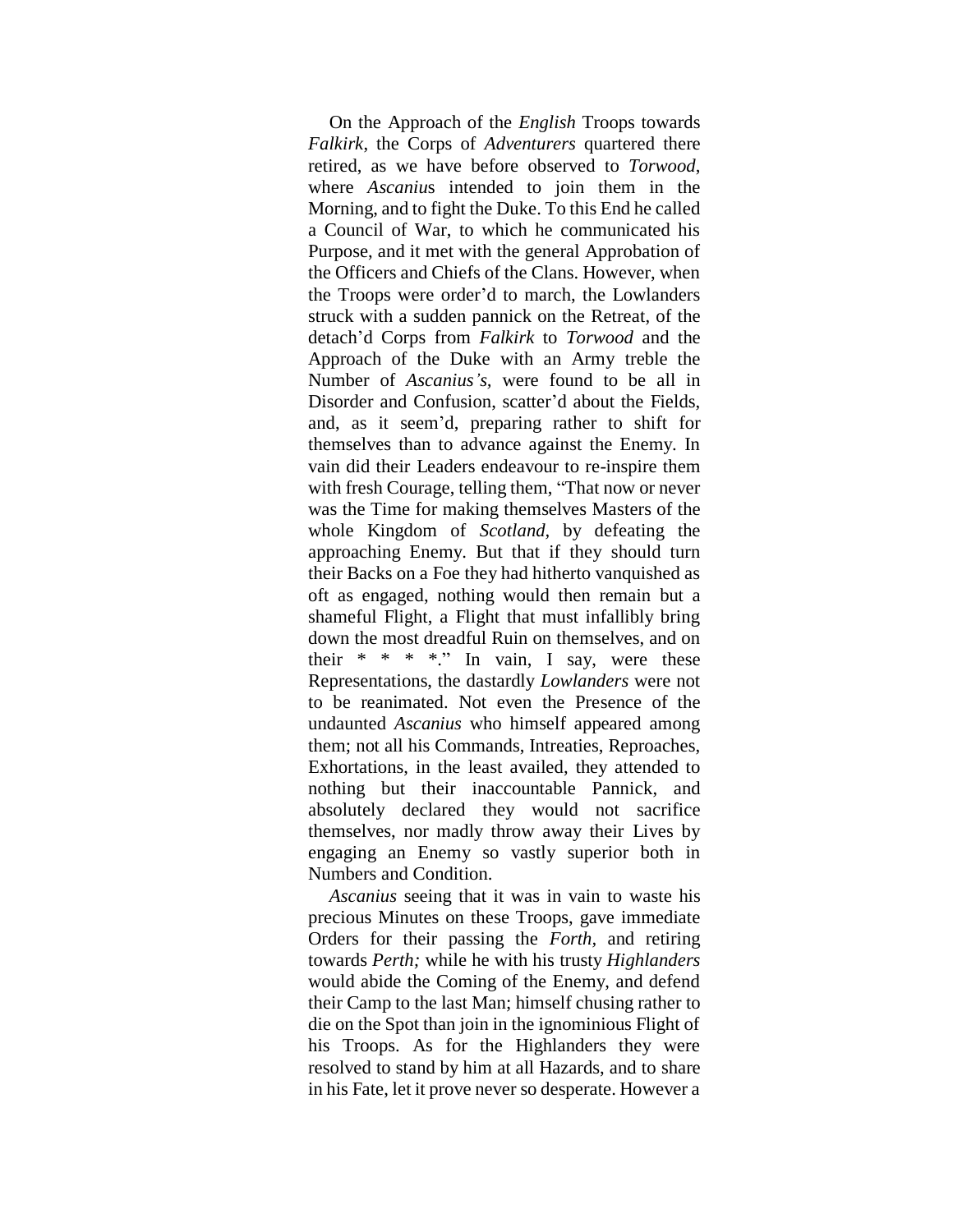On the Approach of the *English* Troops towards *Falkirk*, the Corps of *Adventurers* quartered there retired, as we have before observed to *Torwood*, where *Ascaniu*s intended to join them in the Morning, and to fight the Duke. To this End he called a Council of War, to which he communicated his Purpose, and it met with the general Approbation of the Officers and Chiefs of the Clans. However, when the Troops were order'd to march, the Lowlanders struck with a sudden pannick on the Retreat, of the detach'd Corps from *Falkirk* to *Torwood* and the Approach of the Duke with an Army treble the Number of *Ascanius's,* were found to be all in Disorder and Confusion, scatter'd about the Fields, and, as it seem'd, preparing rather to shift for themselves than to advance against the Enemy. In vain did their Leaders endeavour to re-inspire them with fresh Courage, telling them, "That now or never was the Time for making themselves Masters of the whole Kingdom of *Scotland,* by defeating the approaching Enemy. But that if they should turn their Backs on a Foe they had hitherto vanquished as oft as engaged, nothing would then remain but a shameful Flight, a Flight that must infallibly bring down the most dreadful Ruin on themselves, and on their  $* * * "$ ." In vain, I say, were these Representations, the dastardly *Lowlanders* were not to be reanimated. Not even the Presence of the undaunted *Ascanius* who himself appeared among them; not all his Commands, Intreaties, Reproaches, Exhortations, in the least availed, they attended to nothing but their inaccountable Pannick, and absolutely declared they would not sacrifice themselves, nor madly throw away their Lives by engaging an Enemy so vastly superior both in Numbers and Condition.

*Ascanius* seeing that it was in vain to waste his precious Minutes on these Troops, gave immediate Orders for their passing the *Forth,* and retiring towards *Perth;* while he with his trusty *Highlanders*  would abide the Coming of the Enemy, and defend their Camp to the last Man; himself chusing rather to die on the Spot than join in the ignominious Flight of his Troops. As for the Highlanders they were resolved to stand by him at all Hazards, and to share in his Fate, let it prove never so desperate. However a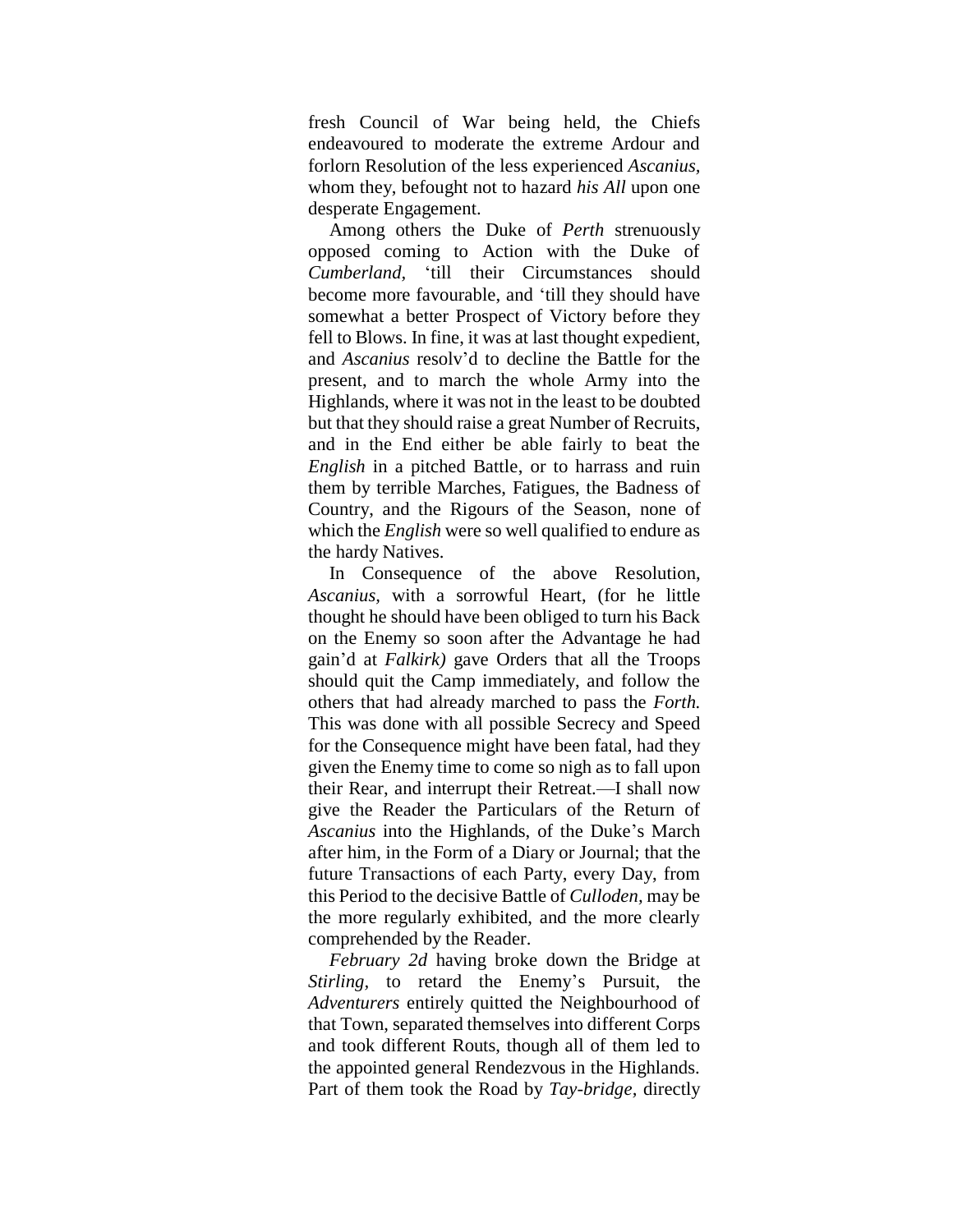fresh Council of War being held, the Chiefs endeavoured to moderate the extreme Ardour and forlorn Resolution of the less experienced *Ascanius,* whom they, befought not to hazard *his All* upon one desperate Engagement.

Among others the Duke of *Perth* strenuously opposed coming to Action with the Duke of *Cumberland,* 'till their Circumstances should become more favourable, and 'till they should have somewhat a better Prospect of Victory before they fell to Blows. In fine, it was at last thought expedient, and *Ascanius* resolv'd to decline the Battle for the present, and to march the whole Army into the Highlands, where it was not in the least to be doubted but that they should raise a great Number of Recruits, and in the End either be able fairly to beat the *English* in a pitched Battle, or to harrass and ruin them by terrible Marches, Fatigues, the Badness of Country, and the Rigours of the Season, none of which the *English* were so well qualified to endure as the hardy Natives.

In Consequence of the above Resolution, *Ascanius,* with a sorrowful Heart, (for he little thought he should have been obliged to turn his Back on the Enemy so soon after the Advantage he had gain'd at *Falkirk)* gave Orders that all the Troops should quit the Camp immediately, and follow the others that had already marched to pass the *Forth.*  This was done with all possible Secrecy and Speed for the Consequence might have been fatal, had they given the Enemy time to come so nigh as to fall upon their Rear, and interrupt their Retreat.—I shall now give the Reader the Particulars of the Return of *Ascanius* into the Highlands, of the Duke's March after him, in the Form of a Diary or Journal; that the future Transactions of each Party, every Day, from this Period to the decisive Battle of *Culloden,* may be the more regularly exhibited, and the more clearly comprehended by the Reader.

*February 2d* having broke down the Bridge at *Stirling,* to retard the Enemy's Pursuit, the *Adventurers* entirely quitted the Neighbourhood of that Town, separated themselves into different Corps and took different Routs, though all of them led to the appointed general Rendezvous in the Highlands. Part of them took the Road by *Tay-bridge,* directly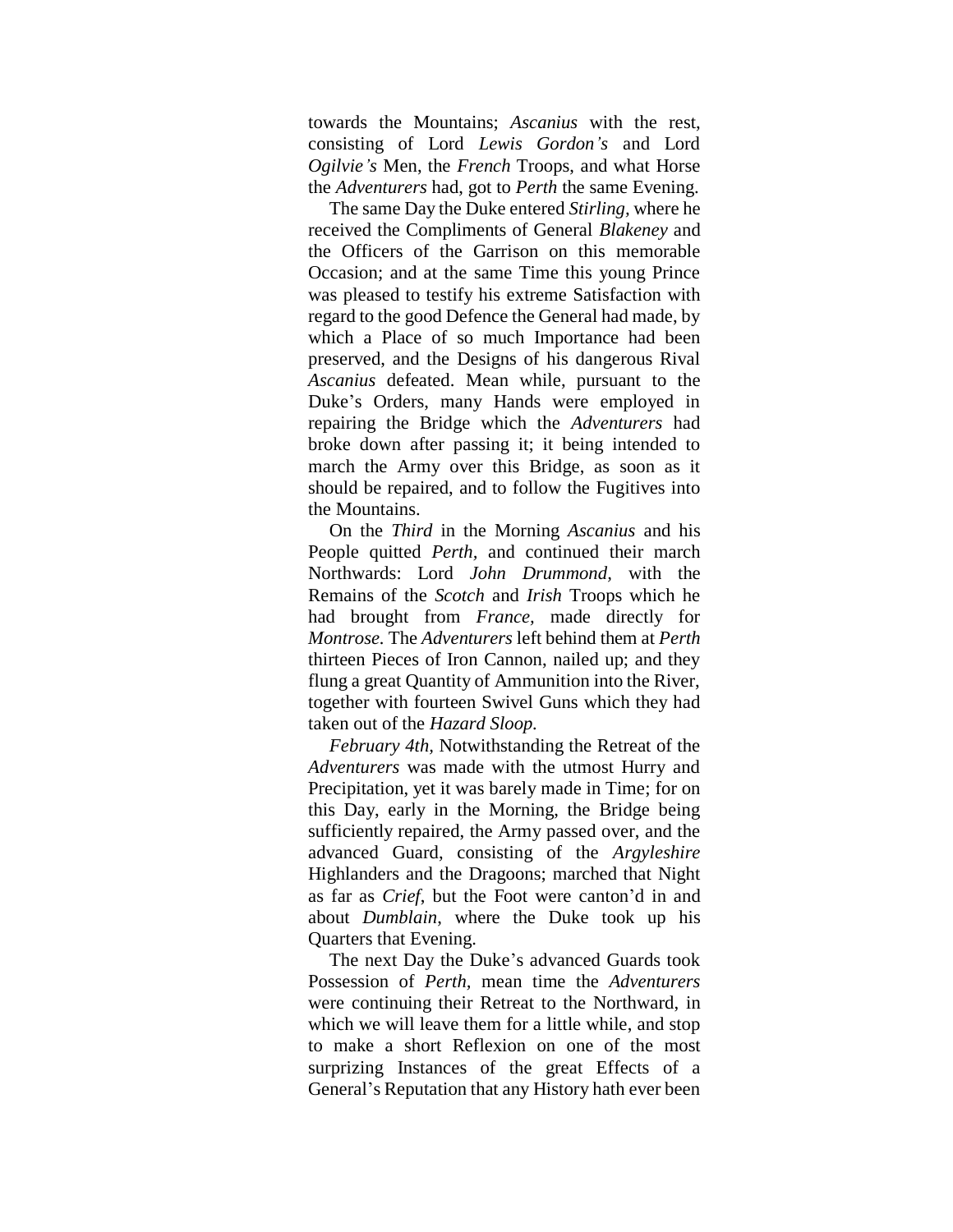towards the Mountains; *Ascanius* with the rest, consisting of Lord *Lewis Gordon's* and Lord *Ogilvie's* Men, the *French* Troops, and what Horse the *Adventurers* had, got to *Perth* the same Evening.

The same Day the Duke entered *Stirling,* where he received the Compliments of General *Blakeney* and the Officers of the Garrison on this memorable Occasion; and at the same Time this young Prince was pleased to testify his extreme Satisfaction with regard to the good Defence the General had made, by which a Place of so much Importance had been preserved, and the Designs of his dangerous Rival *Ascanius* defeated. Mean while, pursuant to the Duke's Orders, many Hands were employed in repairing the Bridge which the *Adventurers* had broke down after passing it; it being intended to march the Army over this Bridge, as soon as it should be repaired, and to follow the Fugitives into the Mountains.

On the *Third* in the Morning *Ascanius* and his People quitted *Perth,* and continued their march Northwards: Lord *John Drummond,* with the Remains of the *Scotch* and *Irish* Troops which he had brought from *France,* made directly for *Montrose.* The *Adventurers* left behind them at *Perth*  thirteen Pieces of Iron Cannon, nailed up; and they flung a great Quantity of Ammunition into the River, together with fourteen Swivel Guns which they had taken out of the *Hazard Sloop.*

*February 4th,* Notwithstanding the Retreat of the *Adventurers* was made with the utmost Hurry and Precipitation, yet it was barely made in Time; for on this Day, early in the Morning, the Bridge being sufficiently repaired, the Army passed over, and the advanced Guard, consisting of the *Argyleshire* Highlanders and the Dragoons; marched that Night as far as *Crief*, but the Foot were canton'd in and about *Dumblain*, where [the Duke](http://thev.dtike.took/) took up his Quarters that Evening.

The next Day the Duke's advanced Guards took Possession of *Perth,* mean time the *Adventurers*  were continuing their Retreat to the Northward, in which we will leave them for a little while, and stop to make a short Reflexion on one of the most surprizing Instances of the great Effects of a General's Reputation that any History hath ever been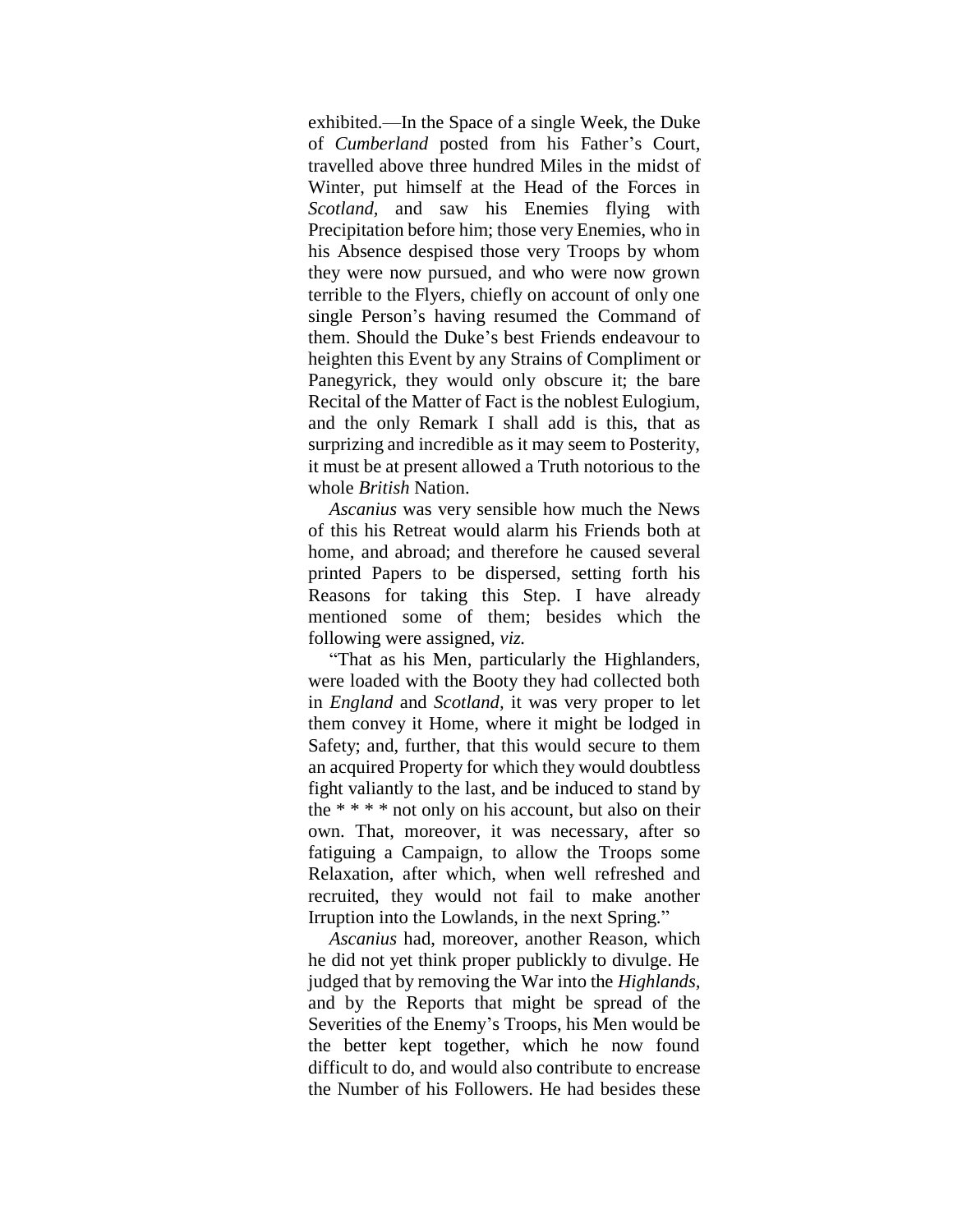exhibited.—In the Space of a single Week, the Duke of *Cumberland* posted from his Father's Court, travelled above three hundred Miles in the midst of Winter, put himself at the Head of the Forces in *Scotland,* and saw his Enemies flying with Precipitation before him; those very Enemies, who in his Absence despised those very Troops by whom they were now pursued, and who were now grown terrible to the Flyers, chiefly on account of only one single Person's having resumed the Command of them. Should the Duke's best Friends endeavour to heighten this Event by any Strains of Compliment or Panegyrick, they would only obscure it; the bare Recital of the Matter of Fact is the noblest Eulogium, and the only Remark I shall add is this, that as surprizing and incredible as it may seem to Posterity, it must be at present allowed a Truth notorious to the whole *British* Nation.

*Ascanius* was very sensible how much the News of this his Retreat would alarm his Friends both at home, and abroad; and therefore he caused several printed Papers to be dispersed, setting forth his Reasons for taking this Step. I have already mentioned some of them; besides which the following were assigned, *viz.*

"That as his Men, particularly the Highlanders, were loaded with the Booty they had collected both in *England* and *Scotland,* it was very proper to let them convey it Home, where it might be lodged in Safety; and, further, that this would secure to them an acquired Property for which they would doubtless fight valiantly to the last, and be induced to stand by the  $***\ast$  not only on his account, but also on their own. That, moreover, it was necessary, after so fatiguing a Campaign, to allow the Troops some Relaxation, after which, when well refreshed and recruited, they would not fail to make another Irruption into the Lowlands, in the next Spring."

*Ascanius* had, moreover, another Reason, which he did not yet think proper publickly to divulge. He judged that by removing the War into the *Highlands,*  and by the Reports that might be spread of the Severities of the Enemy's Troops, his Men would be the better kept together, which he now found difficult to do, and would also contribute to encrease the Number of his Followers. He had besides these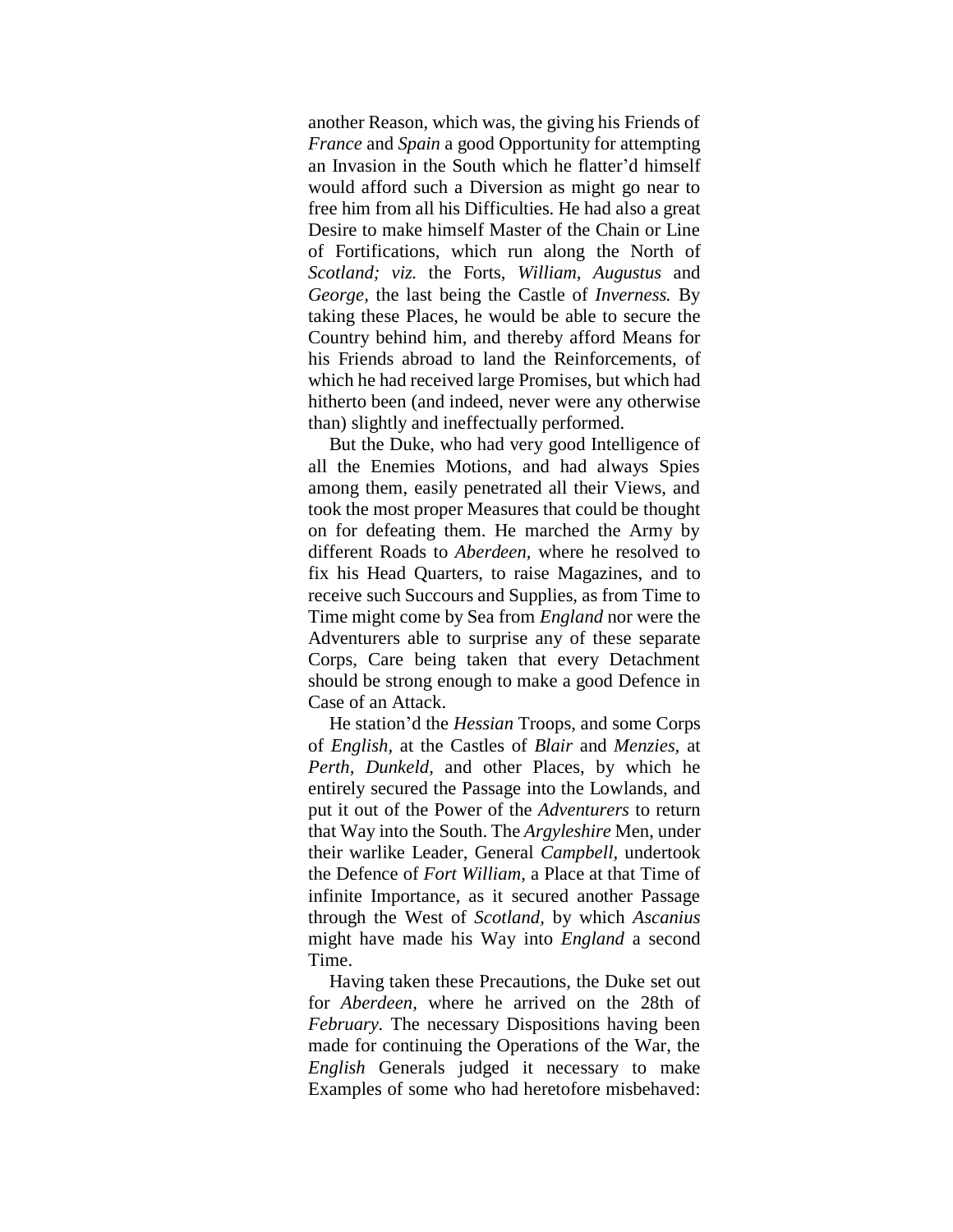another Reason, which was, the giving his Friends of *France* and *Spain* a good Opportunity for attempting an Invasion in the South which he flatter'd himself would afford such a Diversion as might go near to free him from all his Difficulties. He had also a great Desire to make himself Master of the Chain or Line of Fortifications, which run along the North of *Scotland; viz.* the Forts, *William, Augustus* and *George,* the last being the Castle of *Inverness.* By taking these Places, he would be able to secure the Country behind him, and thereby afford Means for his Friends abroad to land the Reinforcements, of which he had received large Promises, but which had hitherto been (and indeed, never were any otherwise than) slightly and ineffectually performed.

But the Duke, who had very good Intelligence of all the Enemies Motions, and had always Spies among them, easily penetrated all their Views, and took the most proper Measures that could be thought on for defeating them. He marched the Army by different Roads to *Aberdeen,* where he resolved to fix his Head Quarters, to raise Magazines, and to receive such Succours and Supplies, as from Time to Time might come by Sea from *England* nor were the Adventurers able to surprise any of these separate Corps, Care being taken that every Detachment should be strong enough to make a good Defence in Case of an Attack.

He station'd the *Hessian* Troops, and some Corps of *English,* at the Castles of *Blair* and *Menzies,* at *Perth, Dunkeld,* and other Places, by which he entirely secured the Passage into the Lowlands, and put it out of the Power of the *Adventurers* to return that Way into the South. The *Argyleshire* Men, under their warlike Leader, General *Campbell,* undertook the Defence of *Fort William,* a Place at that Time of infinite Importance, as it secured another Passage through the West of *Scotland,* by which *Ascanius*  might have made his Way into *England* a second Time.

Having taken these Precautions, the Duke set out for *Aberdeen,* where he arrived on the 28th of *February.* The necessary Dispositions having been made for continuing the Operations of the War, the *English* Generals judged it necessary to make Examples of some who had heretofore misbehaved: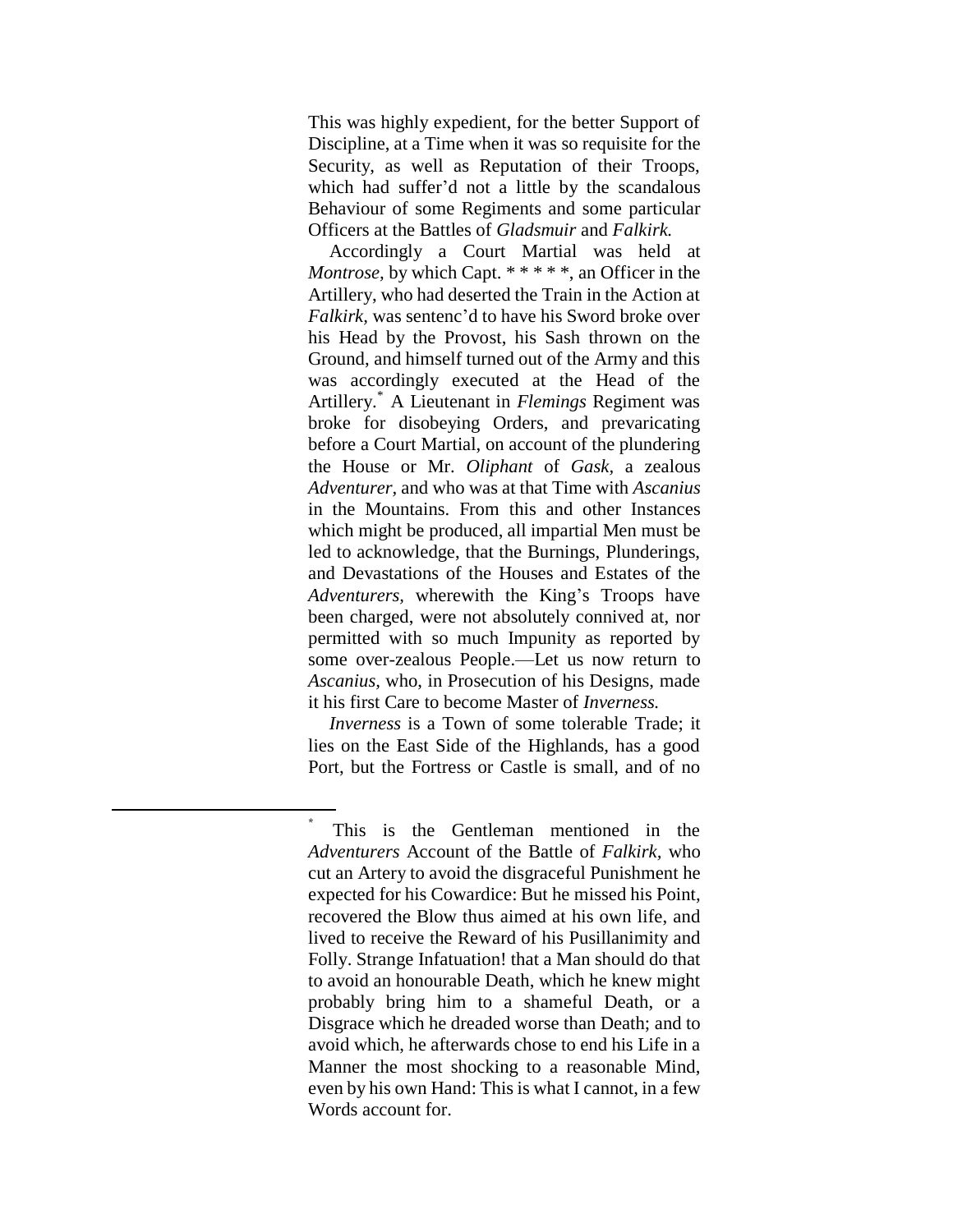This was highly expedient, for the better Support of Discipline, at a Time when it was so requisite for the Security, as well as Reputation of their Troops, which had suffer'd not a little by the scandalous Behaviour of some Regiments and some particular Officers at the Battles of *Gladsmuir* and *Falkirk.*

Accordingly a Court Martial was held at *Montrose,* by which Capt. \* \* \* \* \*, an Officer in the Artillery, who had deserted the Train in the Action at *Falkirk,* was sentenc'd to have his Sword broke over his Head by the Provost, his Sash thrown on the Ground, and himself turned out of the Army and this was accordingly executed at the Head of the Artillery.\* A Lieutenant in *Flemings* Regiment was broke for disobeying Orders, and prevaricating before a Court Martial, on account of the plundering the House or Mr. *Oliphant* of *Gask,* a zealous *Adventurer,* and who was at that Time with *Ascanius* in the Mountains. From this and other Instances which might be produced, all impartial Men must be led to acknowledge, that the Burnings, Plunderings, and Devastations of the Houses and Estates of the *Adventurers,* wherewith the King's Troops have been charged, were not absolutely connived at, nor permitted with so much Impunity as reported by some over-zealous People.—Let us now return to *Ascanius,* who, in Prosecution of his Designs, made it his first Care to become Master of *Inverness.*

*Inverness* is a Town of some tolerable Trade; it lies on the East Side of the Highlands, has a good Port, but the Fortress or Castle is small, and of no

<sup>\*</sup> This is the Gentleman mentioned in the *Adventurers* Account of the Battle of *Falkirk,* who cut an Artery to avoid the disgraceful Punishment he expected for his Cowardice: But he missed his Point, recovered the Blow thus aimed at his own life, and lived to receive the Reward of his Pusillanimity and Folly. Strange Infatuation! [that](http://tli.it/) a Man should do that to avoid an honourable Death, which he knew might probably bring him to a shameful Death, or a Disgrace which he dreaded worse than Death; and to avoid which, he afterwards chose to end his Life in a Manner the most shocking to a reasonable Mind, even by his own Hand: This is what I cannot, in a few Words account for.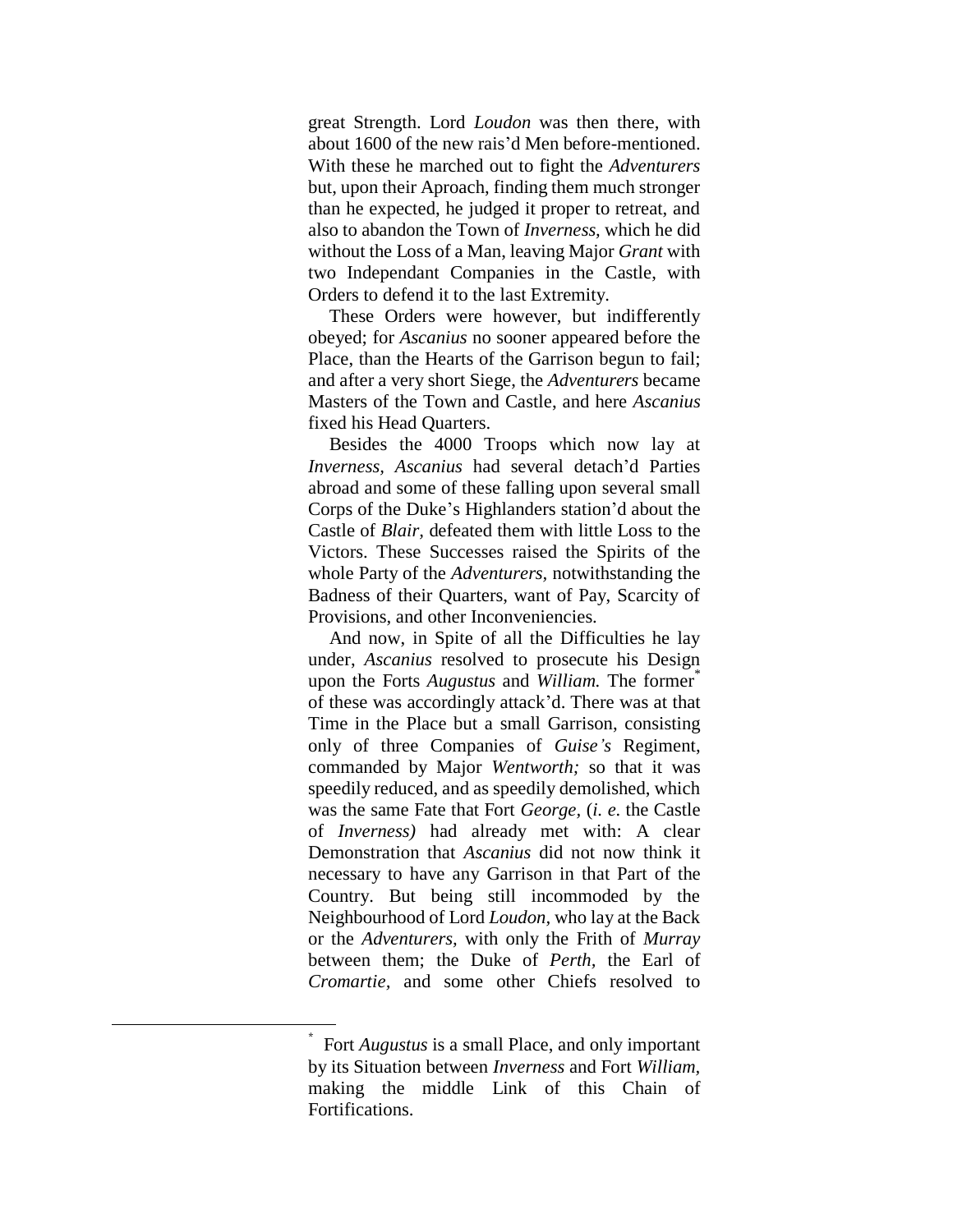great Strength. Lord *Loudon* was then there, with about 1600 of the new rais'd Men before-mentioned. With these he marched out to fight the *Adventurers*  but, upon their Aproach, finding them much stronger than he expected, he judged it proper to retreat, and also to abandon the Town of *Inverness,* which he did without the Loss of a Man, leaving Major *Grant* with two Independant Companies in the Castle, with Orders to defend it to the last Extremity.

These Orders were however, but indifferently obeyed; for *Ascanius* no sooner appeared before the Place, than the Hearts of the Garrison begun to fail; and after a very short Siege, the *Adventurers* became Masters of the Town and Castle, and here *Ascanius* fixed his Head Quarters.

Besides the 4000 Troops which now lay at *Inverness, Ascanius* had several detach'd Parties abroad and some of these falling upon several small Corps of the Duke's Highlanders station'd about the Castle of *Blair,* defeated them with little Loss to the Victors. These Successes raised the Spirits of the whole Party of the *Adventurers,* notwithstanding the Badness of their Quarters, want of Pay, Scarcity of Provisions, and other Inconveniencies.

And now, in Spite of all the Difficulties he lay under, *Ascanius* resolved to prosecute his Design upon the Forts *Augustus* and *William*. The former<sup>\*</sup> of these was accordingly attack'd. There was at that Time in the Place but a small Garrison, consisting only of three Companies of *Guise's* Regiment, commanded by Major *Wentworth;* so that it was speedily reduced, and as speedily demolished, which was the same Fate that Fort *George,* (*i. e.* the Castle of *Inverness)* had already met with: A clear Demonstration that *Ascanius* did not now think it necessary to have any Garrison in that Part of the Country. But being still incommoded by the Neighbourhood of Lord *Loudon,* who lay at the Back or the *Adventurers,* with only the Frith of *Murray*  between them; the Duke of *Perth,* the Earl of *Cromartie,* and some other Chiefs resolved to

<sup>\*</sup> Fort *Augustus* is a small Place, and only important by its Situation between *Inverness* and Fort *William,* making the middle Link of this Chain of Fortifications.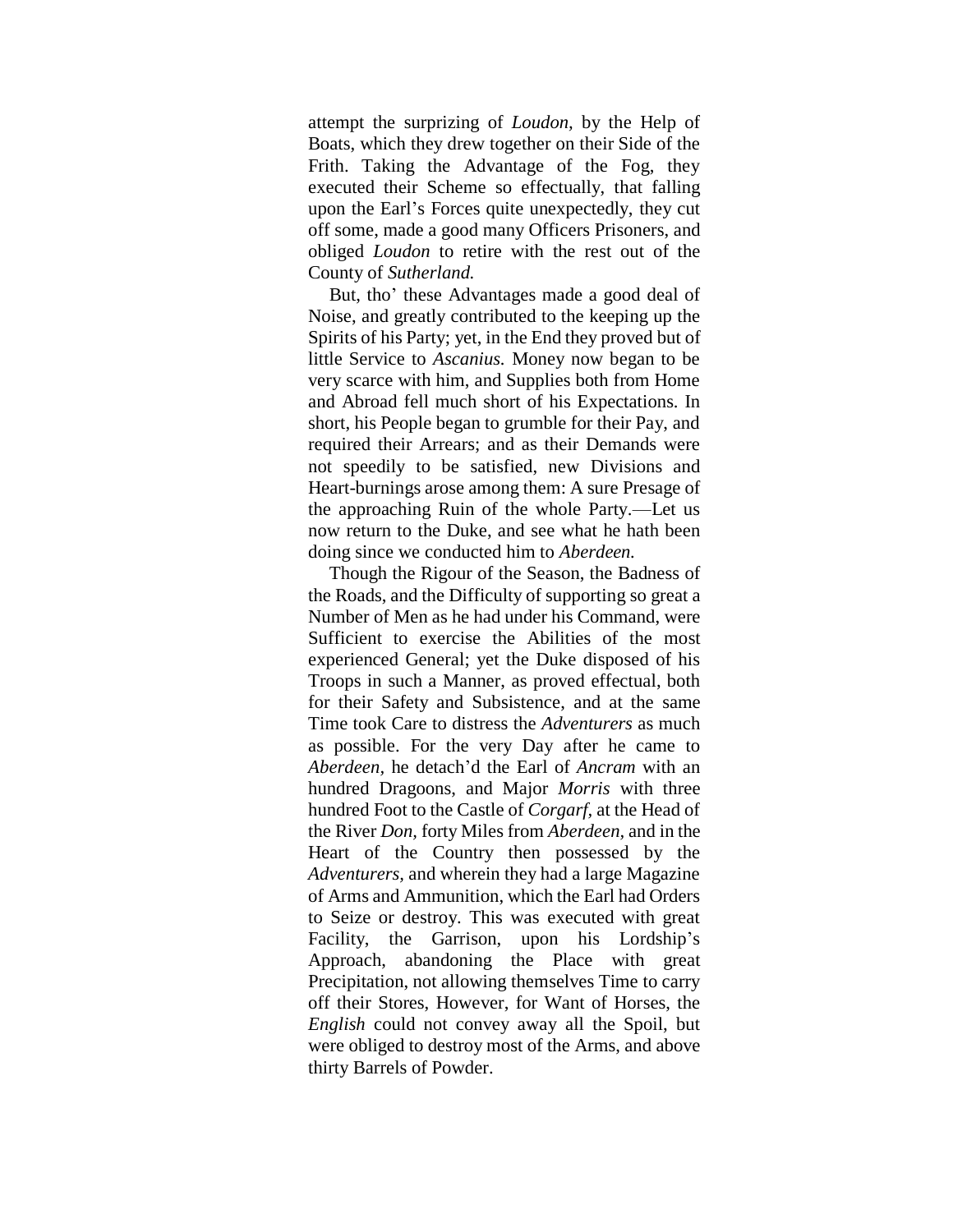attempt the surprizing of *Loudon,* by the Help of Boats, which they drew together on their Side of the Frith. Taking the Advantage of the Fog, they executed their Scheme so effectually, that falling upon the Earl's Forces quite unexpectedly, they cut off some, made a good many Officers Prisoners, and obliged *Loudon* to retire with the rest out of the County of *Sutherland.*

But, tho' these Advantages made a good deal of Noise, and greatly contributed to the keeping up the Spirits of his Party; yet, in the End they proved but of little Service to *Ascanius.* Money now began to be very scarce with him, and Supplies both from Home and Abroad fell much short of his Expectations. In short, his People began to grumble for their Pay, and required their Arrears; and as their Demands were not speedily to be satisfied, new Divisions and Heart-burnings arose among them: A sure Presage of the approaching Ruin of the whole Party.—Let us now return to the Duke, and see what he hath been doing since we conducted him to *Aberdeen.*

Though the Rigour of the Season, the Badness of the Roads, and the Difficulty of supporting so great a Number of Men as he had under his Command, were Sufficient to exercise the Abilities of the most experienced General; yet the Duke disposed of his Troops in such a Manner, as proved effectual, both for their Safety and Subsistence, and at the same Time took Care to distress the *Adventurers* as much as possible. For the very Day after he came to *Aberdeen,* he detach'd the Earl of *Ancram* with an hundred Dragoons, and Major *Morris* with three hundred Foot to the Castle of *Corgarf,* at the Head of the River *Don,* forty Miles from *Aberdeen,* and in the Heart of the Country then possessed by the *Adventurers,* and wherein they had a large Magazine of Arms and Ammunition, which the Earl had Orders to Seize or destroy. This was executed with great Facility, the Garrison, upon his Lordship's Approach, abandoning the Place with great Precipitation, not allowing themselves Time to carry off their Stores, However, for Want of Horses, the *English* could not convey away all the Spoil, but were obliged to destroy most of the Arms, and above thirty Barrels of Powder.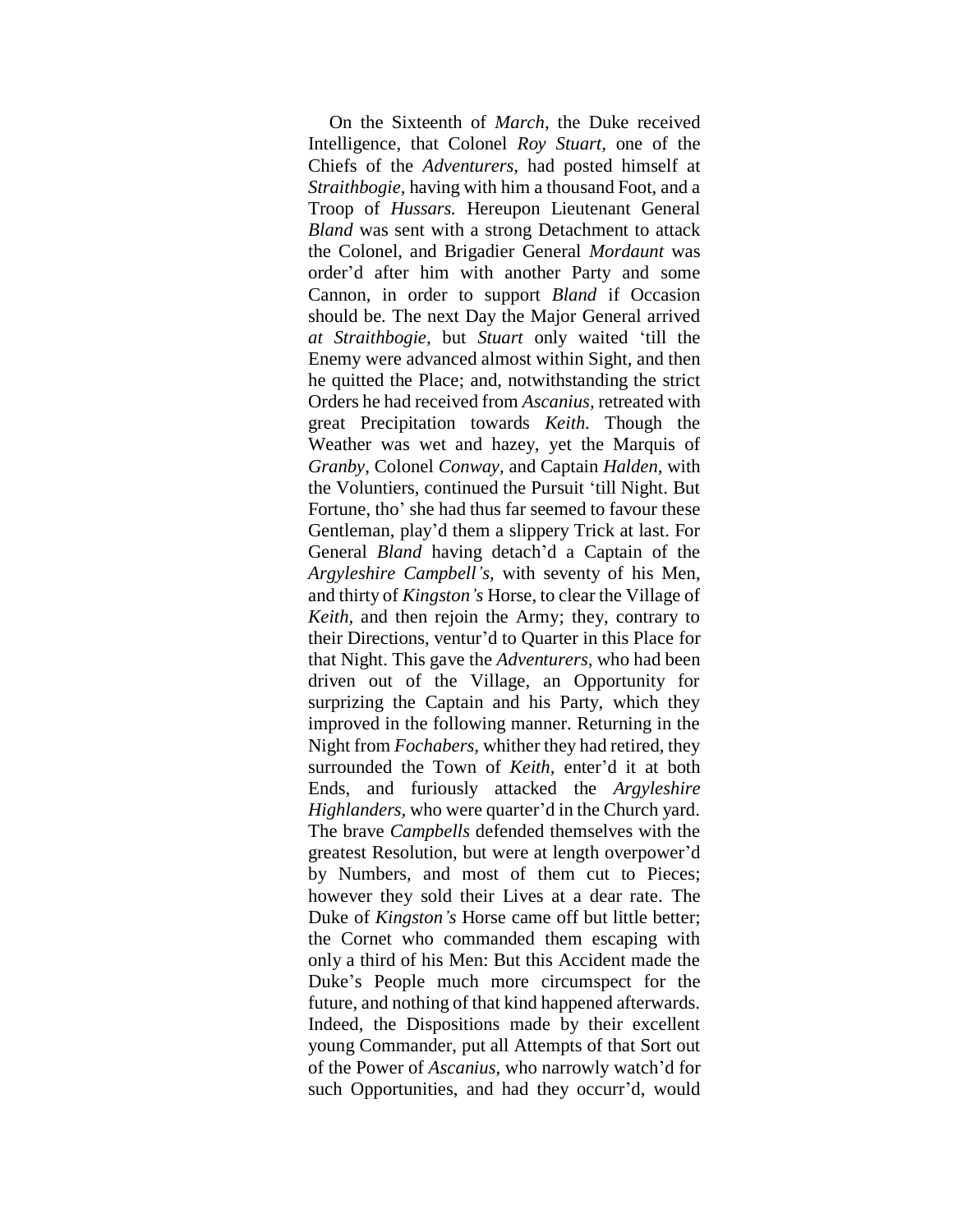On the Sixteenth of *March,* the Duke received Intelligence, that Colonel *Roy Stuart,* one of the Chiefs of the *Adventurers,* had posted himself at *Straithbogie,* having with him a thousand Foot, and a Troop of *Hussars.* Hereupon Lieutenant General *Bland* was sent with a strong Detachment to attack the Colonel, and Brigadier General *Mordaunt* was order'd after him with another Party and some Cannon, in order to support *Bland* if Occasion should be*.* The next Day the Major General arrived *at Straithbogie,* but *Stuart* only waited 'till the Enemy were advanced almost within Sight, and then he quitted the Place; and, notwithstanding the strict Orders he had received from *Ascanius,* retreated with great Precipitation towards *Keith.* Though the Weather was wet and hazey, yet the Marquis of *Granby,* Colonel *Conway,* and Captain *Halden,* with the Voluntiers, continued the Pursuit 'till Night. But Fortune, tho' she had thus far seemed to favour these Gentleman, play'd them a slippery Trick at last. For General *Bland* having detach'd a Captain of the *Argyleshire Campbell's,* with seventy of his Men, and thirty of *Kingston's* Horse, to clear the Village of *Keith,* and then rejoin the Army; they, contrary to their Directions, ventur'd to Quarter in this Place for that Night. This gave the *Adventurers,* who had been driven out of the Village, an Opportunity for surprizing the Captain and his Party, which they improved in the following manner. Returning in the Night from *Fochabers,* whither they had retired, they surrounded the Town of *Keith,* enter'd it at both Ends, and furiously attacked the *Argyleshire Highlanders,* who were quarter'd in the Church yard. The brave *Campbells* defended themselves with the greatest Resolution, but were at length overpower'd by Numbers, and most of them cut to Pieces; however they sold their Lives at a dear rate. The Duke of *Kingston's* Horse came off but little better; the Cornet who commanded them escaping with only a third of his Men: But this Accident made the Duke's People much more circumspect for the future, and nothing of that kind happened afterwards. Indeed, the Dispositions made by their excellent young Commander, put all Attempts of that Sort out of the Power of *Ascanius,* who narrowly watch'd for such Opportunities, and had they occurr'd, would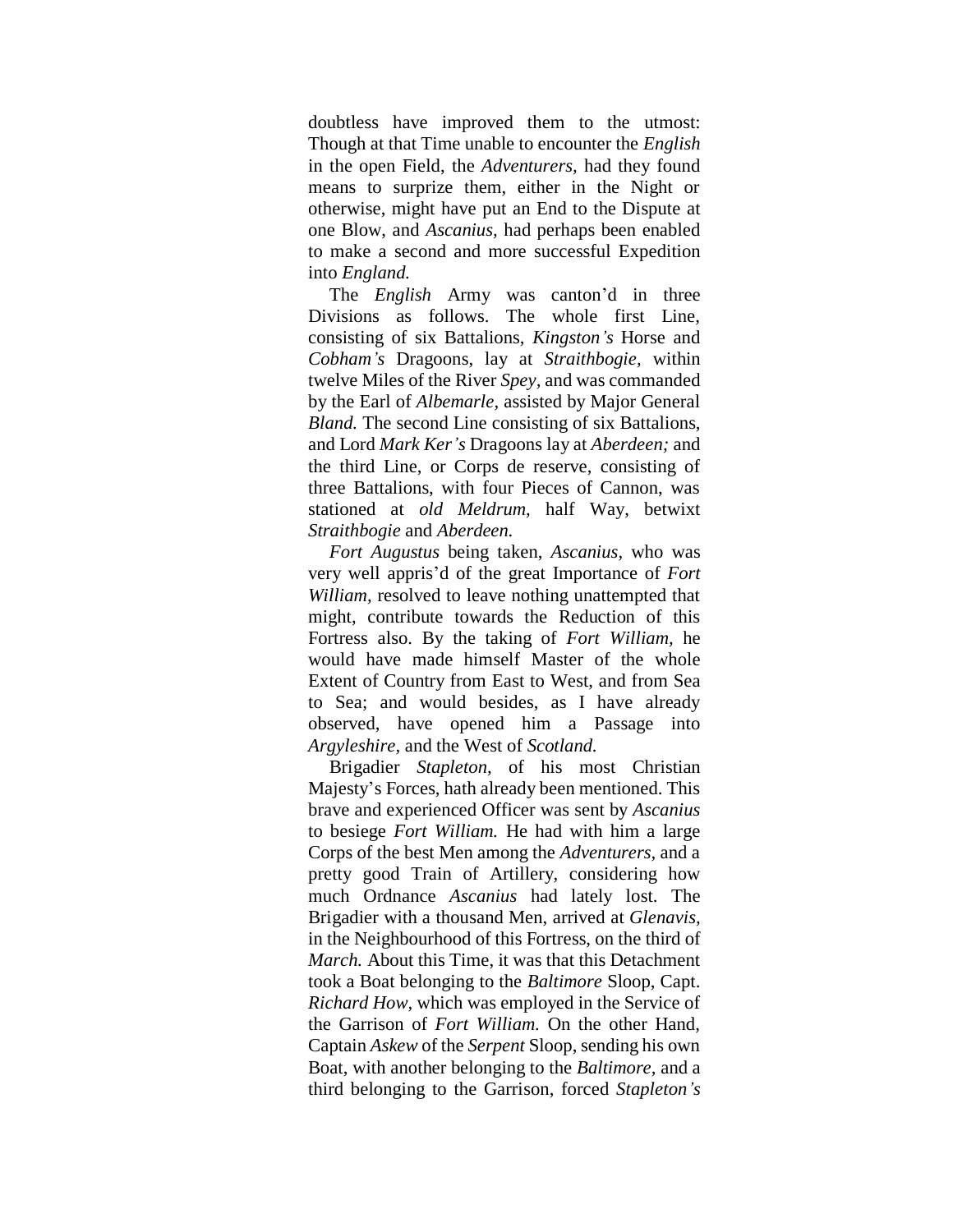doubtless have improved them to the utmost: Though at that Time unable to encounter the *English*  in the open Field, the *Adventurers,* had they found means to surprize them, either in the Night or otherwise, might have put an End to the Dispute at one Blow, and *Ascanius,* had perhaps been enabled to make a second and more successful Expedition into *England.*

The *English* Army was canton'd in three Divisions as follows. The whole first Line, consisting of six Battalions, *Kingston's* Horse and *Cobham's* Dragoons, lay at *Straithbogie,* within twelve Miles of the River *Spey,* and was commanded by the Earl of *Albemarle,* assisted by Major General *Bland.* The second Line consisting of six Battalions, and Lord *Mark Ker's* Dragoons lay at *Aberdeen;* and the third Line, or Corps de reserve, consisting of three Battalions, with four Pieces of Cannon, was stationed at *old Meldrum,* half Way, betwixt *Straithbogie* and *Aberdeen.*

*Fort Augustus* being taken, *Ascanius,* who was very well appris'd of the great Importance of *Fort William,* resolved to leave nothing unattempted that might, contribute towards the Reduction of this Fortress also. By the taking of *Fort William,* he would have made himself Master of the whole Extent of Country from East to West, and from Sea to Sea; and would besides, as I have already observed, have opened him a Passage into *Argyleshire,* and the West of *Scotland.*

Brigadier *Stapleton,* of his most Christian Majesty's Forces, hath already been mentioned. This brave and experienced Officer was sent by *Ascanius* to besiege *Fort William.* He had with him a large Corps of the best Men among the *Adventurers,* and a pretty good Train of Artillery, considering how much Ordnance *Ascanius* had lately lost. The Brigadier with a thousand Men, arrived at *Glenavis,*  in the Neighbourhood of this Fortress, on the third of *March.* About this Time, it was that this Detachment took a Boat belonging to the *Baltimore* Sloop, Capt. *Richard How,* which was employed in the Service of the Garrison of *Fort William.* On the other Hand, Captain *Askew* of the *Serpent* Sloop, sending his own Boat, with another belonging to the *Baltimore,* and a third belonging to the Garrison, forced *Stapleton's*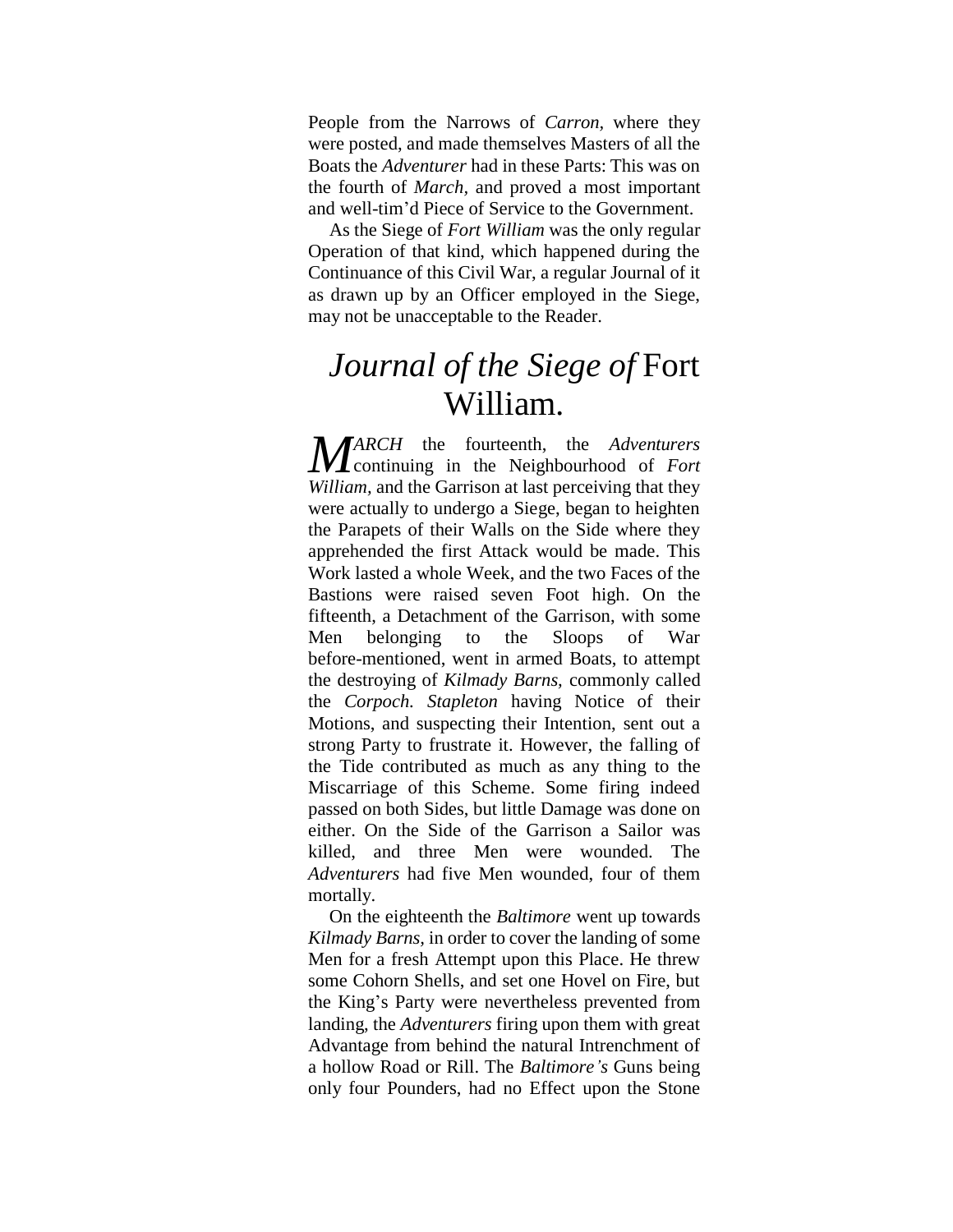People from the Narrows of *Carron,* where they were posted, and made themselves Masters of all the Boats the *Adventurer* had in these Parts: This was on the fourth of *March,* and proved a most important and well-tim'd Piece of Service to the Government.

As the Siege of *Fort William* was the only regular Operation of that kind, which happened during the Continuance of this Civil War, a regular Journal of it as drawn up by an Officer employed in the Siege, may not be unacceptable to the Reader.

# *Journal of the Siege of* Fort William.

*ARCH* the fourteenth, the *Adventurers*  MARCH the fourteenth, the Adventurers<br>
continuing in the Neighbourhood of *Fort William,* and the Garrison at last perceiving that they were actually to undergo a Siege, began to heighten the Parapets of their Walls on the Side where they apprehended the first Attack would be made. This Work lasted a whole Week, and the two Faces of the Bastions were raised seven Foot high. On the fifteenth, a Detachment of the Garrison, with some Men belonging to the Sloops of War before-mentioned, went in armed Boats, to attempt the destroying of *Kilmady Barns,* commonly called the *Corpoch. Stapleton* having Notice of their Motions, and suspecting their Intention, sent out a strong Party to frustrate it. However, the falling of the Tide contributed as much as any thing to the Miscarriage of this Scheme. Some firing indeed passed on both Sides, but little Damage was done on either. On the Side of the Garrison a Sailor was killed, and three Men were wounded. The *Adventurers* had five Men wounded, four of them mortally.

On the eighteenth the *Baltimore* went up towards *Kilmady Barns,* in order to cover the landing of some Men for a fresh Attempt upon this Place. He threw some Cohorn Shells, and set one Hovel on Fire, but the King's Party were nevertheless prevented from landing, the *Adventurers* firing upon them with great Advantage from behind the natural Intrenchment of a hollow Road or Rill. The *Baltimore's* Guns being only four Pounders, had no Effect upon the Stone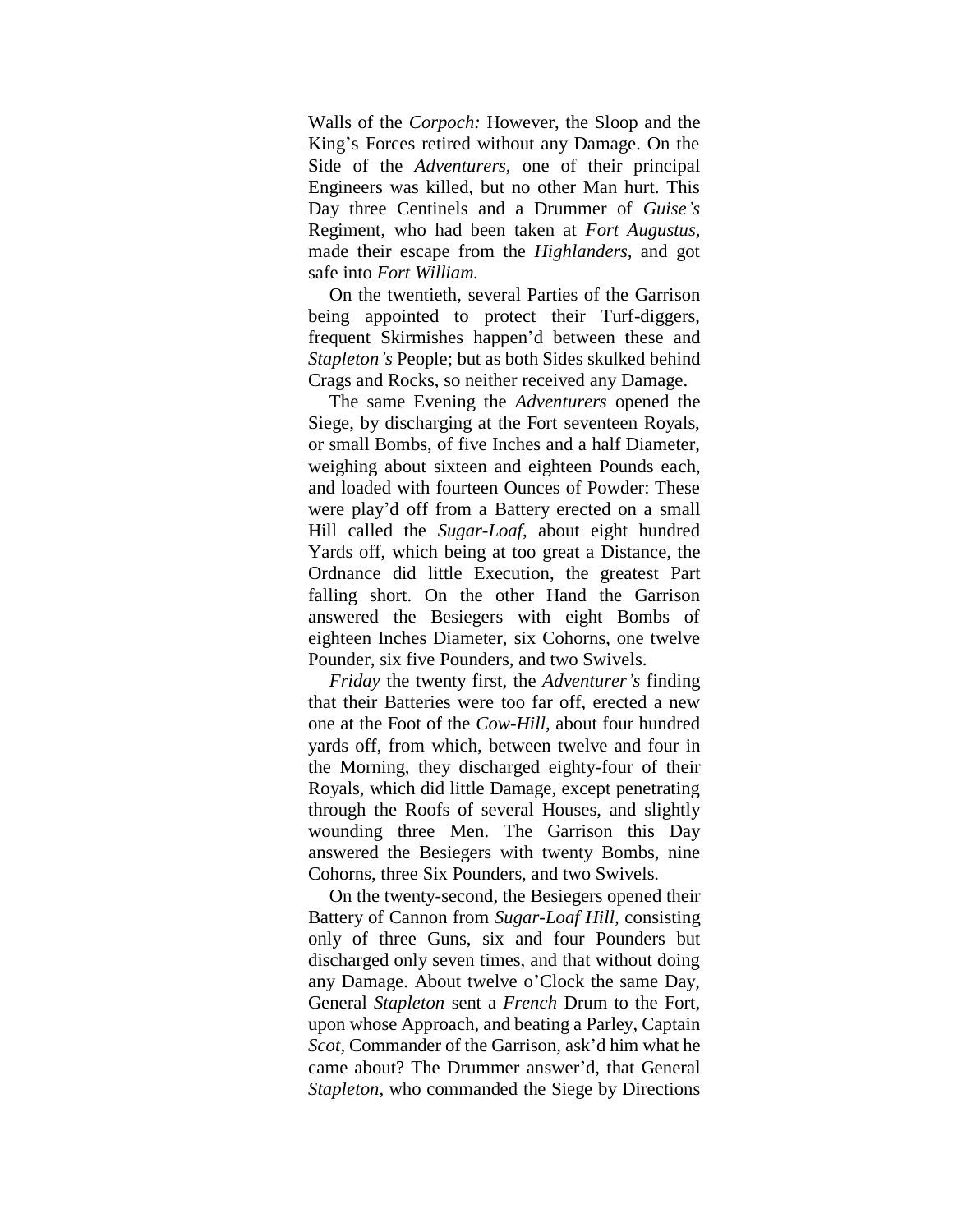Walls of the *Corpoch:* However, the Sloop and the King's Forces retired without any Damage. On the Side of the *Adventurers,* one of their principal Engineers was killed, but no other Man hurt. This Day three Centinels and a Drummer of *Guise's*  Regiment, who had been taken at *Fort Augustus,*  made their escape from the *Highlanders,* and got safe into *Fort William.*

On the twentieth, several Parties of the Garrison being appointed to protect their Turf-diggers, frequent Skirmishes happen'd between these and *Stapleton's* People; but as both Sides skulked behind Crags and Rocks, so neither received any Damage.

The same Evening the *Adventurers* opened the Siege, by discharging at the Fort seventeen Royals, or small Bombs, of five Inches and a half Diameter, weighing about sixteen and eighteen Pounds each, and loaded with fourteen Ounces of Powder: These were play'd off from a Battery erected on a small Hill called the *Sugar-Loaf,* about eight hundred Yards off, which being at too great a Distance, the Ordnance did little Execution, the greatest Part falling short. On the other Hand the Garrison answered the Besiegers with eight Bombs of eighteen Inches Diameter, six Cohorns, one twelve Pounder, six five Pounders, and two Swivels.

*Friday* the twenty first, the *Adventurer's* finding that their Batteries were too far off, erected a new one at the Foot of the *Cow-Hill,* about four hundred yards off, from which, between twelve and four in the Morning, they discharged eighty-four of their Royals, which did little Damage, except penetrating through the Roofs of several Houses, and slightly wounding three Men. The Garrison this Day answered the Besiegers with twenty Bombs, nine Cohorns, three Six Pounders, and two Swivels.

On the twenty-second, the Besiegers opened their Battery of Cannon from *Sugar-Loaf Hill,* consisting only of three Guns, six and four Pounders but discharged only seven times, and that without doing any Damage. About twelve o'Clock the same Day, General *Stapleton* sent a *French* Drum to the Fort, upon whose Approach, and beating a Parley, Captain *Scot,* Commander of the Garrison, ask'd him what he came about? The Drummer answer'd, that General *Stapleton,* who commanded the Siege by Directions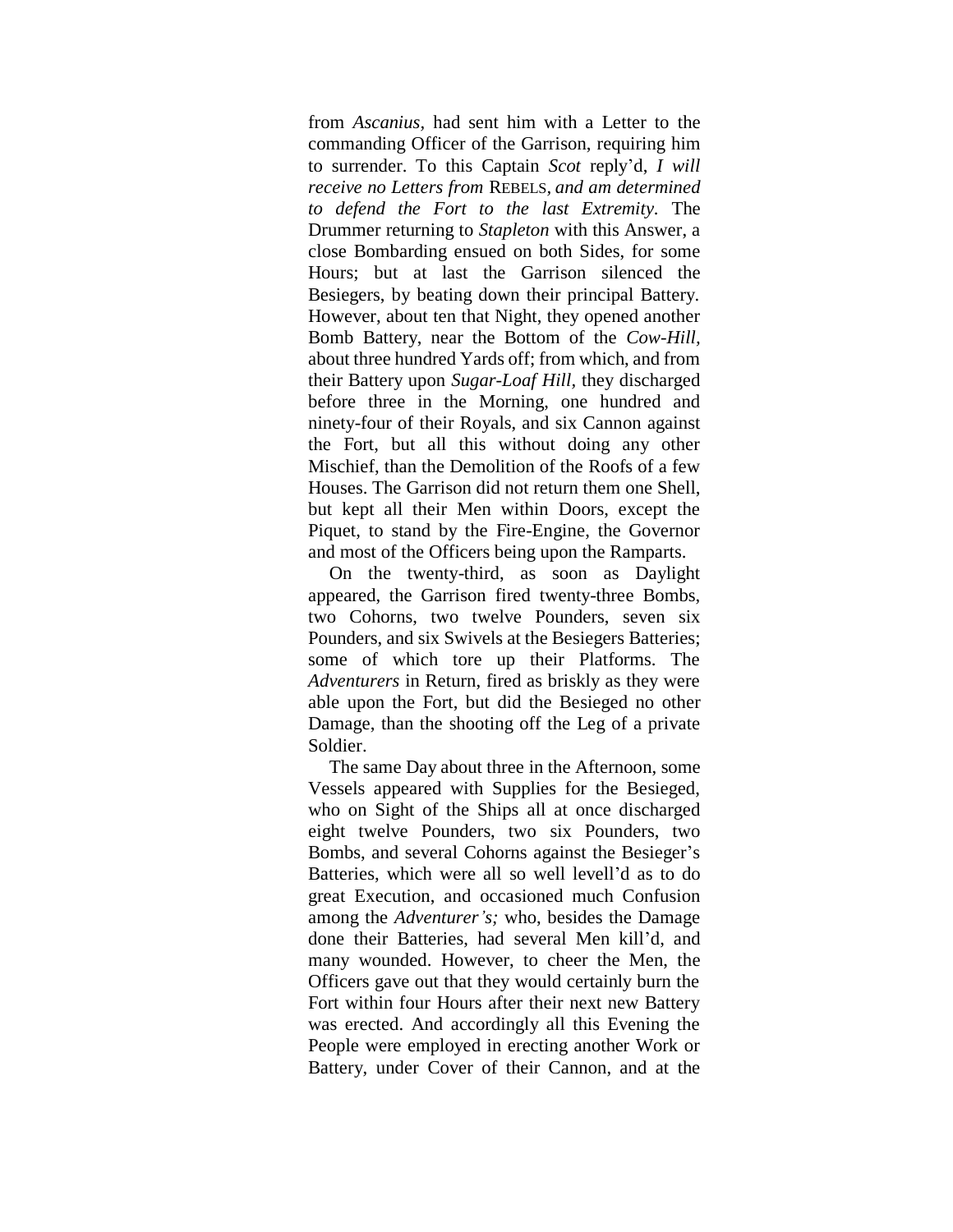from *Ascanius,* had sent him with a Letter to the commanding Officer of the Garrison, requiring him to surrender. To this Captain *Scot* reply'd, *I will receive no Letters from* REBELS*, and am determined to defend the Fort to the last Extremity.* The Drummer returning to *Stapleton* with this Answer, a close Bombarding ensued on both Sides, for some Hours; but at last the Garrison silenced the Besiegers, by beating down their principal Battery. However, about ten that Night, they opened another Bomb Battery, near the Bottom of the *Cow-Hill,*  about three hundred Yards off; from which, and from their Battery upon *Sugar-Loaf Hill,* they discharged before three in the Morning, one hundred and ninety-four of their Royals, and six Cannon against the Fort, but all this without doing any other Mischief, than the Demolition of the Roofs of a few Houses. The Garrison did not return them one Shell, but kept all their Men within Doors, except the Piquet, to stand by the Fire-Engine, the Governor and most of the Officers being upon the Ramparts.

On the twenty-third, as soon as Daylight appeared, the Garrison fired twenty-three Bombs, two Cohorns, two twelve Pounders, seven six Pounders, and six Swivels at the Besiegers Batteries; some of which tore up their Platforms. The *Adventurers* in Return, fired as briskly as they were able upon the Fort, but did the Besieged no other Damage, than the shooting off the Leg of a private Soldier.

The same Day about three in the Afternoon, some Vessels appeared with Supplies for the Besieged, who on Sight of the Ships all at once discharged eight twelve Pounders, two six Pounders, two Bombs, and several Cohorns against the Besieger's Batteries, which were all so well levell'd as to do great Execution, and occasioned much Confusion among the *Adventurer's;* who, besides the Damage done their Batteries, had several Men kill'd, and many wounded. However, to cheer the Men, the Officers gave out that they would certainly burn the Fort within four Hours after their next new Battery was erected. And accordingly all this Evening the People were employed in erecting another Work or Battery, under Cover of their Cannon, and at the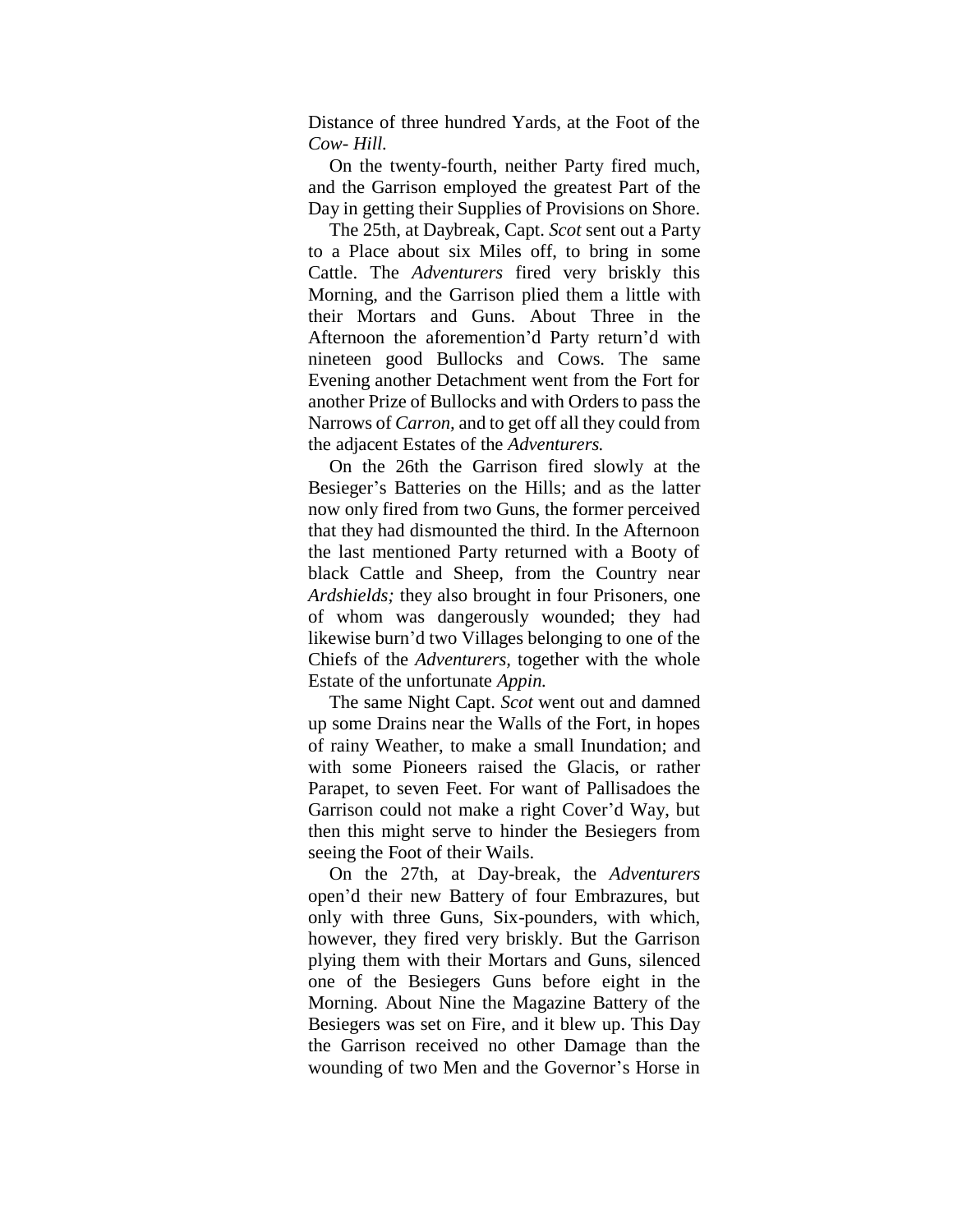Distance of three hundred Yards, at the Foot of the *Cow- Hill.*

On the twenty-fourth, neither Party fired much, and the Garrison employed the greatest Part of the Day in getting their Supplies of Provisions on Shore.

The 25th*,* at Daybreak, Capt. *Scot* sent out a Party to a Place about six Miles off, to bring in some Cattle. The *Adventurers* fired very briskly this Morning, and the Garrison plied them a little with their Mortars and Guns. About Three in the Afternoon the aforemention'd Party return'd with nineteen good Bullocks and Cows. The same Evening another Detachment went from the Fort for another Prize of Bullocks and with Orders to pass the Narrows of *Carron,* and to get off all they could from the adjacent Estates of the *Adventurers.*

On the 26th the Garrison fired slowly at the Besieger's Batteries on the Hills; and as the latter now only fired from two Guns, the former perceived that they had dismounted the third. In the Afternoon the last mentioned Party returned with a Booty of black Cattle and Sheep, from the Country near *Ardshields;* they also brought in four Prisoners, one of whom was dangerously wounded; they had likewise burn'd two Villages belonging to one of the Chiefs of the *Adventurers,* together with the whole Estate of the unfortunate *Appin.*

The same Night Capt. *Scot* went out and damned up some Drains near the Walls of the Fort, in hopes of rainy Weather, to make a small Inundation; and with some Pioneers raised the Glacis, or rather Parapet, to seven Feet. For want of Pallisadoes the Garrison could not make a right Cover'd Way, but then this might serve to hinder the Besiegers from seeing the Foot of their Wails.

On the 27th, at Day-break, the *Adventurers*  open'd their new Battery of four Embrazures, but only with three Guns, Six-pounders, with which, however, they fired very briskly. But the Garrison plying them with their Mortars and Guns, silenced one of the Besiegers Guns before eight in the Morning. About Nine the Magazine Battery of the Besiegers was set on Fire, and it blew up. This Day the Garrison received no other Damage than the wounding of two Men and the Governor's Horse in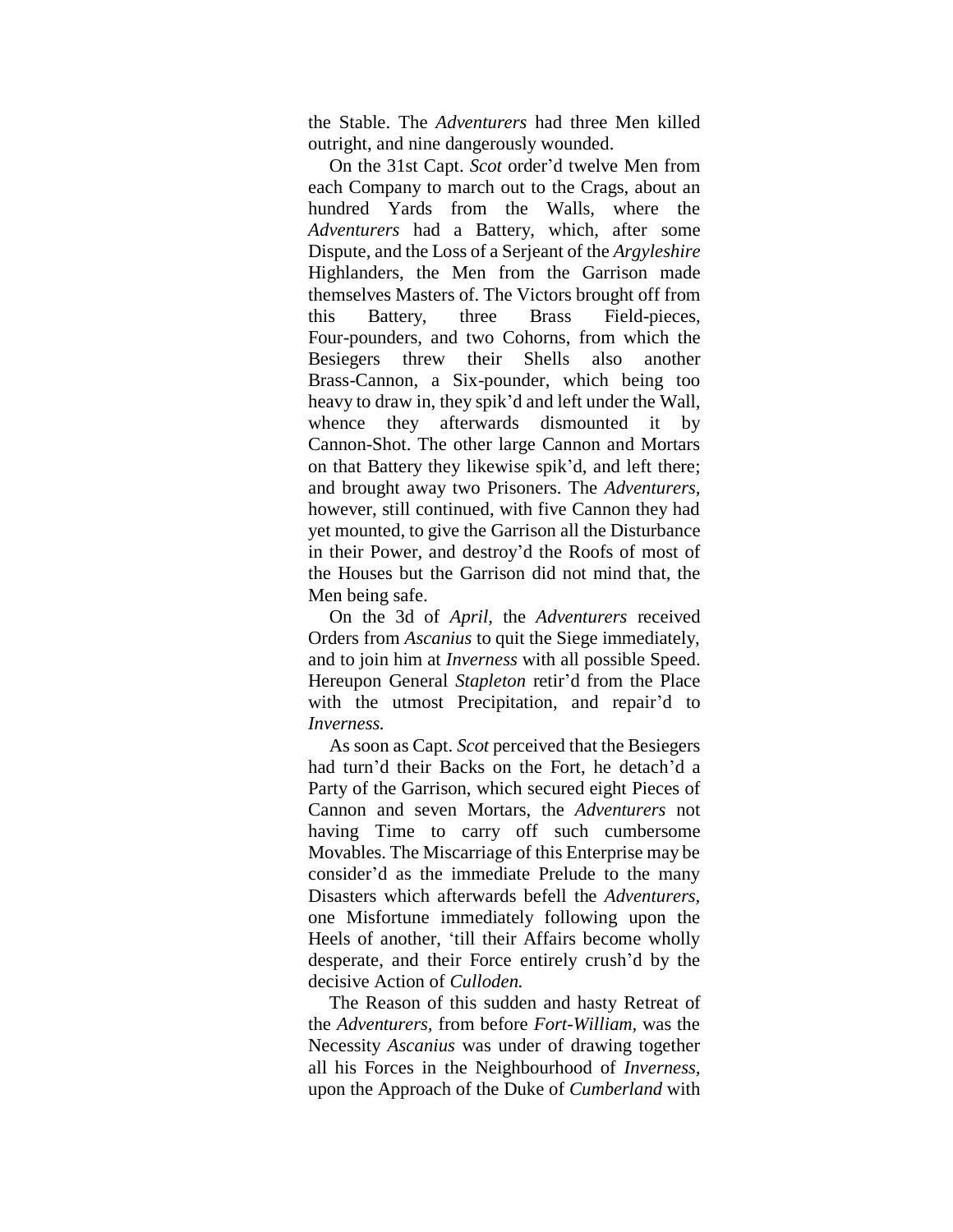the Stable. The *Adventurers* had three Men killed outright, and nine dangerously wounded.

On the 31st Capt. *Scot* order'd twelve Men from each Company to march out to the Crags, about an hundred Yards from the Walls, where the *Adventurers* had a Battery, which, after some Dispute, and the Loss of a Serjeant of the *Argyleshire*  Highlanders, the Men from the Garrison made themselves Masters of. The Victors brought off from this Battery, three Brass Field-pieces, Four-pounders, and two Cohorns, from which the Besiegers threw their Shells also another Brass-Cannon, a Six-pounder, which being too heavy to draw in, they spik'd and left under the Wall, whence they afterwards dismounted it by Cannon-Shot. The other large Cannon and Mortars on that Battery they likewise spik'd, and left there; and brought away two Prisoners. The *Adventurers,*  however, still continued, with five Cannon they had yet mounted, to give the Garrison all the Disturbance in their Power, and destroy'd the Roofs of most of the Houses but the Garrison did not mind that, the Men being safe.

On the 3d of *April,* the *Adventurers* received Orders from *Ascanius* to quit the Siege immediately, and to join him at *Inverness* with all possible Speed. Hereupon General *Stapleton* retir'd from the Place with the utmost Precipitation, and repair'd to *Inverness.*

As soon as Capt. *Scot* perceived that the Besiegers had turn'd their Backs on the Fort, he detach'd a Party of the Garrison, which secured eight Pieces of Cannon and seven Mortars, the *Adventurers* not having Time to carry off such cumbersome Movables. The Miscarriage of this Enterprise may be consider'd as the immediate Prelude to the many Disasters which afterwards befell the *Adventurers,*  one Misfortune immediately following upon the Heels of another, 'till their Affairs become wholly desperate, and their Force entirely crush'd by the decisive Action of *Culloden.*

The Reason of this sudden and hasty Retreat of the *Adventurers,* from before *Fort-William,* was the Necessity *Ascanius* was under of drawing together all his Forces in the Neighbourhood of *Inverness,* upon the Approach of the Duke of *Cumberland* with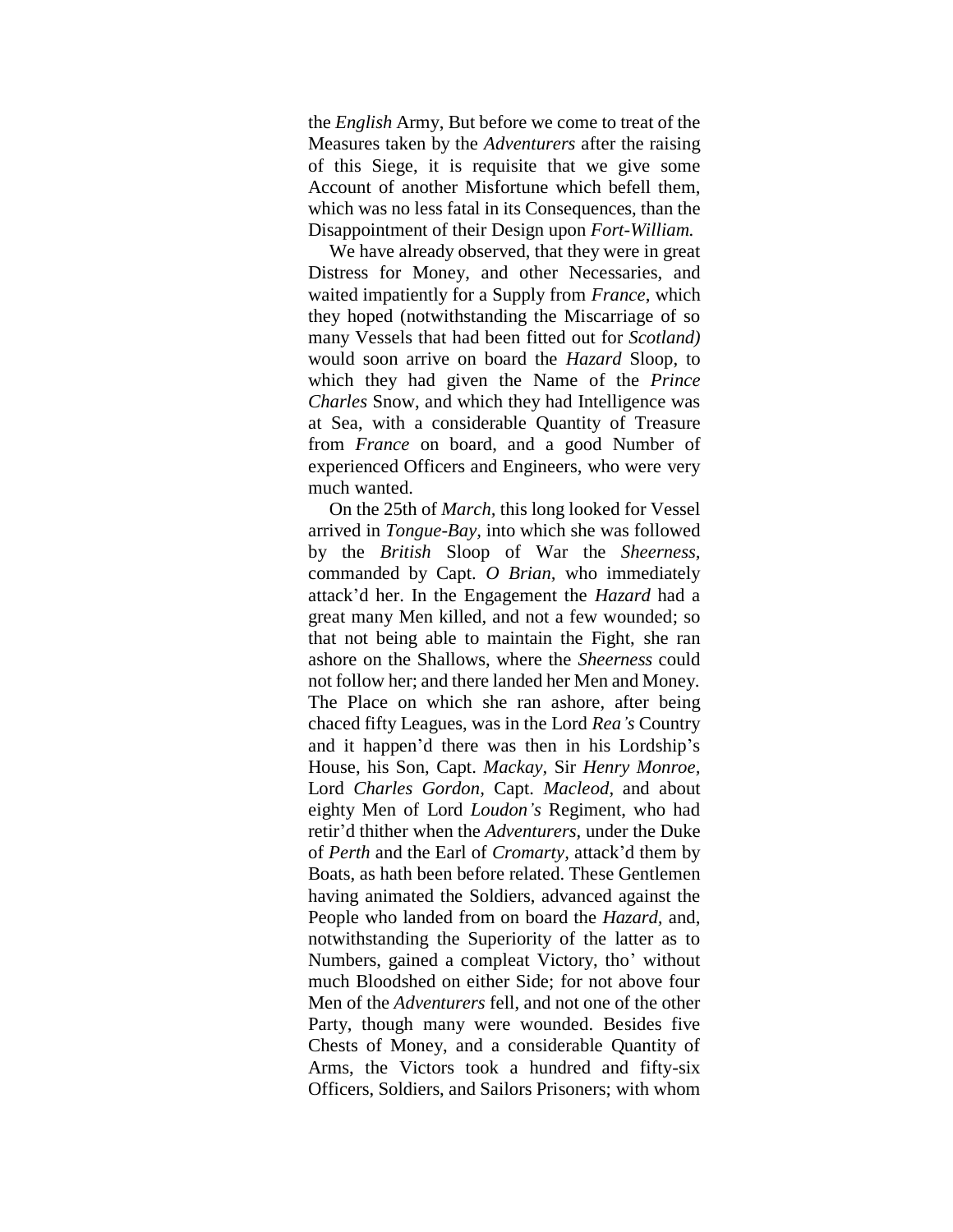the *English* Army, But before we come to treat of the Measures taken by the *Adventurers* after the raising of this Siege, it is requisite that we give some Account of another Misfortune which befell them, which was no less fatal in its Consequences, than the Disappointment of their Design upon *Fort-William.*

We have already observed, that they were in great Distress for Money, and other Necessaries, and waited impatiently for a Supply from *France*, which they hoped (notwithstanding the Miscarriage of so many Vessels that had been fitted out for *Scotland)*  would soon arrive on board the *Hazard* Sloop, to which they had given the Name of the *Prince Charles* Snow, and which they had Intelligence was at Sea, with a considerable Quantity of Treasure from *France* on board, and a good Number of experienced Officers and Engineers, who were very much wanted.

On the 25th of *March,* this long looked for Vessel arrived in *Tongue-Bay,* into which she was followed by the *British* Sloop of War the *Sheerness,*  commanded by Capt. *O Brian,* who immediately attack'd her. In the Engagement the *Hazard* had a great many Men killed, and not a few wounded; so that not being able to maintain the Fight, she ran ashore on the Shallows, where the *Sheerness* could not follow her; and there landed her Men and Money. The Place on which she ran ashore, after being chaced fifty Leagues, was in the Lord *Rea's* Country and it happen'd there was then in his Lordship's House, his Son, Capt. *Mackay,* Sir *Henry Monroe,*  Lord *Charles Gordon,* Capt. *Macleod,* and about eighty Men of Lord *Loudon's* Regiment, who had retir'd thither when the *Adventurers,* under the Duke of *Perth* and the Earl of *Cromarty,* attack'd them by Boats, as hath been before related. These Gentlemen having animated the Soldiers, advanced against the People who landed from on board the *Hazard,* and, notwithstanding the Superiority of the latter as to Numbers, gained a compleat Victory, tho' without much Bloodshed on either Side; for not above four Men of the *Adventurers* fell, and not one of the other Party, though many were wounded. Besides five Chests of Money, and a considerable Quantity of Arms, the Victors took a hundred and fifty-six Officers, Soldiers, and Sailors Prisoners; with whom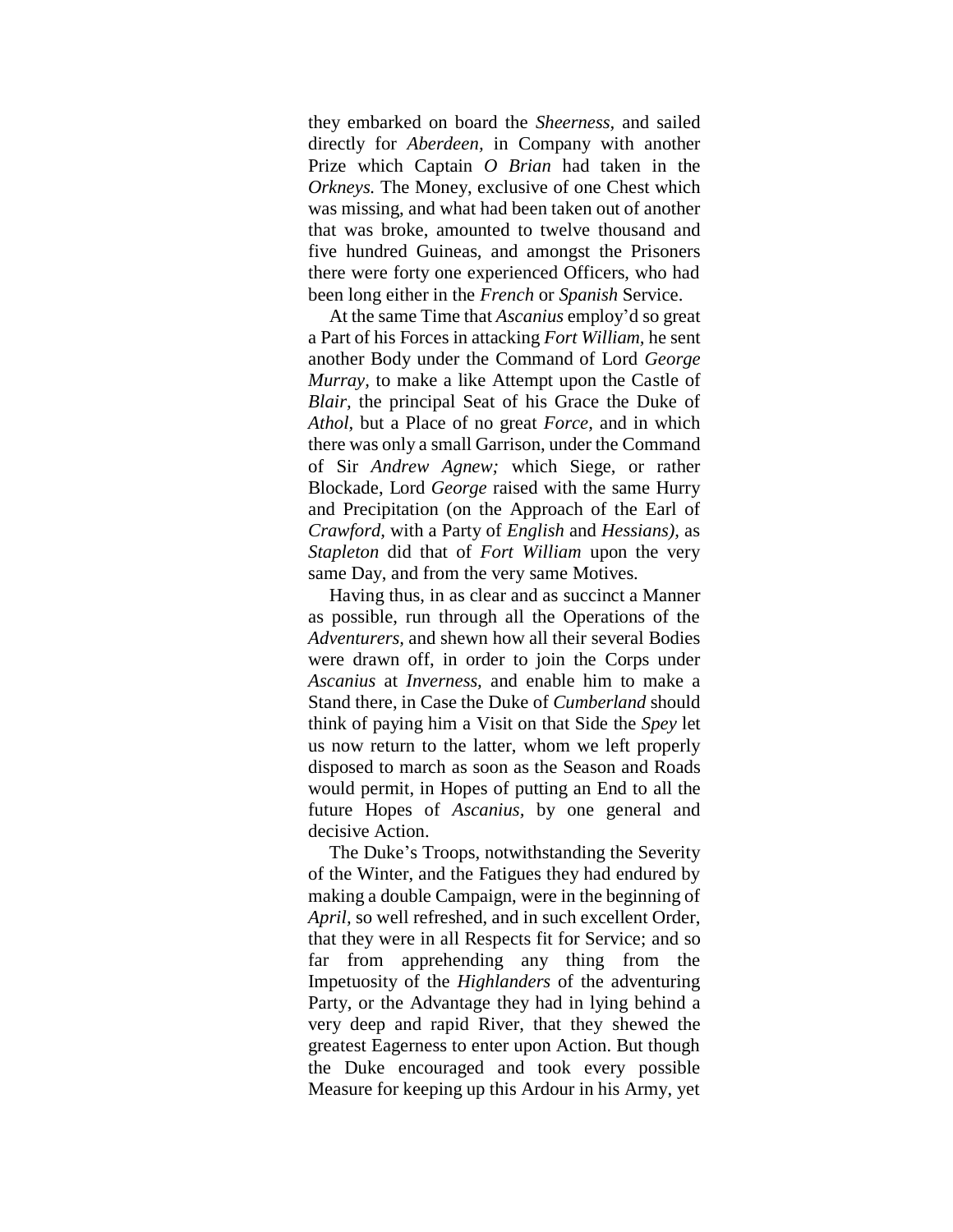they embarked on board the *Sheerness,* and sailed directly for *Aberdeen,* in Company with another Prize which Captain *O Brian* had taken in the *Orkneys.* The Money, exclusive of one Chest which was missing, and what had been taken out of another that was broke, amounted to twelve thousand and five hundred Guineas, and amongst the Prisoners there were forty one experienced Officers, who had been long either in the *French* or *Spanish* Service.

At the same Time that *Ascanius* employ'd so great a Part of his Forces in attacking *Fort William,* he sent another Body under the Command of Lord *George Murray,* to make a like Attempt upon the Castle of *Blair,* the principal Seat of his Grace the Duke of *Athol,* but a Place of no great *Force,* and in which there was only a small Garrison, under the Command of Sir *Andrew Agnew;* which Siege, or rather Blockade, Lord *George* raised with the same Hurry and Precipitation (on the Approach of the Earl of *Crawford,* with a Party of *English* and *Hessians),* as *Stapleton* did that of *Fort William* upon the very same Day, and from the very same Motives.

Having thus, in as clear and as succinct a Manner as possible, run through all the Operations of the *Adventurers,* and shewn how all their several Bodies were drawn off, in order to join the Corps under *Ascanius* at *Inverness,* and enable him to make a Stand there, in Case the Duke of *Cumberland* should think of paying him a Visit on that Side the *Spey* let us now return to the latter, whom we left properly disposed to march as soon as the Season and Roads would permit, in Hopes of putting an End to all the future Hopes of *Ascanius,* by one general and decisive Action.

The Duke's Troops, notwithstanding the Severity of the Winter, and the Fatigues they had endured by making a double Campaign, were in the beginning of *April,* so well refreshed, and in such excellent Order, that they were in all Respects fit for Service; and so far from apprehending any thing from the Impetuosity of the *Highlanders* of the adventuring Party, or the Advantage they had in lying behind a very deep and rapid River, that they shewed the greatest Eagerness to enter upon Action. But though the Duke encouraged and took every possible Measure for keeping up this Ardour in his Army, yet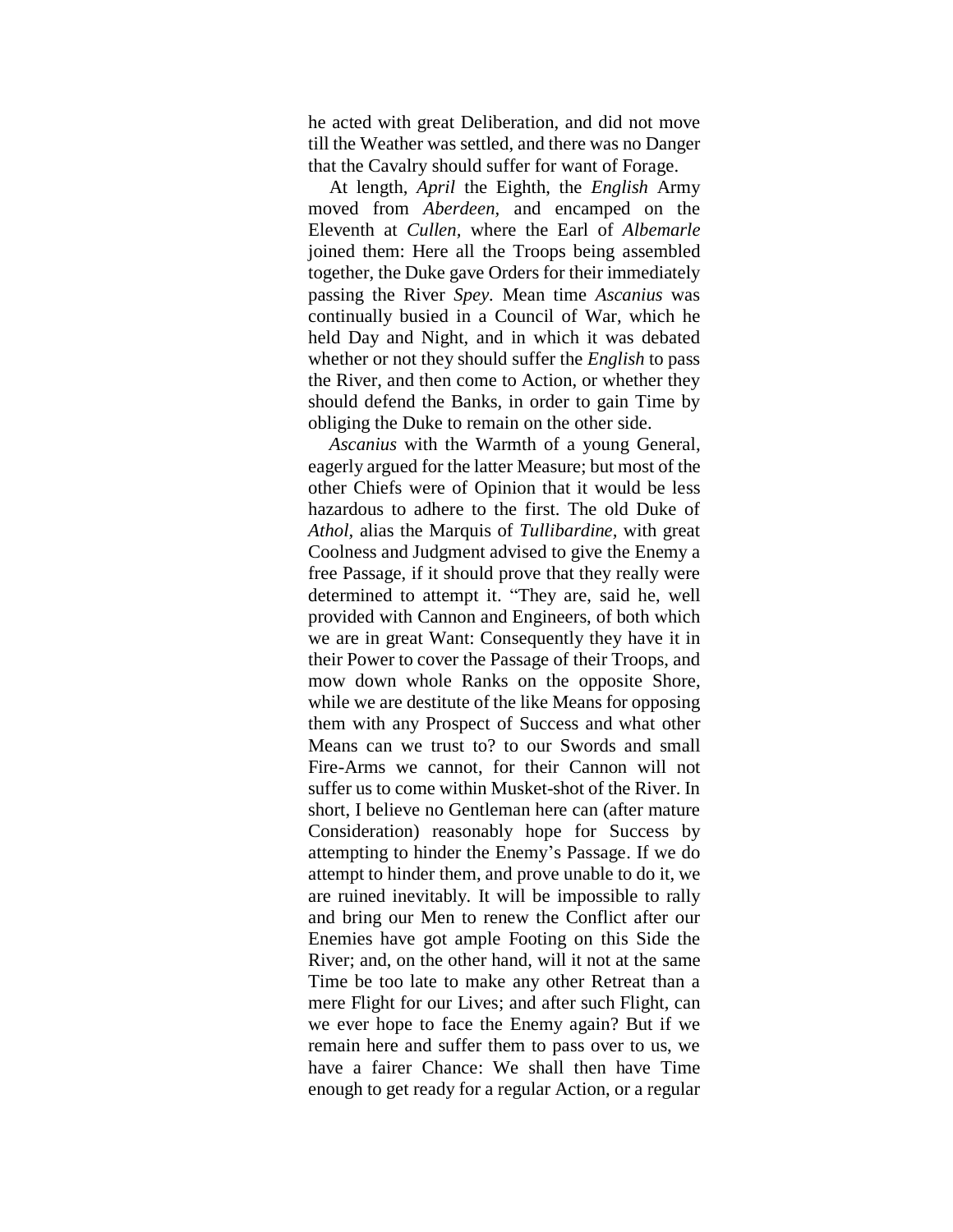he acted with great Deliberation, and did not move till the Weather was settled, and there was no Danger that the Cavalry should suffer for want of Forage.

At length, *April* the Eighth, the *English* Army moved from *Aberdeen,* and encamped on the Eleventh at *Cullen,* where the Earl of *Albemarle*  joined them: Here all the Troops being assembled together, the Duke gave Orders for their immediately passing the River *Spey.* Mean time *Ascanius* was continually busied in a Council of War, which he held Day and Night, and in which it was debated whether or not they should suffer the *English* to pass the River, and then come to Action, or whether they should defend the Banks, in order to gain Time by obliging the Duke to remain on the other side.

*Ascanius* with the Warmth of a young General, eagerly argued for the latter Measure; but most of the other Chiefs were of Opinion that it would be less hazardous to adhere to the first. The old Duke of *Athol,* alias the Marquis of *Tullibardine,* with great Coolness and Judgment advised to give the Enemy a free Passage, if it should prove that they really were determined to attempt it. "They are, said he, well provided with Cannon and Engineers, of both which we are in great Want: Consequently they have it in their Power to cover the Passage of their Troops, and mow down whole Ranks on the opposite Shore, while we are destitute of the like Means for opposing them with any Prospect of Success and what other Means can we trust to? to our Swords and small Fire-Arms we cannot, for their Cannon will not suffer us to come within Musket-shot of the River. In short, I believe no Gentleman here can (after mature Consideration) reasonably hope for Success by attempting to hinder the Enemy's Passage. If we do attempt to hinder them, and prove unable to do it, we are ruined inevitably. It will be impossible to rally and bring our Men to renew the Conflict after our Enemies have got ample Footing on this Side the River; and, on the other hand, will it not at the same Time be too late to make any other Retreat than a mere Flight for our Lives; and after such Flight, can we ever hope to face the Enemy again? But if we remain here and suffer them to pass over to us, we have a fairer Chance: We shall then have Time enough to get ready for a regular Action, or a regular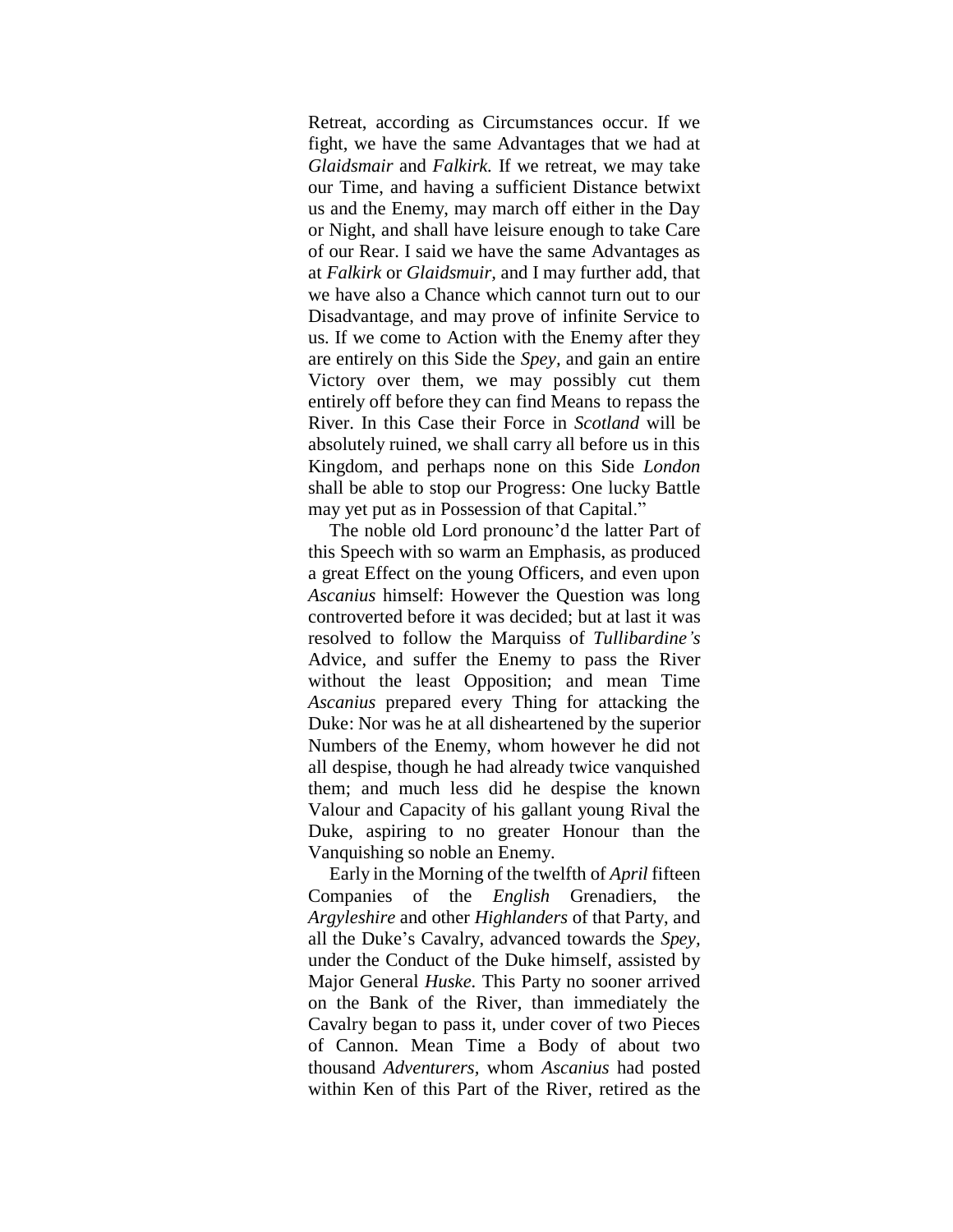Retreat, according as Circumstances occur. If we fight, we have the same Advantages that we had at *Glaidsmair* and *Falkirk.* If we retreat, we may take our Time, and having a sufficient Distance betwixt us and the Enemy, may march off either in the Day or Night, and shall have leisure enough to take Care of our Rear. I said we have the same Advantages as at *Falkirk* or *Glaidsmuir,* and I may further add, that we have also a Chance which cannot turn out to our Disadvantage, and may prove of infinite Service to us. If we come to Action with the Enemy after they are entirely on this Side the *Spey,* and gain an entire Victory over them, we may possibly cut them entirely off before they can find Means to repass the River. In this Case their Force in *Scotland* will be absolutely ruined, we shall carry all before us in this Kingdom, and perhaps none on this Side *London*  shall be able to stop our Progress: One lucky Battle may yet put as in Possession of that Capital."

The noble old Lord pronounc'd the latter Part of this Speech with so warm an Emphasis, as produced a great Effect on the young Officers, and even upon *Ascanius* himself: However the Question was long controverted before it was decided; but at last it was resolved to follow the Marquiss of *Tullibardine's*  Advice, and suffer the Enemy to pass the River without the least Opposition; and mean Time *Ascanius* prepared every Thing for attacking the Duke: Nor was he at all disheartened by the superior Numbers of the Enemy, whom however he did not all despise, though he had already twice vanquished them; and much less did he despise the known Valour and Capacity of his gallant young Rival the Duke, aspiring to no greater Honour than the Vanquishing so noble an Enemy.

Early in the Morning of the twelfth of *April* fifteen Companies of the *English* Grenadiers, the *Argyleshire* and other *Highlanders* of that Party, and all the Duke's Cavalry, advanced towards the *Spey,*  under the Conduct of the Duke himself, assisted by Major General *Huske.* This Party no sooner arrived on the Bank of the River, than immediately the Cavalry began to pass it, under cover of two Pieces of Cannon. Mean Time a Body of about two thousand *Adventurers,* whom *Ascanius* had posted within Ken of this Part of the River, retired as the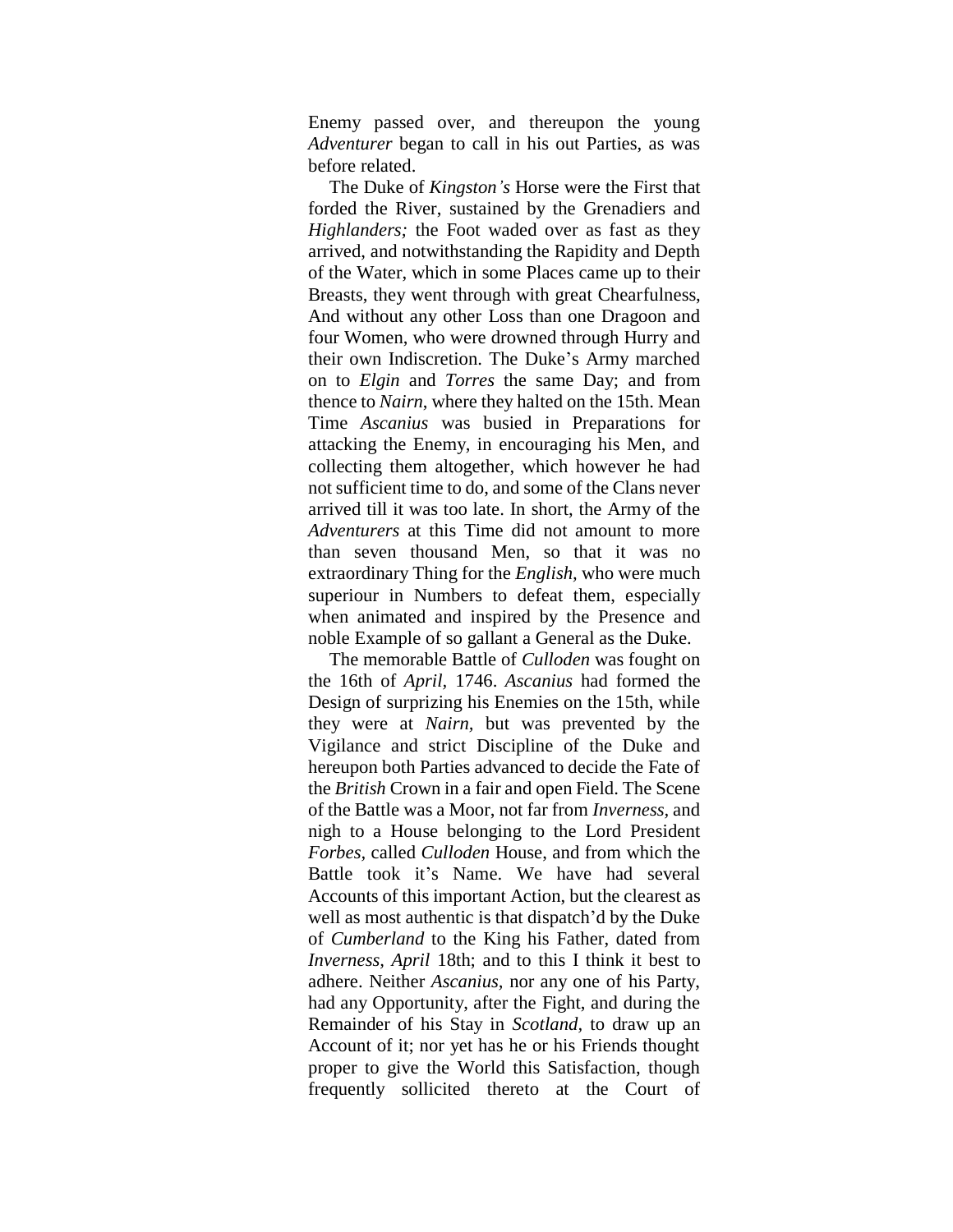Enemy passed over, and thereupon the young *Adventurer* began to call in his out Parties, as was before related.

The Duke of *Kingston's* Horse were the First that forded the River, sustained by the Grenadiers and *Highlanders;* the Foot waded over as fast as they arrived, and notwithstanding the Rapidity and Depth of the Water, which in some Places came up to their Breasts, they went through with great Chearfulness, And without any other Loss than one Dragoon and four Women, who were drowned through Hurry and their own Indiscretion. The Duke's Army marched on to *Elgin* and *Torres* the same Day; and from thence to *Nairn*, where they halted on the 15th. Mean Time *Ascanius* was busied in Preparations for attacking the Enemy, in encouraging his Men, and collecting them altogether, which however he had not sufficient time to do, and some of the Clans never arrived till it was too late. In short, the Army of the *Adventurers* at this Time did not amount to more than seven thousand Men, so that it was no extraordinary Thing for the *English,* who were much superiour in Numbers to defeat them, especially when animated and inspired by the Presence and noble Example of so gallant a General as the Duke.

The memorable Battle of *Culloden* was fought on the 16th of *April,* 1746. *Ascanius* had formed the Design of surprizing his Enemies on the 15th, while they were at *Nairn,* but was prevented by the Vigilance and strict Discipline of the Duke and hereupon both Parties advanced to decide the Fate of the *British* Crown in a fair and open Field. The Scene of the Battle was a Moor, not far from *Inverness,* and nigh to a House belonging to the Lord President *Forbes,* called *Culloden* House, and from which the Battle took it's Name. We have had several Accounts of this important Action, but the clearest as well as most authentic is that dispatch'd by the Duke of *Cumberland* to the King his Father, dated from *Inverness, April 18th; and to this I think it best to* adhere. Neither *Ascanius,* nor any one of his Party, had any Opportunity, after the Fight, and during the Remainder of his Stay in *Scotland,* to draw up an Account of it; nor yet has he or his Friends thought proper to give the World this Satisfaction, though frequently sollicited thereto at the Court of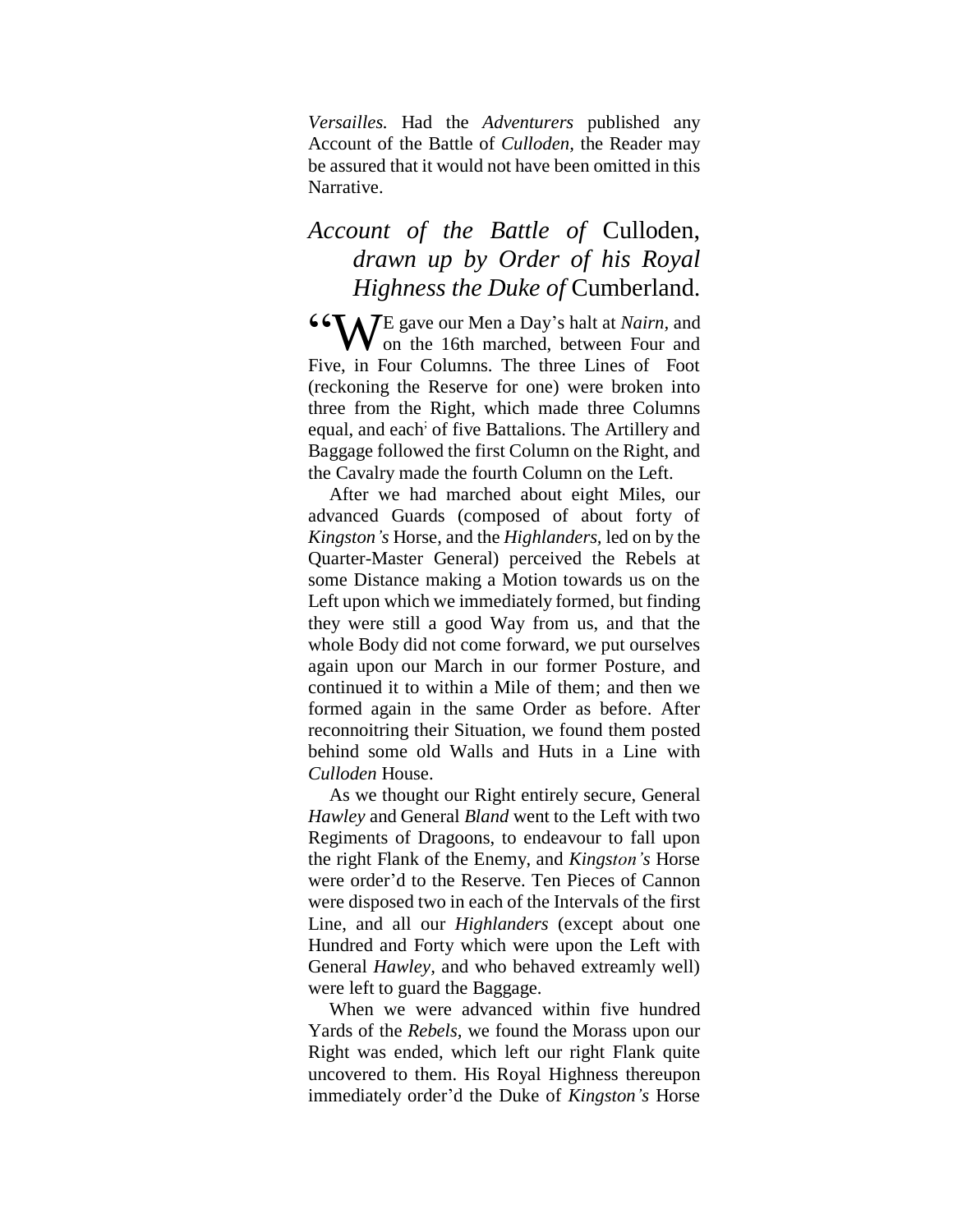*Versailles.* Had the *Adventurers* published any Account of the Battle of *Culloden,* the Reader may be assured that it would not have been omitted in this Narrative.

## *Account of the Battle of* Culloden, *drawn up by Order of his Royal Highness the Duke of* Cumberland.

**E** gave our Men a Day's halt at *Nairn*, and<br>on the 16th marched, between Four and on the 16th marched, between Four and Five, in Four Columns. The three Lines of Foot (reckoning the Reserve for one) were broken into three from the Right, which made three Columns equal, and each<sup>;</sup> of five Battalions. The Artillery and Baggage followed the first Column on the Right, and the Cavalry made the fourth Column on the Left.

After we had marched about eight Miles, our advanced Guards (composed of about forty of *Kingston's* Horse, and the *Highlanders,* led on by the Quarter-Master General) perceived the Rebels at some Distance making a Motion towards us on the Left upon which we immediately formed, but finding they were still a good Way from us, and that the whole Body did not come forward, we put ourselves again upon our March in our former Posture, and continued it to within a Mile of them; and then we formed again in the same Order as before. After reconnoitring their Situation, we found them posted behind some old Walls and Huts in a Line with *Culloden* House.

As we thought our Right entirely secure, General *Hawley* and General *Bland* went to the Left with two Regiments of Dragoons, to endeavour to fall upon the right Flank of the Enemy, and *Kingston's* Horse were order'd to the Reserve. Ten Pieces of Cannon were disposed two in each of the Intervals of the first Line, and all our *Highlanders* (except about one Hundred and Forty which were upon the Left with General *Hawley,* and who behaved extreamly well) were left to guard the Baggage.

When we were advanced within five hundred Yards of the *Rebels,* we found the Morass upon our Right was ended, which left our right Flank quite uncovered to them. His Royal Highness thereupon immediately order'd the Duke of *Kingston's* Horse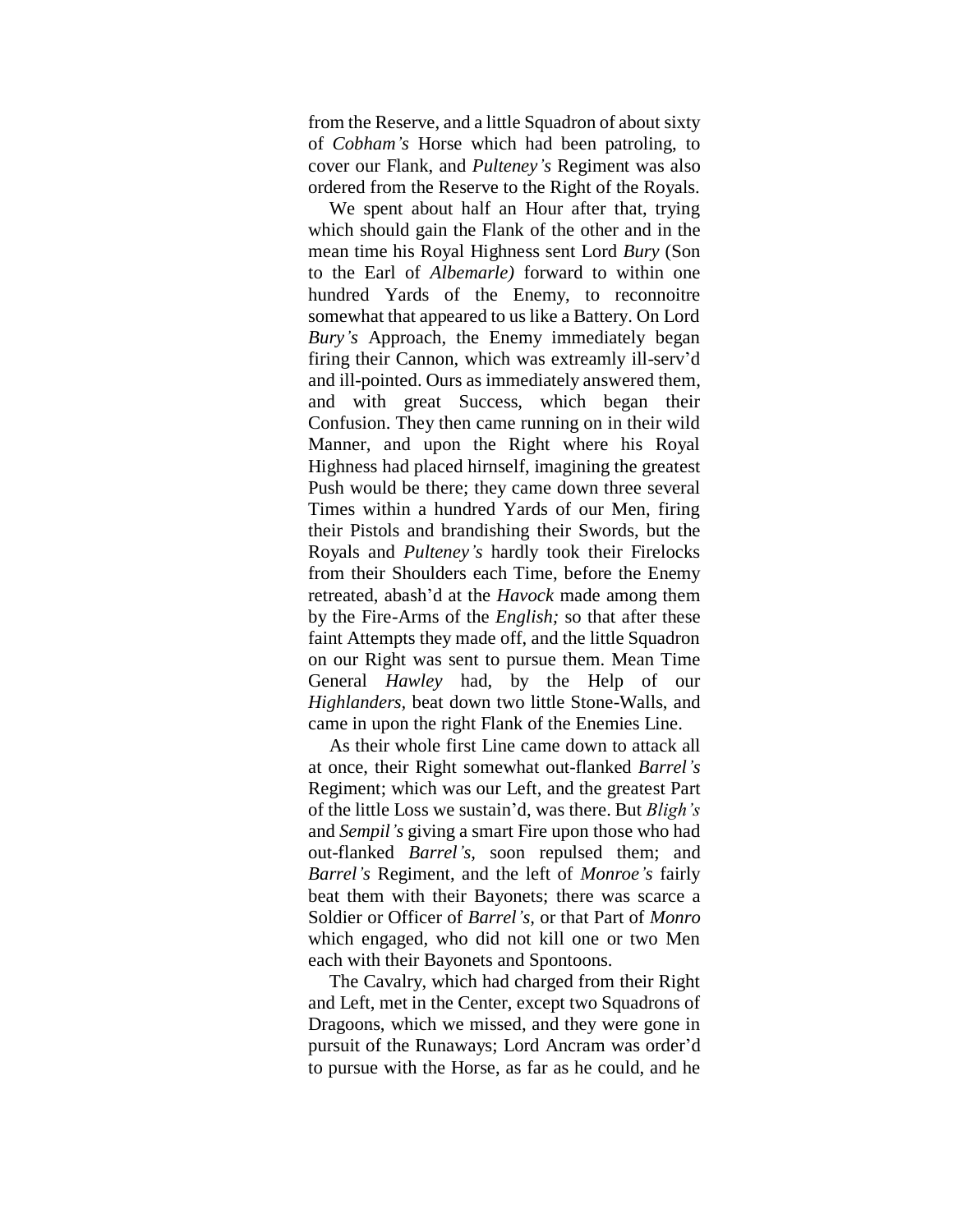from the Reserve, and a little Squadron of about sixty of *Cobham's* Horse which had been patroling, to cover our Flank, and *Pulteney's* Regiment was also ordered from the Reserve to the Right of the Royals.

We spent about half an Hour after that, trying which should gain the Flank of the other and in the mean time his Royal Highness sent Lord *Bury* (Son to the Earl of *Albemarle)* forward to within one hundred Yards of the Enemy, to reconnoitre somewhat that appeared to us like a Battery. On Lord *Bury's* Approach, the Enemy immediately began firing their Cannon, which was extreamly ill-serv'd and ill-pointed. Ours as immediately answered them, and with great Success, which began their Confusion. They then came running on in their wild Manner, and upon the Right where his Royal Highness had placed hirnself, imagining the greatest Push would be there; they came down three several Times within a hundred Yards of our Men, firing their Pistols and brandishing their Swords, but the Royals and *Pulteney's* hardly took their Firelocks from their Shoulders each Time, before the Enemy retreated, abash'd at the *Havock* made among them by the Fire-Arms of the *English;* so that after these faint Attempts they made off, and the little Squadron on our Right was sent to pursue them. Mean Time General *Hawley* had, by the Help of our *Highlanders,* beat down two little Stone-Walls, and came in upon the right Flank of the Enemies Line.

As their whole first Line came down to attack all at once, their Right somewhat out-flanked *Barrel's*  Regiment; which was our Left, and the greatest Part of the little Loss we sustain'd, was there. But *Bligh's* and *Sempil's* giving a smart Fire upon those who had out-flanked *Barrel's,* soon repulsed them; and *Barrel's* Regiment, and the left of *Monroe's* fairly beat them with their Bayonets; there was scarce a Soldier or Officer of *Barrel's,* or that Part of *Monro*  which engaged, who did not kill one or two Men each with their Bayonets and Spontoons.

The Cavalry, which had charged from their Right and Left, met in the Center, except two Squadrons of Dragoons, which we missed, and they were gone in pursuit of the Runaways; Lord Ancram was order'd to pursue with the Horse, as far as he could, and he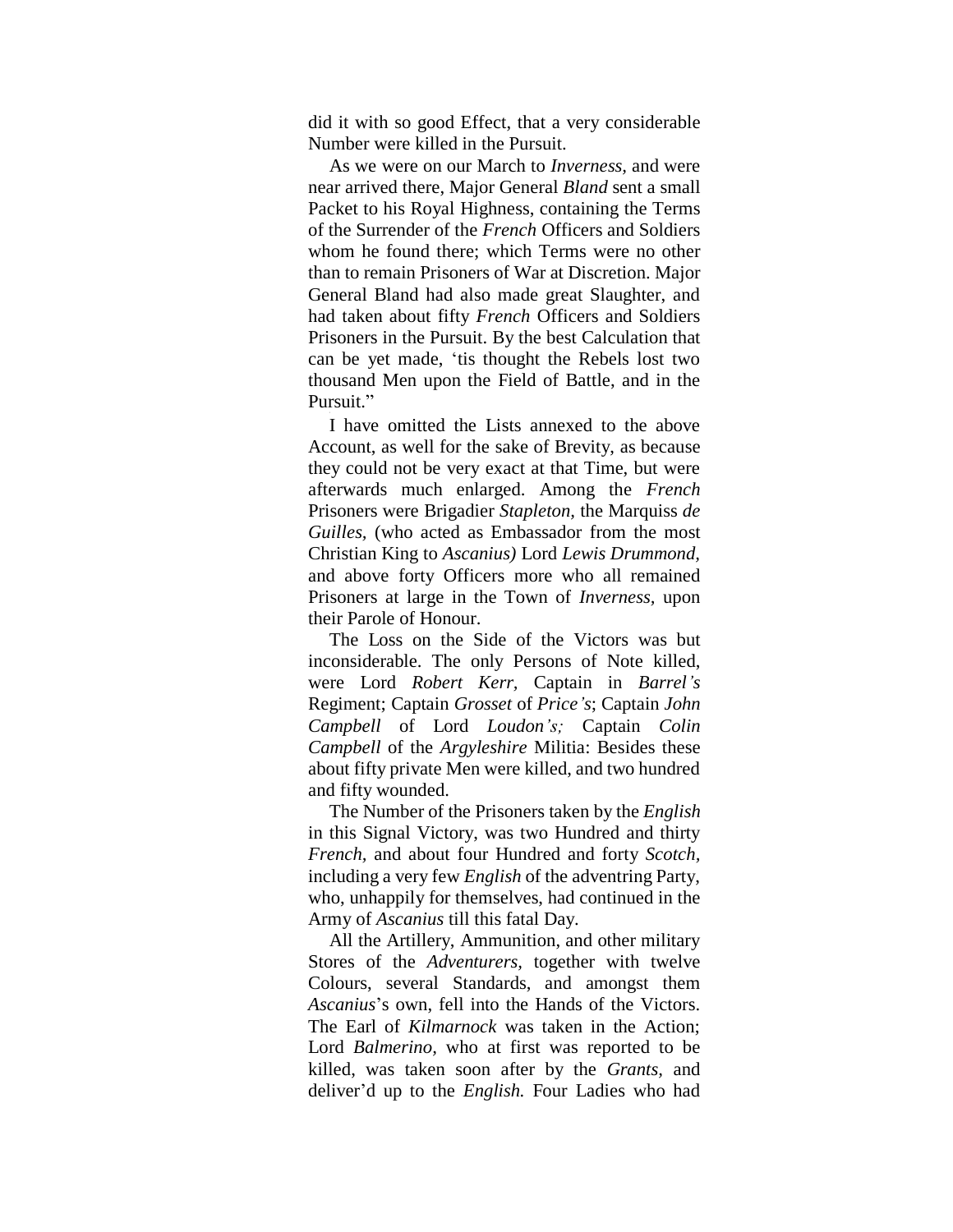did it with so good Effect, that a very considerable Number were killed in the Pursuit.

As we were on our March to *Inverness,* and were near arrived there, Major General *Bland* sent a small Packet to his Royal Highness, containing the Terms of the Surrender of the *French* Officers and Soldiers whom he found there; which Terms were no other than to remain Prisoners of War at Discretion. Major General Bland had also made great Slaughter, and had taken about fifty *French* Officers and Soldiers Prisoners in the Pursuit. By the best Calculation that can be yet made, 'tis thought the Rebels lost two thousand Men upon the Field of Battle, and in the Pursuit."

I have omitted the Lists annexed to the above Account, as well for the sake of Brevity, as because they could not be very exact at that Time, but were afterwards much enlarged. Among the *French*  Prisoners were Brigadier *Stapleton,* the Marquiss *de Guilles,* (who acted as Embassador from the most Christian King to *Ascanius)* Lord *Lewis Drummond,*  and above forty Officers more who all remained Prisoners at large in the Town of *Inverness,* upon their Parole of Honour.

The Loss on the Side of the Victors was but inconsiderable. The only Persons of Note killed, were Lord *Robert Kerr,* Captain in *Barrel's*  Regiment; Captain *Grosset* of *Price's*; Captain *John Campbell* of Lord *Loudon's;* Captain *Colin Campbell* of the *Argyleshire* Militia: Besides these about fifty private Men were killed, and two hundred and fifty wounded.

The Number of the Prisoners taken by the *English* in this Signal Victory, was two Hundred and thirty *French,* and about four Hundred and forty *Scotch,*  including a very few *English* of the adventring Party, who, unhappily for themselves, had continued in the Army of *Ascanius* till this fatal Day.

All the Artillery, Ammunition, and other military Stores of the *Adventurers,* together with twelve Colours, several Standards, and amongst them *Ascanius*'s own, fell into the Hands of the Victors. The Earl of *Kilmarnock* was taken in the Action; Lord *Balmerino,* who at first was reported to be killed, was taken soon after by the *Grants,* and deliver'd up to the *English.* Four Ladies who had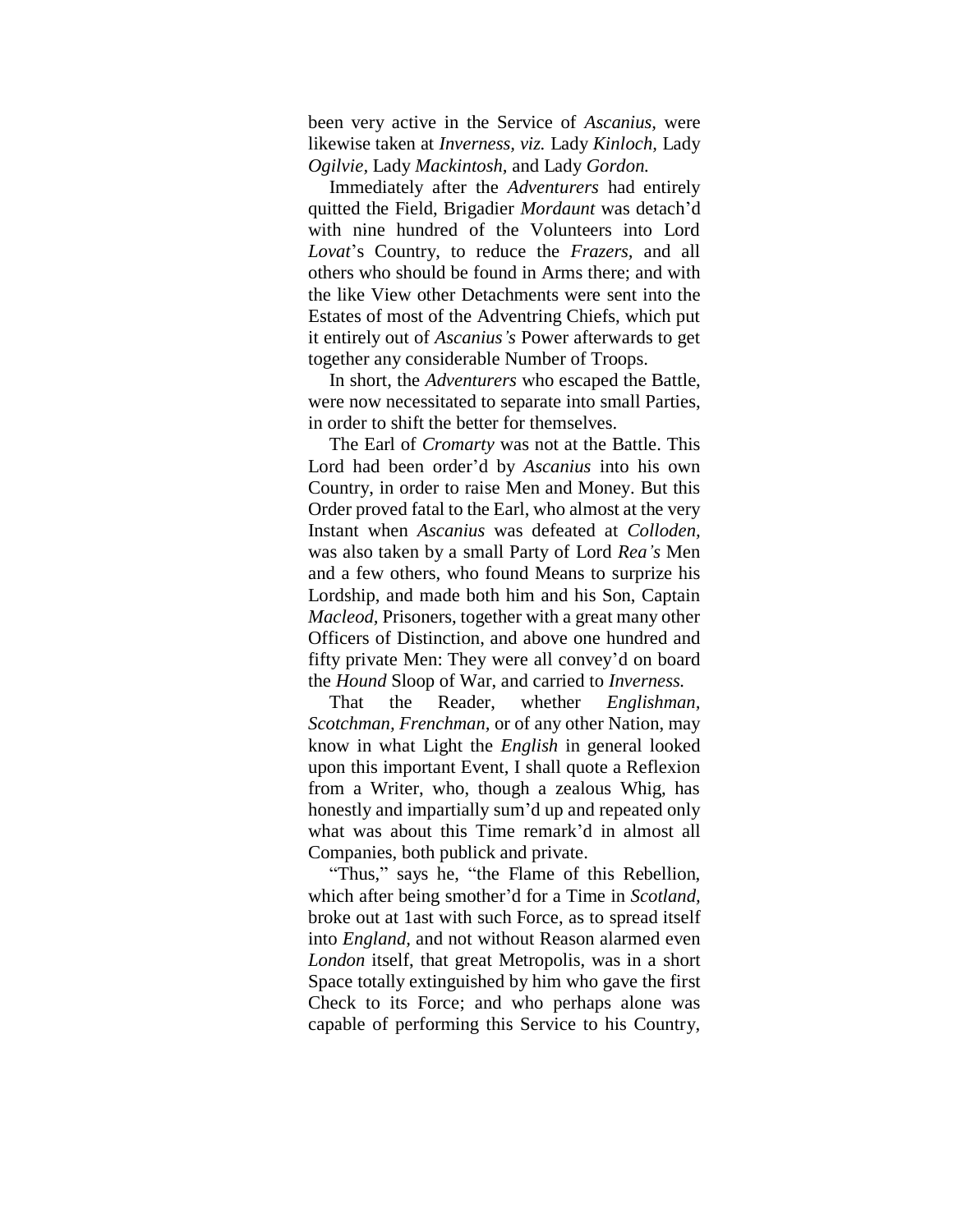been very active in the Service of *Ascanius,* were likewise taken at *Inverness, viz.* Lady *Kinloch,* Lady *Ogilvie,* Lady *Mackintosh,* and Lady *Gordon.*

Immediately after the *Adventurers* had entirely quitted the Field, Brigadier *Mordaunt* was detach'd with nine hundred of the Volunteers into Lord *Lovat*'s Country, to reduce the *Frazers,* and all others who should be found in Arms there; and with the like View other Detachments were sent into the Estates of most of the Adventring Chiefs, which put it entirely out of *Ascanius's* Power afterwards to get together any considerable Number of Troops.

In short, the *Adventurers* who escaped the Battle, were now necessitated to separate into small Parties, in order to shift the better for themselves.

The Earl of *Cromarty* was not at the Battle. This Lord had been order'd by *Ascanius* into his own Country, in order to raise Men and Money. But this Order proved fatal to the Earl, who almost at the very Instant when *Ascanius* was defeated at *Colloden,*  was also taken by a small Party of Lord *Rea's* Men and a few others, who found Means to surprize his Lordship, and made both him and his Son, Captain *Macleod,* Prisoners, together with a great many other Officers of Distinction, and above one hundred and fifty private Men: They were all convey'd on board the *Hound* Sloop of War, and carried to *Inverness.*

That the Reader, whether *Englishman, Scotchman, Frenchman,* or of any other Nation, may know in what Light the *English* in general looked upon this important Event, I shall quote a Reflexion from a Writer, who, though a zealous Whig, has honestly and impartially sum'd up and repeated only what was about this Time remark'd in almost all Companies, both publick and private.

"Thus," says he, "the Flame of this Rebellion, which after being smother'd for a Time in *Scotland,*  broke out at 1ast with such Force, as to spread itself into *England,* and not without Reason alarmed even *London* itself, that great Metropolis, was in a short Space totally extinguished by him who gave the first Check to its Force; and who perhaps alone was capable of performing this Service to his Country,